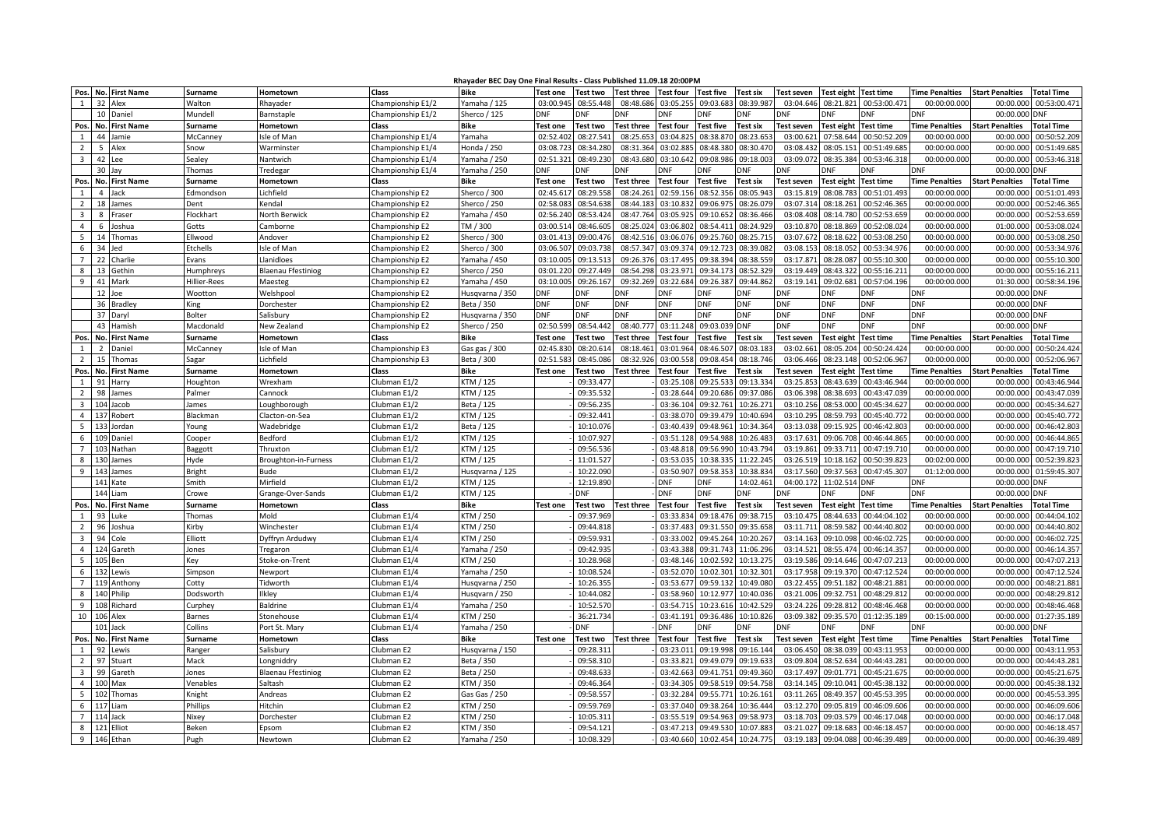| Rhayader BEC Day One Final Results - Class Published 11.09.18 20:00PM |
|-----------------------------------------------------------------------|
|-----------------------------------------------------------------------|

|                         |                 | Pos. No. First Name | <b>Surname</b>      | Hometown                                                                                                                                                                                                                                                                                             | <b>Class</b>          | <b>Bike</b>     | <b>Test one</b> | <b>Test two</b> | <b>Test three</b> | <b>Test four</b> | <b>Test five</b> | <b>Test six</b> | Test seven        | Test eight Test time |                  | <b>Time Penalties</b> | <b>Start Penalties</b> | <b>Total Time</b> |
|-------------------------|-----------------|---------------------|---------------------|------------------------------------------------------------------------------------------------------------------------------------------------------------------------------------------------------------------------------------------------------------------------------------------------------|-----------------------|-----------------|-----------------|-----------------|-------------------|------------------|------------------|-----------------|-------------------|----------------------|------------------|-----------------------|------------------------|-------------------|
| $\mathbf{1}$            | 32 Alex         |                     | Walton              | Rhayader                                                                                                                                                                                                                                                                                             | Championship E1/2     | Yamaha / 125    | 03:00.945       | 08:55.448       | 08:48.686         | 03:05.255        | 09:03.683        | 08:39.987       | 03:04.646         | 08:21.821            | 00:53:00.471     | 00:00:00.000          | 00:00.00               | 00:53:00.47       |
|                         | 10              | Daniel              | Mundell             |                                                                                                                                                                                                                                                                                                      | Championship E1/2     | Sherco / 125    | <b>DNF</b>      | DNF             | DNF               | <b>DNF</b>       | DNF              | <b>DNF</b>      | DNF               | <b>ONF</b>           | DNF              | DNF                   | 00:00.000              | DNF               |
|                         |                 |                     |                     | Barnstaple                                                                                                                                                                                                                                                                                           |                       | <b>Bike</b>     |                 |                 |                   |                  |                  |                 |                   |                      |                  |                       |                        |                   |
| Pos.                    |                 | No. First Name      | <b>Surname</b>      | Hometown                                                                                                                                                                                                                                                                                             | Class                 |                 | <b>Test one</b> | Test two        | <b>Test three</b> | <b>Test four</b> | Test five        | <b>Test six</b> | Test seven        | <b>Test eight</b>    | <b>Test time</b> | <b>Time Penalties</b> | <b>Start Penalties</b> | <b>Total Time</b> |
| 1                       |                 | 44 Jamie            | McCanney            | sle of Man                                                                                                                                                                                                                                                                                           | Championship E1/4     | Yamaha          | 02:52.402       | 08:27.541       | 08:25.653         | 03:04.825        | 08:38.870        | 08:23.653       | 03:00.621         | 07:58.644            | 00:50:52.209     | 00:00:00.000          | 00:00.000              | 00:50:52.209      |
| $\overline{2}$          | 5               | Alex                | Snow                | Warminster                                                                                                                                                                                                                                                                                           | Championship E1/4     | Honda / 250     | 03:08.72        | 08:34.280       | 08:31.364         | 03:02.885        | 08:48.380        | 08:30.470       | 03:08.432         | 08:05.151            | 00:51:49.685     | 00:00:00.00           | 00:00.000              | 00:51:49.68       |
| $\overline{3}$          | 42              | Lee                 | Sealey              | Nantwich                                                                                                                                                                                                                                                                                             | Championship E1/4     | Yamaha / 250    | 02:51.321       | 08:49.230       | 08:43.680         | 03:10.642        | 09:08.986        | 09:18.003       | 03:09.072         | 08:35.384            | 00:53:46.318     | 00:00:00.000          | 00:00.000              | 00:53:46.318      |
|                         | 30              | lav                 | Thomas              | Tredegar                                                                                                                                                                                                                                                                                             | Championship E1/4     | Yamaha / 250    | DNF             | <b>ONF</b>      | <b>NF</b>         | ONF              | NF               | <b>DNF</b>      | )NF               | )NF                  | ١NF              | ONF                   | 00:00.00               | )NF               |
| Pos.                    | No.             | <b>First Name</b>   | Surname             | Hometown                                                                                                                                                                                                                                                                                             | Class                 | <b>Bike</b>     | <b>Test one</b> | Fest two        | est three         | Test four        | Test five        | Test six        | Fest seven        | Test eight           | Test time        | <b>Time Penalties</b> | Start Penalties        | <b>Total Time</b> |
| $\mathbf{1}$            | 4               | ack                 | Edmondson           | .ichfield                                                                                                                                                                                                                                                                                            | Championship E2       | Sherco / 300    | 02:45.617       | 08:29.558       | 08:24.261         | 02:59.156        | 08:52.356        | 08:05.943       | 03:15.819         | 08:08.783            | 00:51:01.49      | 00:00:00.000          | 00:00.000              | 00:51:01.49       |
| $\overline{2}$          | 18              | lames               | Dent                | <endal< td=""><td>Championship E2</td><td>Sherco / 250</td><td>02:58.083</td><td>08:54.638</td><td>08:44.183</td><td>03:10.832</td><td>09:06.975</td><td>08:26.079</td><td>03:07.314</td><td>08:18.261</td><td>00:52:46.365</td><td>00:00:00.000</td><td>00:00.000</td><td>00:52:46.36</td></endal<> | Championship E2       | Sherco / 250    | 02:58.083       | 08:54.638       | 08:44.183         | 03:10.832        | 09:06.975        | 08:26.079       | 03:07.314         | 08:18.261            | 00:52:46.365     | 00:00:00.000          | 00:00.000              | 00:52:46.36       |
| $\overline{\mathbf{3}}$ | 8               | raser               | Flockhart           | <b>North Berwick</b>                                                                                                                                                                                                                                                                                 | Championship E2       | Yamaha / 450    | 02:56.240       | 08:53.424       | 08:47.764         | 03:05.92         | 09:10.652        | 08:36.466       | 03:08.408         | 08:14.780            | 00:52:53.659     | 00:00:00.000          | 00:00.000              | 00:52:53.65       |
| $\overline{4}$          | 6               | Ioshua              | Gotts               | Camborne                                                                                                                                                                                                                                                                                             | Championship E2       | TM / 300        | 03:00.51        | 08:46.605       | 08:25.024         | 03:06.802        | 08:54.411        | 08:24.929       | 03:10.870         | 08:18.869            | 00:52:08.024     | 00:00:00.000          | 01:00.000              | 00:53:08.02       |
| $5\phantom{.0}$         | 14              | Thomas              | Ellwood             | Andover                                                                                                                                                                                                                                                                                              | Championship E2       | Sherco / 300    | 03:01.413       | 09:00.476       | 08:42.516         | 03:06.076        | 09:25.760        | 08:25.715       | 03:07.672         | 08:18.622            | 00:53:08.250     | 00:00:00.000          | 00:00.000              | 00:53:08.250      |
| 6                       | 34              | led                 | Etchells            | sle of Man                                                                                                                                                                                                                                                                                           | Championship E2       | Sherco / 300    | 03:06.50        | 09:03.738       | 08:57.347         | 03:09.374        | 09:12.723        | 08:39.082       | 03:08.153         | 08:18.052            | 00:53:34.976     | 00:00:00.00           | 00:00.00               | 00:53:34.97       |
| $\overline{7}$          | 22              | Charlie             | Evans               | <b>Janidloes</b>                                                                                                                                                                                                                                                                                     | Championship E2       | Yamaha / 450    | 03:10.005       | 09:13.513       | 09:26.376         | 03:17.495        | 09:38.394        | 08:38.559       | 03:17.871         | 08:28.087            | 00:55:10.300     | 00:00:00.000          | 00:00.000              | 00:55:10.30       |
| 8                       | 13              | Gethin              | Humphreys           | <b>Blaenau Ffestiniog</b>                                                                                                                                                                                                                                                                            | Championship E2       | Sherco / 250    | 03:01.220       | 09:27.449       | 08:54.298         | 03:23.971        | 09:34.173        | 08:52.329       | 03:19.449         | 08:43.322            | 00:55:16.211     | 00:00:00.000          | 00:00.000              | 00:55:16.21       |
| 9                       | 41              | Mark                | <b>Hillier-Rees</b> | Maesteg                                                                                                                                                                                                                                                                                              | Championship E2       | Yamaha / 450    | 03:10.005       | 09:26.167       | 09:32.269         | 03:22.684        | 09:26.387        | 09:44.862       | 03:19.141         | 09:02.681            | 00:57:04.196     | 00:00:00.000          | 01:30.000              | 00:58:34.196      |
|                         | 12              | Joe                 | Wootton             | Welshpool                                                                                                                                                                                                                                                                                            | Championship E2       | Husqvarna / 350 | <b>DNF</b>      | <b>DNF</b>      | DNF               | <b>DNF</b>       | DNF              | DNF             | DNF               | DNF                  | <b>DNF</b>       | DNF                   | 00:00.000              | DNF               |
|                         |                 | 36 Bradley          | King                | Dorchester                                                                                                                                                                                                                                                                                           | Championship E2       | Beta / 350      | DNF             | DNF             | DNF               | <b>DNF</b>       | DNF              | <b>DNF</b>      | <b>DNF</b>        | DNF                  | <b>DNF</b>       | <b>DNF</b>            | 00:00.000              | <b>DNF</b>        |
|                         | 37              | Daryl               | <b>Bolter</b>       | Salisbury                                                                                                                                                                                                                                                                                            | Championship E2       | Husqvarna / 350 | <b>DNF</b>      | <b>DNF</b>      | <b>DNF</b>        | <b>DNF</b>       | <b>DNF</b>       | <b>DNF</b>      | <b>DNF</b>        | <b>DNF</b>           | <b>DNF</b>       | <b>DNF</b>            | 00:00.000              | <b>DNF</b>        |
|                         | 43              | Hamish              | Macdonald           | New Zealand                                                                                                                                                                                                                                                                                          | Championship E2       | Sherco / 250    | 02:50.599       | 08:54.442       | 08:40.777         | 03:11.248        | 09:03.039        | <b>DNF</b>      | <b>DNF</b>        | <b>DNF</b>           | DNF              | DNF                   | 00:00.000              | <b>DNF</b>        |
| Pos                     | No.             | <b>First Name</b>   | <b>Surname</b>      | Hometown                                                                                                                                                                                                                                                                                             | <b>Class</b>          | <b>Bike</b>     | <b>Test one</b> | Test two        | est three         | <b>Test four</b> | Test five        | <b>Test six</b> | <b>Test seven</b> | <b>Test eight</b>    | <b>Test time</b> | <b>Time Penalties</b> | <b>Start Penalties</b> | <b>Total Time</b> |
| 1                       | $\overline{2}$  | <b>Daniel</b>       | McCanney            | sle of Man                                                                                                                                                                                                                                                                                           | Championship E3       | Gas gas / 300   | 02:45.830       | 08:20.614       | 08:18.461         | 03:01.964        | 08:46.507        | 08:03.183       | 03:02.661         | 08:05.204            | 00:50:24.424     | 00:00:00.000          | 00:00.000              | 00:50:24.42       |
| $\overline{2}$          | 15              | Thomas              | Sagar               | .ichfield                                                                                                                                                                                                                                                                                            | Championship E3       | Beta / 300      | 02:51.583       | 08:45.086       | 08:32.92          | 03:00.558        | 09:08.454        | 08:18.746       | 03:06.466         | 08:23.148            | 00:52:06.967     | 00:00:00.00           | 00:00.00               | 00:52:06.96       |
| Pos.                    | No.             | <b>First Name</b>   | Surname             | Hometown                                                                                                                                                                                                                                                                                             | <b>Class</b>          | Bike            | <b>Test one</b> | <b>Fest two</b> | est three         | Test four        | est five         | Test six        | est seven         | <b>Test eight</b>    | <b>Test time</b> | ime Penalties         | <b>Start Penalties</b> | otal Time         |
|                         |                 | arry                | Houghton            | Wrexham                                                                                                                                                                                                                                                                                              | Clubman E1/2          | KTM / 125       |                 | 09:33.477       |                   | 03:25.108        | 09:25.53         | 09:13.334       | 03:25.85          | 08:43.639            | 00:43:46.944     | 00:00:00.000          | 00:00.00               | 00:43:46.944      |
| $\overline{2}$          | 98              | ames                | Palmer              | Cannock                                                                                                                                                                                                                                                                                              | Clubman E1/2          | KTM / 125       |                 | 09:35.532       |                   | 03:28.644        | 09:20.686        | 09:37.086       | 03:06.398         | 08:38.693            | 00:43:47.039     | 00:00:00.000          | 00:00.000              | 00:43:47.03       |
| $\overline{\mathbf{3}}$ | 104             | acob                | lames               | oughborough                                                                                                                                                                                                                                                                                          | Clubman E1/2          | Beta / 125      |                 | 09:56.235       |                   | 03:36.104        | 09:32.761        | 10:26.271       | 03:10.256         | 08:53.000            | 00:45:34.627     | 00:00:00.000          | 00:00.000              | 00:45:34.627      |
| $\overline{4}$          | 137             | obert               | Blackmar            | Clacton-on-Sea                                                                                                                                                                                                                                                                                       | Clubman E1/2          | KTM / 125       |                 | 09:32.441       |                   | 03:38.070        | 09:39.479        | 10:40.694       | 03:10.295         | 08:59.793            | 00:45:40.772     | 00:00:00.000          | 00:00.000              | 00:45:40.77       |
| 5                       | 133             | ordan               | Young               | Nadebridge                                                                                                                                                                                                                                                                                           | Clubman E1/2          | Beta / 125      |                 | 10:10.076       |                   | 03:40.439        | 09:48.96:        | 10:34.364       | 03:13.038         | 09:15.92             | 00:46:42.803     | 00:00:00.000          | 00:00.000              | 00:46:42.80       |
| 6                       | 10 <sup>c</sup> | Daniel              | Cooper              | Bedford                                                                                                                                                                                                                                                                                              | Clubman E1/2          | KTM / 125       |                 | 10:07.927       |                   | 03:51.128        | 09:54.988        | 10:26.483       | 03:17.631         | 09:06.708            | 00:46:44.865     | 00:00:00.000          | 00:00.000              | 00:46:44.865      |
| $\overline{7}$          | 103             | Nathan              | Baggott             | Thruxton                                                                                                                                                                                                                                                                                             | Clubman E1/2          | KTM / 125       |                 | 09:56.536       |                   | 03:48.818        | 09:56.990        | 10:43.794       | 03:19.861         | 09:33.711            | 00:47:19.710     | 00:00:00.000          | 00:00.000              | 00:47:19.710      |
| 8                       | 130             | James               | Hyde                | <b>Broughton-in-Furness</b>                                                                                                                                                                                                                                                                          | Clubman E1/2          | KTM / 125       |                 | 11:01.527       |                   | 03:53.03         | 10:38.33         | 11:22.245       | 03:26.519         | 10:18.162            | 00:50:39.823     | 00:02:00.00           | 00:00.00               | 00:52:39.82       |
| 9                       | 143             | James               | Bright              | Bude                                                                                                                                                                                                                                                                                                 | Clubman E1/2          | Husavarna / 125 |                 | 10:22.090       |                   | 03:50.907        | 09:58.353        | 10:38.834       | 03:17.560         | 09:37.563            | 00:47:45.307     | 01:12:00.000          | 00:00.000              | 01:59:45.307      |
|                         | 141             | Kate                | Smith               | Mirfield                                                                                                                                                                                                                                                                                             | Clubman E1/2          | KTM / 125       |                 | 12:19.89        |                   | <b>DNF</b>       | <b>ONF</b>       | 14:02.46        | 04:00.172         | 11:02.514            | <b>DNF</b>       | )NF                   | 00:00.000              | ONF               |
|                         | 144             | Liam                | Crowe               | Grange-Over-Sands                                                                                                                                                                                                                                                                                    | Clubman E1/2          | KTM / 125       |                 | DNF             |                   | <b>DNF</b>       | <b>ONF</b>       | DNF             | <b>ONF</b>        | <b>DNF</b>           | <b>ONF</b>       | DNF                   | 00:00.000              | <b>DNF</b>        |
| Pos.                    | No.             | <b>First Name</b>   | Surname             | Hometown                                                                                                                                                                                                                                                                                             | <b>Class</b>          | <b>Bike</b>     | <b>Test one</b> | Test two        | <b>Test three</b> | <b>Test four</b> | <b>Test five</b> | <b>Test six</b> | Test seven        | Test eight           | Test time        | <b>Time Penalties</b> | <b>Start Penalties</b> | <b>Total Time</b> |
| 1                       | 93              | Luke                | Thomas              | Mold                                                                                                                                                                                                                                                                                                 | Clubman E1/4          | KTM / 250       |                 | 09:37.969       |                   | 03:33.834        | 09:18.476        | 09:38.715       | 03:10.475         | 08:44.633            | 00:44:04.102     | 00:00:00.000          | 00:00.000              | 00:44:04.10       |
| $\overline{2}$          | 96              | Joshua              | Kirby               | Winchester                                                                                                                                                                                                                                                                                           | Clubman E1/4          | KTM / 250       |                 | 09:44.818       |                   | 03:37.483        | 09:31.550        | 09:35.658       | 03:11.711         | 08:59.582            | 00:44:40.802     | 00:00:00.00           | 00:00.00               | 00:44:40.80       |
| $\overline{3}$          | 94              | Cole                | Elliott             | Dyffryn Ardudwy                                                                                                                                                                                                                                                                                      | Clubman E1/4          | KTM / 250       |                 | 09:59.931       |                   | 03:33.002        | 09:45.264        | 10:20.267       | 03:14.163         | 09:10.098            | 00:46:02.725     | 00:00:00.000          | 00:00.000              | 00:46:02.725      |
| $\overline{4}$          |                 | 124 Gareth          | Jones               | Tregaron                                                                                                                                                                                                                                                                                             | Clubman E1/4          | Yamaha / 250    |                 | 09:42.935       |                   | 03:43.388        | 09:31.743        | 11:06.296       | 03:14.521         | 08:55.474            | 00:46:14.357     | 00:00:00.00           | 00:00.00               | 00:46:14.35       |
| 5                       | 105             | Ben                 | Key                 | Stoke-on-Trent                                                                                                                                                                                                                                                                                       | Clubman E1/4          | KTM / 250       |                 | 10:28.968       |                   | 03:48.146        | 10:02.592        | 10:13.275       | 03:19.586         | 09:14.646            | 00:47:07.213     | 00:00:00.00           | 00:00.000              | 00:47:07.21       |
| 6                       | 132             | Lewis               | Simpson             | Newport                                                                                                                                                                                                                                                                                              | Clubman E1/4          | Yamaha / 250    |                 | 10:08.52        |                   | 03:52.070        | 10:02.301        | 10:32.301       | 03:17.958         | 09:19.370            | 00:47:12.524     | 00:00:00.00           | 00:00.000              | 00:47:12.52       |
| $\overline{7}$          | 119             | Anthony             | Cotty               | <b>Fidworth</b>                                                                                                                                                                                                                                                                                      | Clubman E1/4          | Husqvarna / 250 |                 | 10:26.355       |                   | 03:53.677        | 09:59.132        | 10:49.080       | 03:22.455         | 09:51.182            | 00:48:21.881     | 00:00:00.000          | 00:00.000              | 00:48:21.88       |
| 8                       | 140             | Philip              | Dodsworth           | Ikley                                                                                                                                                                                                                                                                                                | Clubman E1/4          | Husqvarn / 250  |                 | 10:44.082       |                   | 03:58.960        | 10:12.977        | 10:40.036       | 03:21.006         | 09:32.751            | 00:48:29.812     | 00:00:00.00           | 00:00.000              | 00:48:29.81       |
| 9                       | 108             | <b>Richard</b>      | Curphey             | <b>Baldrine</b>                                                                                                                                                                                                                                                                                      | Clubman E1/4          | Yamaha / 250    |                 | 10:52.570       |                   | 03:54.715        | 10:23.616        | 10:42.529       | 03:24.226         | 09:28.812            | 00:48:46.468     | 00:00:00.00           | 00:00.000              | 00:48:46.468      |
| 10                      | 106             | Alex                | Barnes              | Stonehouse                                                                                                                                                                                                                                                                                           | Clubman E1/4          | KTM / 250       |                 | 36:21.734       |                   | 03:41.191        | 09:36.486        | 10:10.826       | 03:09.382         | 09:35.570            | 01:12:35.189     | 00:15:00.000          | 00:00.000              | 01:27:35.189      |
|                         | 101             | Jack                | Collins             | Port St. Mary                                                                                                                                                                                                                                                                                        | Clubman E1/4          | Yamaha / 250    |                 | DNF             |                   | <b>DNF</b>       | ONF              | DNF             | ЭNF               | )NF                  | ЭNF              | DNF                   | 00:00.000              | DNF               |
| Pos.                    | No.             | <b>First Name</b>   | Surname             | Hometown                                                                                                                                                                                                                                                                                             | <b>Class</b>          | <b>Bike</b>     | <b>Test one</b> | Test two        | <b>Test three</b> | <b>Test four</b> | Test five        | <b>Test six</b> | Test seven        | Test eight           | Test time        | <b>Time Penalties</b> | <b>Start Penalties</b> | <b>Total Time</b> |
| 1                       | 92              | Lewis               | Ranger              | Salisbury                                                                                                                                                                                                                                                                                            | Clubman E2            | Husqvarna / 150 |                 | 09:28.311       |                   | 03:23.011        | 09:19.998        | 09:16.144       | 03:06.450         | 08:38.039            | 00:43:11.953     | 00:00:00.000          | 00:00.000              | 00:43:11.95       |
| $\overline{2}$          | 97              | Stuart              | Mack                | ongniddry                                                                                                                                                                                                                                                                                            | Clubman <sub>E2</sub> | Beta / 350      |                 | 09:58.310       |                   | 03:33.821        | 09:49.079        | 09:19.633       | 03:09.804         | 08:52.634            | 00:44:43.281     | 00:00:00.000          | 00:00.000              | 00:44:43.28       |
| $\overline{\mathbf{3}}$ | 99              | Gareth              | lones               | <b>Blaenau Ffestiniog</b>                                                                                                                                                                                                                                                                            | Clubman E2            | Beta / 250      |                 | 09:48.63        |                   | 03:42.663        | 09:41.751        | 09:49.360       | 03:17.497         | 09:01.771            | 00:45:21.675     | 00:00:00.000          | 00:00.000              | 00:45:21.67       |
| $\overline{4}$          | 100             | Max                 | Venables            | altash                                                                                                                                                                                                                                                                                               | Clubman E2            | KTM / 350       |                 | 09:46.364       |                   | 03:34.305        | 09:58.519        | 09:54.758       | 03:14.145         | 09:10.041            | 00:45:38.132     | 00:00:00.000          | 00:00.000              | 00:45:38.13       |
| 5 <sup>5</sup>          | 102             | Thomas              | Knight              | <b>Indreas</b>                                                                                                                                                                                                                                                                                       | Clubman E2            | Gas Gas / 250   |                 | 09:58.557       |                   | 03:32.284        | 09:55.771        | 10:26.161       | 03:11.265         | 08:49.357            | 00:45:53.395     | 00:00:00.000          | 00:00.000              | 00:45:53.39       |
| 6                       | 117             | liam                | Phillips            | <b>Hitchin</b>                                                                                                                                                                                                                                                                                       | Clubman <sub>E2</sub> | KTM / 250       |                 | 09:59.769       |                   | 03:37.040        | 09:38.264        | 10:36.444       | 03:12.270         | 09:05.819            | 00:46:09.606     | 00:00:00.000          | 00:00.000              | 00:46:09.606      |
| $\overline{7}$          | 114             | Jack                | Nixey               | Dorchester                                                                                                                                                                                                                                                                                           | Clubman E2            | KTM / 250       |                 | 10:05.311       |                   | 03:55.519        | 09:54.963        | 09:58.973       | 03:18.703         | 09:03.579            | 00:46:17.048     | 00:00:00.000          | 00:00.00               | 00:46:17.048      |
| 8                       | 121 Elliot      |                     | Beken               | Epsom                                                                                                                                                                                                                                                                                                | Clubman E2            | KTM / 350       |                 | 09:54.121       |                   | 03:47.213        | 09:49.530        | 10:07.883       | 03:21.027         | 09:18.683            | 00:46:18.457     | 00:00:00.000          | 00:00.000              | 00:46:18.457      |
| 9                       |                 | 146 Ethan           | Pugh                |                                                                                                                                                                                                                                                                                                      | Clubman E2            | Yamaha / 250    |                 | 10:08.329       |                   | 03:40.660        | 10:02.454        | 10:24.775       | 03:19.183         | 09:04.088            | 00:46:39.489     | 00:00:00.000          | 00:00.000              | 00:46:39.489      |
|                         |                 |                     |                     | Newtown                                                                                                                                                                                                                                                                                              |                       |                 |                 |                 |                   |                  |                  |                 |                   |                      |                  |                       |                        |                   |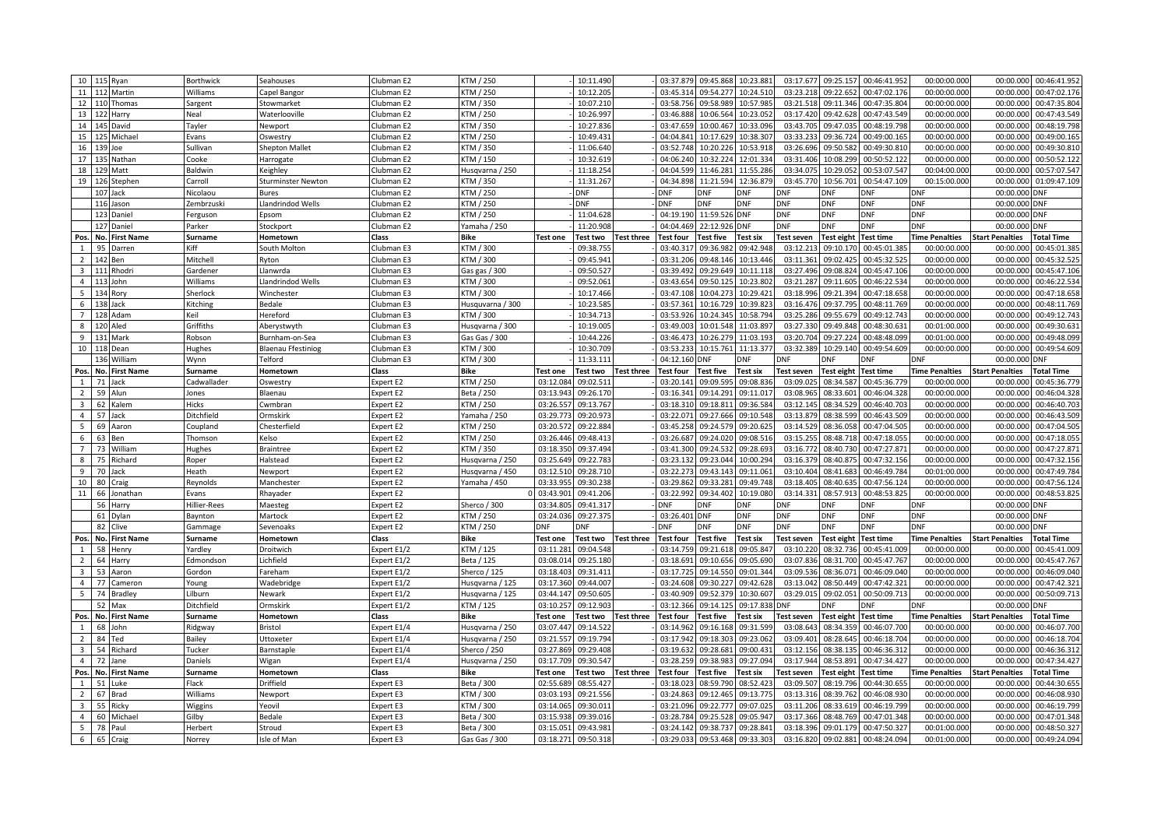|                      |          | 10 115 Ryan       | <b>Borthwick</b>      | Seahouses                 | Clubman E2             | KTM / 250                   |                        | 10:11.490                     | 03:37.879              | 09:45.868              | 10:23.881               | 03:17.677              | 09:25.157              | 00:46:41.952                 | 00:00:00.000                 | 00:46:41.952<br>00:00.000                          |
|----------------------|----------|-------------------|-----------------------|---------------------------|------------------------|-----------------------------|------------------------|-------------------------------|------------------------|------------------------|-------------------------|------------------------|------------------------|------------------------------|------------------------------|----------------------------------------------------|
|                      |          | 11 112 Martin     | Williams              | Capel Bangor              | Clubman E2             | KTM / 250                   |                        | 10:12.205                     | 03:45.314              | 09:54.277              | 10:24.510               | 03:23.218              | 09:22.652              | 00:47:02.176                 | 00:00:00.000                 | 00:00.000<br>00:47:02.176                          |
| 12 110               |          | Thomas            | Sargent               | Stowmarket                | Clubman E2             | KTM / 350                   |                        | 10:07.210                     | 03:58.756              | 09:58.989              | 10:57.985               | 03:21.518              | 09:11.346              | 00:47:35.804                 | 00:00:00.00                  | 00:00.000<br>00:47:35.804                          |
| 13 122               |          | Harry             | Neal                  | Waterlooville             | Clubman E2             | KTM / 250                   |                        | 10:26.997                     | 03:46.888              | 10:06.564              | 10:23.052               | 03:17.420              | 09:42.628              | 00:47:43.549                 | 00:00:00.000                 | 00:00.000<br>00:47:43.549                          |
| 14 145               |          | David             | Tayler                | Newport                   | Clubman E2             | KTM / 350                   |                        | 10:27.83                      | 03:47.659              | 10:00.467              | 10:33.096               | 03:43.705              | 09:47.035              | 00:48:19.798                 | 00:00:00.000                 | 00:00.000<br>00:48:19.798                          |
|                      |          | 15 125 Michael    | Evans                 | Oswestry                  | Clubman E2             | KTM / 250                   |                        | 10:49.43                      | 04:04.841              | 10:17.629              | 10:38.307               | 03:33.233              | 09:36.724              | 00:49:00.165                 | 00:00:00.000                 | 00:00.000<br>00:49:00.16                           |
| 16 139               |          | Joe               | Sullivan              | <b>Shepton Mallet</b>     | Clubman E2             | KTM / 350                   |                        | 11:06.640                     | 03:52.748              | 10:20.226              | 10:53.918               | 03:26.69               | 09:50.582              | 00:49:30.810                 | 00:00:00.000                 | 00:00.000<br>00:49:30.81                           |
|                      |          | 17 135 Nathan     | Cooke                 | Harrogate                 | Clubman E2             | KTM / 150                   |                        | 10:32.619                     | 04:06.240              | 10:32.224              | 12:01.334               | 03:31.406              | 10:08.299              | 00:50:52.122                 | 00:00:00.000                 | 00:00.000<br>00:50:52.122                          |
| 18                   |          | 129 Matt          | Baldwin               | Keighley                  | Clubman E2             | Husqvarna / 250             |                        | 11:18.254                     | 04:04.599              | 11:46.281              | 11:55.286               | 03:34.07               | 10:29.052              | 00:53:07.547                 | 00:04:00.00                  | 00:00.000<br>00:57:07.54                           |
|                      |          | 19 126 Stephen    | Carroll               | Sturminster Newton        | Clubman E2             | KTM / 350                   |                        | 11:31.267                     | 04:34.898              | 11:21.594              | 12:36.879               | 03:45.770              | 10:56.701              | 00:54:47.109                 | 00:15:00.000                 | 00:00.000<br>01:09:47.109                          |
|                      |          | 107 Jack          | Nicolaou              | <b>Bures</b>              | Clubman E2             | KTM / 250                   |                        | <b>DNF</b>                    | <b>DNF</b>             | <b>DNF</b>             | DNF                     | DNF                    | DNF                    | <b>DNF</b>                   | <b>DNF</b>                   | 00:00.000<br><b>DNF</b>                            |
|                      |          | 116 Jason         | Zembrzuski            | Llandrindod Wells         | Clubman E2             | KTM / 250                   |                        | <b>DNF</b>                    | <b>DNF</b>             | DNF                    | <b>DNF</b>              | <b>DNF</b>             | <b>DNF</b>             | <b>DNF</b>                   | <b>DNF</b>                   | 00:00.000 DNF                                      |
|                      | 123      | Daniel            |                       | Epsom                     | Clubman E2             | KTM / 250                   |                        | 11:04.628                     | 04:19.19               | 11:59.526              | <b>DNF</b>              | <b>DNF</b>             | DNF                    | <b>DNF</b>                   | <b>DNF</b>                   | 00:00.000<br><b>DNF</b>                            |
|                      | 127      | Daniel            | Ferguson              |                           | Clubman E2             |                             |                        | 11:20.908                     | 04:04.469              | 22:12.926              | <b>DNF</b>              | <b>DNF</b>             | <b>DNF</b>             | <b>DNF</b>                   | <b>DNF</b>                   | 00:00.000 DNF                                      |
|                      |          |                   | Parker                | Stockport                 |                        | Yamaha / 250                |                        |                               |                        |                        |                         |                        |                        |                              |                              |                                                    |
| Pos                  | No.      | <b>First Name</b> | Surname               | Hometown                  | Class                  | <b>Bike</b>                 | Test one               | Test two<br><b>Fest three</b> | Test four              | Test five              | <b>Test six</b>         | <b>Test seven</b>      | <b>Test eight</b>      | <b>Test time</b>             | <b>Time Penalties</b>        | <b>Start Penalties</b><br><b>Total Time</b>        |
| $\mathbf{1}$         | 95       | Darren            | Kiff                  | South Molton              | Clubman E3             | KTM / 300                   |                        | 09:38.75                      | 03:40.31               | 09:36.982              | 09:42.948               | 03:12.213              | 09:10.170              | 00:45:01.385                 | 00:00:00.000                 | 00:45:01.38<br>00:00.000                           |
| $\overline{2}$       | 142      | Ben               | Mitchell              | Ryton                     | Clubman E3             | KTM / 300                   |                        | 09:45.94                      | 03:31.206              | 09:48.146              | 10:13.446               | 03:11.36               | 09:02.425              | 00:45:32.525                 | 00:00:00.00                  | 00:45:32.52<br>00:00.000                           |
| $\overline{3}$       | 111      | Rhodri            | Gardener              | Llanwrda                  | Clubman E3             | Gas gas / 300               |                        | 09:50.527                     | 03:39.492              | 09:29.649              | 10:11.118               | 03:27.496              | 09:08.824              | 00:45:47.106                 | 00:00:00.000                 | 00:00.000<br>00:45:47.10                           |
| $\overline{4}$       | 113      | John              | Williams              | Llandrindod Wells         | Clubman E3             | KTM / 300                   |                        | 09:52.06                      | 03:43.654              | 09:50.125              | 10:23.802               | 03:21.28               | 09:11.605              | 00:46:22.534                 | 00:00:00.00                  | 00:00.000<br>00:46:22.53                           |
| 5 <sup>7</sup>       | 134      | Rory              | Sherlock              | Winchester                | Clubman E3             | KTM / 300                   |                        | 10:17.466                     | 03:47.108              | 10:04.273              | 10:29.421               | 03:18.996              | 09:21.394              | 00:47:18.658                 | 00:00:00.000                 | 00:00.000<br>00:47:18.658                          |
| 6                    | 138 Jack |                   | Kitching              | Bedale                    | Clubman E3             | Husquvarna / 300            |                        | 10:23.58                      | 03:57.361              | 10:16.729              | 10:39.823               | 03:16.476              | 09:37.795              | 00:48:11.769                 | 00:00:00.000                 | 00:00.000<br>00:48:11.769                          |
| $\overline{7}$       |          | 128 Adam          | Keil                  | Hereford                  | Clubman E3             | KTM / 300                   |                        | 10:34.713                     | 03:53.926              | 10:24.345              | 10:58.794               | 03:25.286              | 09:55.679              | 00:49:12.743                 | 00:00:00.000                 | 00:00.000<br>00:49:12.743                          |
| 8                    | 120      | Aled              | Griffiths             | Aberystwyth               | Clubman E3             | Husqvarna / 300             |                        | 10:19.00                      | 03:49.003              | 10:01.548              | 11:03.897               | 03:27.33               | 09:49.848              | 00:48:30.63:                 | 00:01:00.000                 | 00:00.000<br>00:49:30.63                           |
| 9                    |          | 131 Mark          | Robson                | Burnham-on-Sea            | Clubman E3             | Gas Gas / 300               |                        | 10:44.226                     | 03:46.473              | 10:26.279              | 11:03.193               | 03:20.704              | 09:27.224              | 00:48:48.099                 | 00:01:00.000                 | 00:00.000<br>00:49:48.099                          |
| 10                   | 118      | Dean              | Hughes                | <b>Blaenau Ffestiniog</b> | Clubman E3             | KTM / 300                   |                        | 10:30.70                      | 03:53.23               | 10:15.761              | 11:13.377               | 03:32.389              | 10:29.140              | 00:49:54.609                 | 00:00:00.000                 | 00:00.000<br>00:49:54.609                          |
|                      | 136      | William           | Wvnn                  | Telford                   | Clubman E3             | KTM / 300                   |                        | 11:33.111                     | 04:12.160              | <b>DNF</b>             | <b>ONF</b>              | <b>DNF</b>             | <b>NF</b>              | DNF                          | ONF                          | 00:00.000<br><b>NF</b>                             |
| Pos. No.             |          | <b>First Name</b> | Surname               | Hometown                  | Class                  | <b>Bike</b>                 | Test one               | Test two<br><b>Test three</b> | Test four              | Test five              | <b>Test six</b>         | <b>Test seven</b>      | Test eight             | <b>Test time</b>             | <b>Time Penalties</b>        | <b>Start Penalties</b><br><b>Total Time</b>        |
| $\mathbf{1}$         | 71       | Jack              | Cadwallader           | Oswestry                  | Expert E2              | KTM / 250                   | 03:12.084              | 09:02.51                      | 03:20.141              | 09:09.595              | 09:08.836               | 03:09.025              | 08:34.587              | 00:45:36.779                 | 00:00:00.000                 | 00:00.000<br>00:45:36.779                          |
| $\overline{2}$       | 59       | Alun              | Jones                 | Blaenau                   | Expert E2              | Beta / 250                  | 03:13.943              | 09:26.17                      | 03:16.341              | 09:14.291              | 09:11.017               | 03:08.965              | 08:33.601              | 00:46:04.328                 | 00:00:00.000                 | 00:00.000<br>00:46:04.328                          |
| $\overline{3}$       | 62       | Kalem             | Hicks                 | Cwmbran                   | Expert E2              | KTM / 250                   | 03:26.557              | 09:13.767                     | 03:18.310              | 09:18.811              | 09:36.584               | 03:12.145              | 08:34.529              | 00:46:40.703                 | 00:00:00.000                 | 00:00.000<br>00:46:40.70                           |
| $\overline{4}$       | 57       | Jack              | Ditchfield            | Ormskirk                  | Expert E2              | Yamaha / 250                | 03:29.773              | 09:20.97                      | 03:22.071              | 09:27.666              | 09:10.548               | 03:13.879              | 08:38.599              | 00:46:43.509                 | 00:00:00.000                 | 00:00.000<br>00:46:43.509                          |
| 5                    |          |                   |                       |                           |                        |                             |                        |                               |                        |                        |                         |                        |                        |                              |                              |                                                    |
|                      | 69       | Aaron             | Coupland              | Chesterfield              | <b>Expert E2</b>       | KTM / 250                   | 03:20.57               | 09:22.88                      | 03:45.258              | 09:24.579              | 09:20.625               | 03:14.529              | 08:36.058              | 00:47:04.505                 | 00:00:00.000                 | 00:00.000<br>00:47:04.50                           |
| 6                    | 63       | Ben               | Thomsor               | Kelso                     | Expert E2              | KTM / 250                   | 03:26.446              | 09:48.41                      | 03:26.687              | 09:24.020              | 09:08.516               | 03:15.255              | 08:48.718              | 00:47:18.055                 | 00:00:00.000                 | 00:00.000<br>00:47:18.05                           |
| $\overline{7}$       | 73       | William           | Hughes                | <b>Braintree</b>          | <b>Expert E2</b>       | KTM / 350                   | 03:18.350              | 09:37.49                      | 03:41.300              | 09:24.532              | 09:28.693               | 03:16.772              | 08:40.730              | 00:47:27.871                 | 00:00:00.000                 | 00:47:27.871<br>00:00.000                          |
| 8                    | 75       | Richard           | Roper                 | Halstead                  | Expert E2              | Husqvarna / 250             | 03:25.649              | 09:22.78                      | 03:23.132              | 09:23.044              | 10:00.294               | 03:16.379              | 08:40.875              | 00:47:32.156                 | 00:00:00.000                 | 00:00.000<br>00:47:32.156                          |
| 9                    | 70       | Jack              | Heath                 | Newport                   | Expert E2              | Husqvarna / 450             | 03:12.510              | 09:28.71                      | 03:22.273              | 09:43.143              | 09:11.061               | 03:10.404              | 08:41.683              | 00:46:49.784                 | 00:01:00.000                 | 00:00.000<br>00:47:49.784                          |
| 10                   | 80       | Craig             | Reynolds              | Manchester                | <b>Expert E2</b>       | Yamaha / 450                | 03:33.955              | 09:30.238                     | 03:29.862              | 09:33.281              | 09:49.748               | 03:18.405              | 08:40.635              | 00:47:56.124                 |                              | 00:00.000<br>00:47:56.124                          |
| 11                   | 66       | onathan           |                       |                           |                        |                             | 03:43.901              | 09:41.20                      | 03:22.992              | 09:34.402              |                         | 03:14.33               |                        | 00:48:53.825                 | 00:00:00.000                 | 00:00.000<br>00:48:53.82                           |
|                      | 56       | Harry             | Evans<br>Hillier-Rees | Rhayader                  | Expert E2<br>Expert E2 | Sherco / 300                | 03:34.805              | 09:41.31                      | <b>DNF</b>             | DNF                    | 10:19.080<br><b>ONF</b> | )NF                    | 08:57.913<br>DNF       | <b>DNF</b>                   | 00:00:00.000<br>ЭNF          | 00:00.000<br>DNF                                   |
|                      |          |                   |                       | Maesteg                   |                        |                             |                        |                               |                        |                        |                         |                        |                        |                              |                              |                                                    |
|                      | 61       | Dylan             | Baynton               | Martock                   | Expert E2              | KTM / 250                   | 03:24.03               | 09:27.37                      | 03:26.401              | <b>DNF</b>             | DNF                     | DNF                    | DNF                    | <b>DNF</b>                   | <b>DNF</b>                   | 00:00.000<br><b>ONF</b>                            |
|                      | 82       | Clive             | Gammage               | Sevenoaks                 | Expert E2              | KTM / 250                   | DNF                    | DNF                           | <b>DNF</b>             | DNF                    | DNF                     | DNF                    | <b>ONF</b>             | <b>DNF</b>                   | <b>DNF</b>                   | 00:00.000<br>DNF                                   |
| Pos.<br>$\mathbf{1}$ | No.      | <b>First Name</b> | Surname               | Hometown                  | Class                  | <b>Bike</b>                 | Test one               | <b>Test two</b><br>Test three | Test four              | <b>Test five</b>       | <b>Test six</b>         | <b>Test seven</b>      | <b>Test eight</b>      | <b>Test time</b>             | <b>Time Penalties</b>        | <b>Start Penalties</b><br>Total Time               |
|                      | 58       | Henry             | Yardley               | Droitwich                 | Expert E1/2            | KTM / 125                   | 03:11.281              | 09:04.548                     | 03:14.759              | 09:21.618              | 09:05.847               | 03:10.22               | 08:32.736              | 00:45:41.009                 | 00:00:00.000                 | 00:00.000<br>00:45:41.00                           |
| $\overline{2}$       | 64       | Harry             | Edmondson             | .ichfield                 | Expert E1/2            | Beta / 125                  | 03:08.01               | 09:25.18                      | 03:18.69               | 09:10.656              | 09:05.690               | 03:07.83               | 08:31.700              | 00:45:47.767                 | 00:00:00.00                  | 00:00.00<br>00:45:47.76                            |
| $\overline{3}$       | 53       | Aaron             | Gordon                | areham                    | Expert E1/2            | Sherco / 125                | 03:18.403              | 09:31.41                      | 03:17.725              | 09:14.550              | 09:01.344               | 03:09.536              | 08:36.071              | 00:46:09.040                 | 00:00:00.000                 | 00:00.000<br>00:46:09.040                          |
| $\overline{4}$       | 77       | Cameron           | Young                 | Wadebridge                | Expert E1/2            | Husqvarna / 125             | 03:17.360              | 09:44.00                      | 03:24.60               | 09:30.227              | 09:42.628               | 03:13.04               | 08:50.449              | 00:47:42.321                 | 00:00:00.00                  | 00:47:42.32<br>00:00.00                            |
| 5                    | 74       | Bradley           | Lilburn               | Newark                    | Expert E1/2            | Husqvarna / 125             | 03:44.147              | 09:50.605                     | 03:40.909              | 09:52.379              | 10:30.607               | 03:29.015              | 09:02.051              | 00:50:09.713                 | 00:00:00.000                 | 00:00.000<br>00:50:09.713                          |
|                      | 52       | Max               | Ditchfield            | Ormskirk                  | Expert E1/2            | KTM / 125                   | 03:10.257              | 09:12.90                      | 03:12.36               | 09:14.125              | 09:17.838               | <b>NF</b>              | <b>ONF</b>             | DNF                          | ONF                          | 00:00.000<br><b>ONF</b>                            |
| Pos.                 | No.      | <b>First Name</b> | Surname               | Hometown                  | Class                  | <b>Bike</b>                 | Test one               | <b>Test three</b><br>Test two | <b>Test four</b>       | Test five              | Test six                | <b>Test seven</b>      | Test eight             | <b>Test time</b>             | <b>Time Penalties</b>        | <b>Start Penalties</b><br><b>Total Time</b>        |
| $\overline{1}$       | 68       | John              | Ridgway               | Bristol                   | Expert E1/4            | Husqvarna / 250             | 03:07.447              | 09:14.52                      | 03:14.96               | 09:16.168              | 09:31.599               | 03:08.64               | 08:34.359              | 00:46:07.700                 | 00:00:00.00                  | 00:00.00<br>00:46:07.70                            |
| $\overline{2}$       | 84       | Ted               | Bailey                | Uttoxeter                 | Expert E1/4            | Husqvarna / 250             | 03:21.557              | 09:19.794                     | 03:17.942              | 09:18.303              | 09:23.062               | 03:09.401              | 08:28.645              | 00:46:18.704                 | 00:00:00.000                 | 00:00.000<br>00:46:18.704                          |
| $\overline{3}$       | 54       | Richard           | Tucker                | Barnstaple                | Expert E1/4            | Sherco / 250                | 03:27.869              | 09:29.40                      | 03:19.63               | 09:28.681              | 09:00.431               | 03:12.15               | 08:38.135              | 00:46:36.312                 | 00:00:00.00                  | 00:00.00<br>00:46:36.31                            |
| $\overline{4}$       | 72       | Jane              | Daniels               | Wigan                     | Expert E1/4            | Husqvarna / 250             | 03:17.709              | 09:30.547                     | 03:28.259              | 09:38.983              | 09:27.094               | 03:17.944              | 08:53.891              | 00:47:34.427                 | 00:00:00.000                 | 00:00.000<br>00:47:34.42                           |
| Pos.                 | No.      | <b>First Name</b> | Surname               | Hometown                  | Class                  | <b>Bike</b>                 | <b>Test one</b>        | Test two<br><b>Test three</b> | <b>Test four</b>       | Test five              | Test six                | Test seven             | Test eight             | <b>Test time</b>             | <b>Time Penalties</b>        | <b>Start Penalties</b><br><b>Total Time</b>        |
| $\mathbf{1}$         | 51       | Luke              | Flack                 | Driffield                 | Expert E3              | Beta / 300                  | 02:55.689              | 08:55.427                     | 03:18.023              | 08:59.790              | 08:52.423               | 03:09.507              | 08:19.796              | 00:44:30.655                 | 00:00:00.000                 | 00:00.000<br>00:44:30.65                           |
| $\overline{2}$       | 67       | Brad              | Williams              | Newport                   | Expert E3              | KTM / 300                   | 03:03.193              | 09:21.556                     | 03:24.863              | 09:12.465              | 09:13.775               | 03:13.31               | 08:39.762              | 00:46:08.930                 | 00:00:00.00                  | 00:00.000<br>00:46:08.930                          |
| $\overline{3}$       | 55       | Ricky             | Wiggins               | Yeovil                    | Expert E3              | KTM / 300                   | 03:14.065              | 09:30.01:                     | 03:21.096              | 09:22.777              | 09:07.025               | 03:11.206              | 08:33.619              | 00:46:19.799                 | 00:00:00.000                 | 00:00.000<br>00:46:19.799                          |
| $\overline{4}$       | 60       | Michae            | Gilby                 | Bedale                    | Expert E3              | Beta / 300                  | 03:15.938              | 09:39.01                      | 03:28.784              | 09:25.528              | 09:05.947               | 03:17.366              | 08:48.769              | 00:47:01.348                 | 00:00:00.00                  | 00:00.000<br>00:47:01.348                          |
| 5 <sub>1</sub><br>6  | 78       | Paul<br>65 Craig  | Herbert<br>Norrey     | Stroud<br>Isle of Man     | Expert E3<br>Expert E3 | Beta / 300<br>Gas Gas / 300 | 03:15.051<br>03:18.271 | 09:43.981<br>09:50.318        | 03:24.142<br>03:29.033 | 09:38.737<br>09:53.468 | 09:28.841<br>09:33.303  | 03:18.396<br>03:16.820 | 09:01.179<br>09:02.881 | 00:47:50.327<br>00:48:24.094 | 00:01:00.000<br>00:01:00.000 | 00:00.000<br>00:48:50.32<br>00:00.000 00:49:24.094 |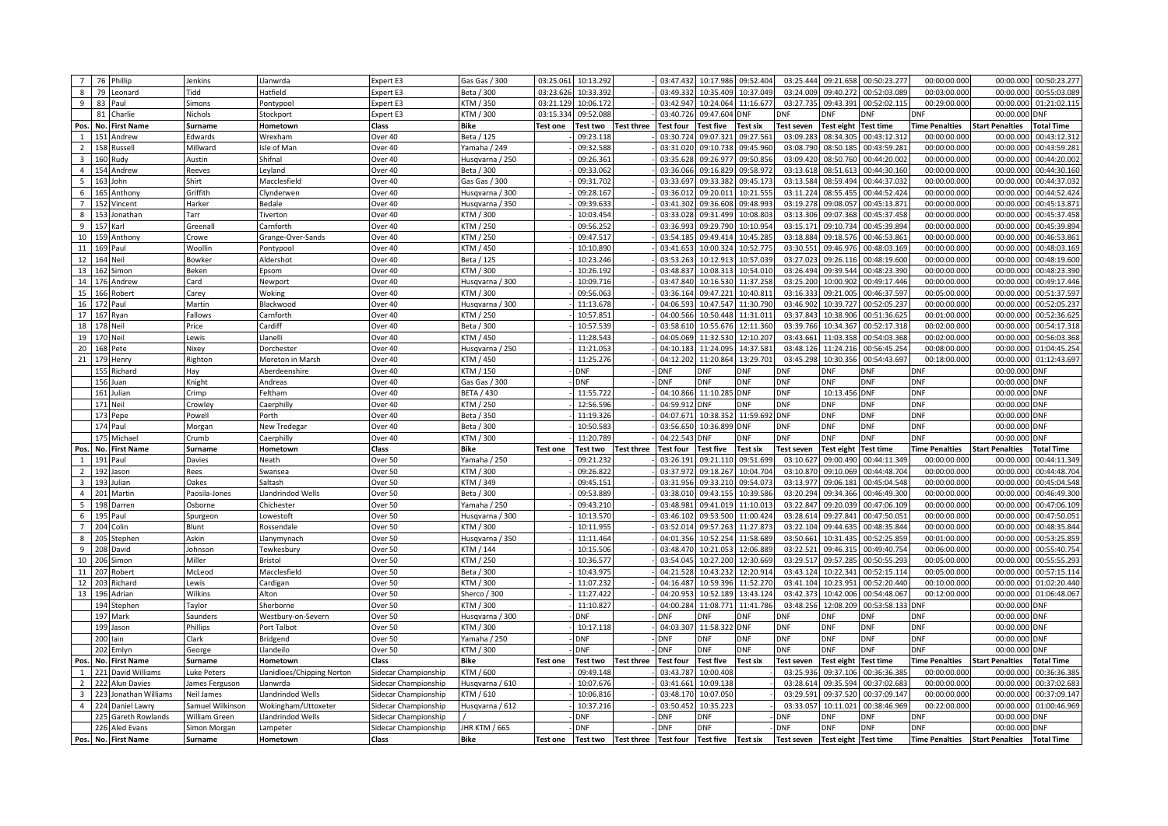| Beta / 300<br>09:40.272<br>79<br>Tidd<br>Hatfield<br>Expert E3<br>03:23.626<br>10:33.392<br>03:49.332<br>10:35.409<br>10:37.049<br>03:24.009<br>00:52:03.089<br>00:03:00.000<br>00:00.000<br>00:55:03.08<br>8<br>Leonard<br>83<br>KTM / 350<br>03:27.73<br>09:43.391<br>00:52:02.11<br>00:29:00.000<br>$\mathbf{q}$<br>03:21.129<br>10:06.172<br>03:42.947<br>10:24.064<br>11:16.677<br>00:00.00<br>01:21:02.115<br>Paul<br>Simons<br>Pontypool<br>Expert E3<br>Charlie<br><b>CTM / 300</b><br>03:15.334<br>09:52.088<br>03:40.726<br>09:47.604<br>81<br>Nichols<br>Stockport<br>Expert E3<br>DNF<br>DNF<br>00:00.00<br><b>ONF</b><br>)NF<br>DNF<br><b>DNF</b><br>No. First Name<br>Bike<br>Test four<br>Test five<br><b>Test eight</b><br>Test time<br><b>Time Penalties</b><br><b>Start Penalties</b><br>otal Time<br>Pos<br>Hometown<br>Class<br><b>Test one</b><br>Test two<br>est three<br><b>Test six</b><br>Test seven<br>Surname<br>09:07.321<br>09:27.561<br>08:34.305<br>151 Andrew<br>Edwards<br>Wrexham<br>Beta / 125<br>09:23.118<br>03:30.724<br>03:09.283<br>00:43:12.312<br>00:00:00.000<br>00:00.000<br>00:43:12.312<br>$\mathbf{1}$<br>Over 40<br>158 Russell<br>Millward<br>09:32.588<br>03:31.020<br>09:10.738<br>09:45.960<br>03:08.790<br>08:50.185<br>00:43:59.281<br>00:00:00.000<br>00:00.00<br>00:43:59.28<br>$\overline{2}$<br>Isle of Man<br>Over 40<br>Yamaha / 249<br>160 Rudy<br>Shifnal<br>09:26.361<br>03:35.628<br>09:26.977<br>09:50.856<br>03:09.420<br>08:50.760<br>00:44:20.002<br>00:00:00.000<br>00:44:20.002<br>$\overline{3}$<br>Austin<br>Over 40<br>Husqvarna / 250<br>00:00.000<br>$\overline{4}$<br>154 Andrew<br>Over 40<br>Beta / 300<br>09:33.062<br>03:36.066<br>09:16.829<br>09:58.972<br>03:13.618<br>08:51.613<br>00:44:30.160<br>00:00:00.000<br>00:00.00<br>00:44:30.160<br>Reeves<br>Leyland<br>09:31.702<br>03:33.697<br>09:33.382<br>09:45.173<br>03:13.584<br>08:59.494<br>00:44:37.032<br>00:00:00.000<br>00:44:37.032<br>5 <sub>5</sub><br>163 John<br>Shirt<br>Macclesfield<br>Over 40<br>Gas Gas / 300<br>00:00.000<br>10:21.555<br>6<br>165 Anthony<br>Griffith<br>Clynderwer<br>Over 40<br>Husqvarna / 300<br>09:28.167<br>03:36.012<br>09:20.011<br>03:11.224<br>08:55.455<br>00:44:52.424<br>00:00:00.000<br>00:00.00<br>00:44:52.424<br>Harker<br>09:39.633<br>03:41.302<br>09:36.608<br>09:48.993<br>03:19.278<br>09:08.057<br>00:45:13.871<br>00:00:00.000<br>00:00.00<br>00:45:13.871<br>$\overline{7}$<br>152 Vincent<br>Bedale<br>Over 40<br>lusqvarna / 350<br>KTM / 300<br>10:03.454<br>09:31.499<br>10:08.80<br>03:13.306<br>8<br>153 Jonathan<br>Tarr<br>Tiverton<br>Over 40<br>03:33.028<br>09:07.368<br>00:45:37.458<br>00:00:00.000<br>00:00.00<br>00:45:37.458<br>Carnforth<br>Over 40<br>KTM / 250<br>09:56.252<br>03:36.993<br>09:29.790<br>03:15.171<br>09:10.734<br>00:45:39.894<br>00:00:00.000<br>00:45:39.894<br>9<br>157 Karl<br>Greenall<br>10:10.954<br>00:00.000<br>KTM / 250<br>09:47.517<br>09:49.414<br>10:45.28<br>03:18.884<br>10<br>159 Anthony<br>Over 40<br>03:54.185<br>09:18.576<br>00:46:53.861<br>00:00:00.000<br>00:00.00<br>00:46:53.86<br>Crowe<br>Grange-Over-Sands<br>11<br>Woollin<br>Over 40<br>KTM / 450<br>10:10.890<br>03:41.653<br>10:00.324<br>10:52.775<br>03:30.551<br>09:46.976<br>00:48:03.169<br>00:00:00.000<br>00:00.000<br>00:48:03.169<br>169 Paul<br>Pontypool<br>12<br>164 Neil<br>Beta / 125<br>10:23.246<br>03:53.263<br>10:12.913<br>10:57.03<br>03:27.02<br>09:26.11<br>00:48:19.600<br>00:00:00.00<br>00:00.00<br>00:48:19.60<br>Bowker<br>Aldershot<br>Over 40<br>13<br>162 Simon<br>Beken<br>Over 40<br>KTM / 300<br>10:26.192<br>03:48.837<br>10:08.313<br>10:54.010<br>03:26.494<br>09:39.544<br>00:48:23.390<br>00:00:00.000<br>00:00.000<br>00:48:23.39<br>Epsom<br>03:25.200<br>10:00.902<br>14<br>176 Andrew<br>Card<br>Over 40<br>lusqvarna / 300<br>10:09.716<br>03:47.840<br>10:16.530<br>11:37.258<br>00:49:17.446<br>00:00:00.000<br>00:00.000<br>00:49:17.446<br>Newport<br>15<br>09:56.063<br>09:47.221<br>03:16.333<br>00:46:37.597<br>166 Robert<br>Carey<br>Woking<br>Over 40<br><b>CTM / 300</b><br>03:36.164<br>10:40.811<br>09:21.005<br>00:05:00.000<br>00:00.000<br>00:51:37.597<br>11:13.678<br>04:06.593<br>10:47.547<br>11:30.790<br>03:46.902<br>10:39.727<br>00:52:05.237<br>00:00:00.000<br>00:52:05.237<br>16<br>172 Paul<br>Martin<br>Blackwood<br>Over 40<br>lusqvarna / 300<br>00:00.000<br>Fallows<br>10:57.851<br>04:00.566<br>10:50.448<br>11:31.011<br>03:37.843<br>10:38.906<br>00:51:36.625<br>00:52:36.625<br>17 167 Ryan<br>Carnforth<br>Over 40<br>TM / 250<br>00:01:00.000<br>00:00.000<br>03:39.766<br>Cardiff<br>Over 40<br>Beta / 300<br>10:57.539<br>03:58.610<br>10:55.676<br>12:11.360<br>10:34.367<br>00:52:17.318<br>00:02:00.000<br>00:00.000<br>00:54:17.318<br>18<br>178 Neil<br>Price<br>19<br>170 Neil<br>Llanelli<br>KTM / 450<br>11:28.543<br>04:05.069<br>11:32.530<br>12:10.207<br>03:43.661<br>11:03.358<br>00:54:03.368<br>00:02:00.000<br>00:00.000<br>Lewis<br>Over 40<br>00:56:03.368<br>11:21.053<br>03:48.126<br>00:56:45.254<br>00:08:00.000<br>20<br>Nixey<br>Over 40<br>04:10.183<br>11:24.095<br>14:37.581<br>11:24.216<br>00:00.000<br>01:04:45.254<br>168 Pete<br>Dorchester<br>Husqvarna / 250<br>21<br>179 Henry<br>KTM / 450<br>11:25.276<br>04:12.202<br>11:20.864<br>13:29.701<br>03:45.298<br>10:30.356<br>00:54:43.697<br>00:18:00.000<br>00:00.000<br>01:12:43.697<br>Righton<br>Moreton in Marsh<br>Over 40<br>Richard<br>Over 40<br>KTM / 150<br><b>DNF</b><br>DNF<br>00:00.000 DNF<br>155<br>Hay<br>Aberdeenshire<br>DNF<br>DNF<br>ONF<br><b>DNF</b><br>DNF<br>)NF<br>156<br>DNF<br>DNF<br><b>DNF</b><br><b>DNF</b><br>DNF<br><b>DNF</b><br><b>DNF</b><br>Over 40<br><b>DNF</b><br>00:00.000<br><b>DNF</b><br>Juan<br>Knight<br>Andreas<br>Gas Gas / 300<br>161 Julian<br>BETA / 430<br>11:55.722<br>04:10.866<br>11:10.285<br><b>DNF</b><br>DNF<br>10:13.456<br><b>DNF</b><br><b>DNF</b><br>Crimp<br>Feltham<br>Over 40<br>00:00.000<br>DNF<br>12:56.596<br>DNF<br><b>DNF</b><br><b>DNF</b><br>171 Neil<br>Over 40<br>KTM / 250<br>04:59.912<br>DNF<br><b>DNF</b><br><b>DNF</b><br>00:00.00<br>DNF<br>Crowley<br>Caerphil<br><b>DNF</b><br>173 Pepe<br>11:19.326<br>11:59.6<br><b>DNF</b><br><b>DNF</b><br>Powell<br>Porth<br>Over 40<br>Beta / 350<br>04:07.671<br>10:38.352<br><b>DNF</b><br>00:00.000 DNF<br>174 Paul<br>10:50.58<br>03:56.650<br>DNF<br><b>DNF</b><br><b>DNF</b><br><b>DNF</b><br>00:00.000 DNF<br>Morgan<br>Over 40<br>Beta / 300<br>10:36.899<br>DNF<br>New Tredegar<br><b>DNF</b><br>DNF<br>175 Michael<br>KTM / 300<br>11:20.789<br>04:22.543 DNF<br>DNF<br>DNF<br><b>DNF</b><br>00:00.000<br><b>DNF</b><br>Crumb<br>Caerphilly<br>Over 40<br>Pos<br>No. First Name<br>Class<br><b>Bike</b><br><b>Test one</b><br>Test two<br><b>Test three</b><br><b>Test four</b><br><b>Test five</b><br>Test six<br>Test seven<br><b>Test eight</b><br><b>Test time</b><br><b>Time Penalties</b><br><b>Start Penalties</b><br>Total Time<br>Surname<br>Hometown<br>09:00.490<br>191 Paul<br>Over 50<br>Yamaha / 250<br>09:21.232<br>03:26.191<br>09:21.110<br>09:51.699<br>03:10.627<br>00:44:11.349<br>00:00:00.000<br>00:00.000<br>00:44:11.349<br>1<br>Davies<br>Neath<br>192 Jason<br>Over 50<br>KTM / 300<br>09:26.822<br>03:37.972<br>09:18.267<br>10:04.704<br>03:10.870<br>09:10.069<br>00:44:48.704<br>00:00:00.000<br>00:00.00<br>00:44:48.704<br>$\overline{2}$<br>Rees<br>Swansea<br>$\overline{3}$<br>193 Julian<br>Saltash<br>TM / 349<br>09:45.151<br>03:31.956<br>09:33.210<br>09:54.073<br>03:13.977<br>09:06.181<br>00:45:04.548<br>00:00:00.000<br>00:00.00<br>00:45:04.548<br>Oakes<br>Over 50<br>09:53.889<br>10:39.586<br>$\overline{4}$<br>201 Martin<br>Llandrindod Wells<br>Over 50<br>Beta / 300<br>03:38.010<br>09:43.155<br>03:20.294<br>09:34.366<br>00:46:49.300<br>00:00:00.000<br>00:00.00<br>00:46:49.30<br>Paosila-Jones<br>09:43.210<br>03:22.847<br>00:00:00.000<br>198 Darren<br>Osborne<br>Chichester<br>Over 50<br>Yamaha / 250<br>03:48.981<br>09:41.019<br>11:10.013<br>09:20.039<br>00:47:06.109<br>00:00.000<br>00:47:06.109<br>5<br>09:53.500<br>03:28.614<br>6<br>195<br>Over 50<br>lusqvarna / 300<br>10:13.570<br>03:46.102<br>11:00.424<br>09:27.841<br>00:47:50.051<br>00:00:00.000<br>00:00.00<br>00:47:50.05<br>Paul<br>Spurgeor<br>Lowestoft<br>204 Colin<br>KTM / 300<br>10:11.955<br>03:52.014<br>09:57.263<br>11:27.873<br>03:22.104<br>09:44.635<br>00:48:35.844<br>00:00:00.000<br>00:00.000<br>00:48:35.844<br>$\overline{7}$<br>Blunt<br>Rossendale<br>Over 50<br>11:11.464<br>10:52.254<br>11:58.68<br>03:50.661<br>8<br>205<br>Stephen<br>Askin<br>Llanymynach<br>Over 50<br>Husqvarna / 350<br>04:01.356<br>10:31.435<br>00:52:25.859<br>00:01:00.000<br>00:00.00<br>00:53:25.859<br>Johnson<br>Over 50<br>KTM / 144<br>10:15.506<br>03:48.470<br>10:21.053<br>12:06.88<br>03:22.521<br>09:46.315<br>00:49:40.754<br>00:06:00.000<br>00:00.000<br>00:55:40.754<br>9<br>208 David<br>Tewkesbury<br>KTM / 250<br>10:36.577<br>03:54.045<br>10:27.200<br>03:29.51<br>09:57.28<br>10<br>206<br>Miller<br>Bristol<br>Over 50<br>12:30.66<br>00:50:55.293<br>00:05:00.000<br>00:00.00<br>00:55:55.29<br>Simon<br>11<br>Robert<br>McLeod<br>Macclesfield<br>Over 50<br>Beta / 300<br>10:43.975<br>04:21.528<br>10:43.232<br>12:20.914<br>03:43.124<br>10:22.341<br>00:52:15.114<br>00:05:00.000<br>00:00.00<br>00:57:15.114<br>207<br>12<br><b>CTM / 300</b><br>11:07.23<br>04:16.487<br>10:59.396<br>11:52.27<br>03:41.104<br>10:23.95<br>00:52:20.440<br>00:10:00.00<br>00:00.00<br>01:02:20.440<br>203<br>Richard<br>Lewis<br>Cardigan<br>Over 50<br>03:42.37<br>13<br>196 Adrian<br>Wilkins<br>Alton<br>Over 50<br>Sherco / 300<br>11:27.422<br>04:20.953<br>10:52.189<br>13:43.124<br>10:42.006<br>00:54:48.067<br>00:12:00.000<br>00:00.000<br>01:06:48.067<br>194 Stepher<br>Over 50<br>KTM / 300<br>11:10.82<br>04:00.284<br>11:08.771<br>11:41.78<br>03:48.25<br>12:08.20<br>00:53:58.133<br>00:00.000<br><b>DNF</b><br>Taylor<br>Sherborne<br>DNF |
|--------------------------------------------------------------------------------------------------------------------------------------------------------------------------------------------------------------------------------------------------------------------------------------------------------------------------------------------------------------------------------------------------------------------------------------------------------------------------------------------------------------------------------------------------------------------------------------------------------------------------------------------------------------------------------------------------------------------------------------------------------------------------------------------------------------------------------------------------------------------------------------------------------------------------------------------------------------------------------------------------------------------------------------------------------------------------------------------------------------------------------------------------------------------------------------------------------------------------------------------------------------------------------------------------------------------------------------------------------------------------------------------------------------------------------------------------------------------------------------------------------------------------------------------------------------------------------------------------------------------------------------------------------------------------------------------------------------------------------------------------------------------------------------------------------------------------------------------------------------------------------------------------------------------------------------------------------------------------------------------------------------------------------------------------------------------------------------------------------------------------------------------------------------------------------------------------------------------------------------------------------------------------------------------------------------------------------------------------------------------------------------------------------------------------------------------------------------------------------------------------------------------------------------------------------------------------------------------------------------------------------------------------------------------------------------------------------------------------------------------------------------------------------------------------------------------------------------------------------------------------------------------------------------------------------------------------------------------------------------------------------------------------------------------------------------------------------------------------------------------------------------------------------------------------------------------------------------------------------------------------------------------------------------------------------------------------------------------------------------------------------------------------------------------------------------------------------------------------------------------------------------------------------------------------------------------------------------------------------------------------------------------------------------------------------------------------------------------------------------------------------------------------------------------------------------------------------------------------------------------------------------------------------------------------------------------------------------------------------------------------------------------------------------------------------------------------------------------------------------------------------------------------------------------------------------------------------------------------------------------------------------------------------------------------------------------------------------------------------------------------------------------------------------------------------------------------------------------------------------------------------------------------------------------------------------------------------------------------------------------------------------------------------------------------------------------------------------------------------------------------------------------------------------------------------------------------------------------------------------------------------------------------------------------------------------------------------------------------------------------------------------------------------------------------------------------------------------------------------------------------------------------------------------------------------------------------------------------------------------------------------------------------------------------------------------------------------------------------------------------------------------------------------------------------------------------------------------------------------------------------------------------------------------------------------------------------------------------------------------------------------------------------------------------------------------------------------------------------------------------------------------------------------------------------------------------------------------------------------------------------------------------------------------------------------------------------------------------------------------------------------------------------------------------------------------------------------------------------------------------------------------------------------------------------------------------------------------------------------------------------------------------------------------------------------------------------------------------------------------------------------------------------------------------------------------------------------------------------------------------------------------------------------------------------------------------------------------------------------------------------------------------------------------------------------------------------------------------------------------------------------------------------------------------------------------------------------------------------------------------------------------------------------------------------------------------------------------------------------------------------------------------------------------------------------------------------------------------------------------------------------------------------------------------------------------------------------------------------------------------------------------------------------------------------------------------------------------------------------------------------------------------------------------------------------------------------------------------------------------------------------------------------------------------------------------------------------------------------------------------------------------------------------------------------------------------------------------------------------------------------------------------------------------------------------------------------------------------------------------------------------------------------------------------------------------------------------------------------------------------------------------------------------------------------------------------------------------------------------------------------------------------------------------------------------------------------------------------------------------------------------------------------------------------------------------------------------------------------------------------------------------------------------------------------------------------------------------------------------------------------------------------------------------------------------------------------------------------------------------------------------------------------------------------------------------------------------------------------------------------------------------------------------------------------------------------------------------------------------------------------------------------------------------------------------------------------------------------------------------------------------------------------------------------------------------------------------------------------------------------------------------------------------------------------------------------------------------------------------------------------------------------------------------------------------------------------------------------------------------------------------------------------------------------------------------------------------------------------------------------------------------------------------------------------------------------------------------------------------------------------------------------------------------------------------------------------------------------------------------------------------------------------------------------------------------------------------------------------------------------------------------------------------------------------------------------------------------------------------------------------------------------------------------------------------------------------------------------------------------------------------------------------------|
|                                                                                                                                                                                                                                                                                                                                                                                                                                                                                                                                                                                                                                                                                                                                                                                                                                                                                                                                                                                                                                                                                                                                                                                                                                                                                                                                                                                                                                                                                                                                                                                                                                                                                                                                                                                                                                                                                                                                                                                                                                                                                                                                                                                                                                                                                                                                                                                                                                                                                                                                                                                                                                                                                                                                                                                                                                                                                                                                                                                                                                                                                                                                                                                                                                                                                                                                                                                                                                                                                                                                                                                                                                                                                                                                                                                                                                                                                                                                                                                                                                                                                                                                                                                                                                                                                                                                                                                                                                                                                                                                                                                                                                                                                                                                                                                                                                                                                                                                                                                                                                                                                                                                                                                                                                                                                                                                                                                                                                                                                                                                                                                                                                                                                                                                                                                                                                                                                                                                                                                                                                                                                                                                                                                                                                                                                                                                                                                                                                                                                                                                                                                                                                                                                                                                                                                                                                                                                                                                                                                                                                                                                                                                                                                                                                                                                                                                                                                                                                                                                                                                                                                                                                                                                                                                                                                                                                                                                                                                                                                                                                                                                                                                                                                                                                                                                                                                                                                                                                                                                                                                                                                                                                                                                                                                                                                                                                                                                                                                                                                                                                                                                                                                                                                                                                                                                                                                                                                                                                                                                                                                                                                                                                                                                                                                                                                                                                                                                                                                                                                                                                                                                                                                                        |
|                                                                                                                                                                                                                                                                                                                                                                                                                                                                                                                                                                                                                                                                                                                                                                                                                                                                                                                                                                                                                                                                                                                                                                                                                                                                                                                                                                                                                                                                                                                                                                                                                                                                                                                                                                                                                                                                                                                                                                                                                                                                                                                                                                                                                                                                                                                                                                                                                                                                                                                                                                                                                                                                                                                                                                                                                                                                                                                                                                                                                                                                                                                                                                                                                                                                                                                                                                                                                                                                                                                                                                                                                                                                                                                                                                                                                                                                                                                                                                                                                                                                                                                                                                                                                                                                                                                                                                                                                                                                                                                                                                                                                                                                                                                                                                                                                                                                                                                                                                                                                                                                                                                                                                                                                                                                                                                                                                                                                                                                                                                                                                                                                                                                                                                                                                                                                                                                                                                                                                                                                                                                                                                                                                                                                                                                                                                                                                                                                                                                                                                                                                                                                                                                                                                                                                                                                                                                                                                                                                                                                                                                                                                                                                                                                                                                                                                                                                                                                                                                                                                                                                                                                                                                                                                                                                                                                                                                                                                                                                                                                                                                                                                                                                                                                                                                                                                                                                                                                                                                                                                                                                                                                                                                                                                                                                                                                                                                                                                                                                                                                                                                                                                                                                                                                                                                                                                                                                                                                                                                                                                                                                                                                                                                                                                                                                                                                                                                                                                                                                                                                                                                                                                                                        |
|                                                                                                                                                                                                                                                                                                                                                                                                                                                                                                                                                                                                                                                                                                                                                                                                                                                                                                                                                                                                                                                                                                                                                                                                                                                                                                                                                                                                                                                                                                                                                                                                                                                                                                                                                                                                                                                                                                                                                                                                                                                                                                                                                                                                                                                                                                                                                                                                                                                                                                                                                                                                                                                                                                                                                                                                                                                                                                                                                                                                                                                                                                                                                                                                                                                                                                                                                                                                                                                                                                                                                                                                                                                                                                                                                                                                                                                                                                                                                                                                                                                                                                                                                                                                                                                                                                                                                                                                                                                                                                                                                                                                                                                                                                                                                                                                                                                                                                                                                                                                                                                                                                                                                                                                                                                                                                                                                                                                                                                                                                                                                                                                                                                                                                                                                                                                                                                                                                                                                                                                                                                                                                                                                                                                                                                                                                                                                                                                                                                                                                                                                                                                                                                                                                                                                                                                                                                                                                                                                                                                                                                                                                                                                                                                                                                                                                                                                                                                                                                                                                                                                                                                                                                                                                                                                                                                                                                                                                                                                                                                                                                                                                                                                                                                                                                                                                                                                                                                                                                                                                                                                                                                                                                                                                                                                                                                                                                                                                                                                                                                                                                                                                                                                                                                                                                                                                                                                                                                                                                                                                                                                                                                                                                                                                                                                                                                                                                                                                                                                                                                                                                                                                                                                        |
|                                                                                                                                                                                                                                                                                                                                                                                                                                                                                                                                                                                                                                                                                                                                                                                                                                                                                                                                                                                                                                                                                                                                                                                                                                                                                                                                                                                                                                                                                                                                                                                                                                                                                                                                                                                                                                                                                                                                                                                                                                                                                                                                                                                                                                                                                                                                                                                                                                                                                                                                                                                                                                                                                                                                                                                                                                                                                                                                                                                                                                                                                                                                                                                                                                                                                                                                                                                                                                                                                                                                                                                                                                                                                                                                                                                                                                                                                                                                                                                                                                                                                                                                                                                                                                                                                                                                                                                                                                                                                                                                                                                                                                                                                                                                                                                                                                                                                                                                                                                                                                                                                                                                                                                                                                                                                                                                                                                                                                                                                                                                                                                                                                                                                                                                                                                                                                                                                                                                                                                                                                                                                                                                                                                                                                                                                                                                                                                                                                                                                                                                                                                                                                                                                                                                                                                                                                                                                                                                                                                                                                                                                                                                                                                                                                                                                                                                                                                                                                                                                                                                                                                                                                                                                                                                                                                                                                                                                                                                                                                                                                                                                                                                                                                                                                                                                                                                                                                                                                                                                                                                                                                                                                                                                                                                                                                                                                                                                                                                                                                                                                                                                                                                                                                                                                                                                                                                                                                                                                                                                                                                                                                                                                                                                                                                                                                                                                                                                                                                                                                                                                                                                                                                                        |
|                                                                                                                                                                                                                                                                                                                                                                                                                                                                                                                                                                                                                                                                                                                                                                                                                                                                                                                                                                                                                                                                                                                                                                                                                                                                                                                                                                                                                                                                                                                                                                                                                                                                                                                                                                                                                                                                                                                                                                                                                                                                                                                                                                                                                                                                                                                                                                                                                                                                                                                                                                                                                                                                                                                                                                                                                                                                                                                                                                                                                                                                                                                                                                                                                                                                                                                                                                                                                                                                                                                                                                                                                                                                                                                                                                                                                                                                                                                                                                                                                                                                                                                                                                                                                                                                                                                                                                                                                                                                                                                                                                                                                                                                                                                                                                                                                                                                                                                                                                                                                                                                                                                                                                                                                                                                                                                                                                                                                                                                                                                                                                                                                                                                                                                                                                                                                                                                                                                                                                                                                                                                                                                                                                                                                                                                                                                                                                                                                                                                                                                                                                                                                                                                                                                                                                                                                                                                                                                                                                                                                                                                                                                                                                                                                                                                                                                                                                                                                                                                                                                                                                                                                                                                                                                                                                                                                                                                                                                                                                                                                                                                                                                                                                                                                                                                                                                                                                                                                                                                                                                                                                                                                                                                                                                                                                                                                                                                                                                                                                                                                                                                                                                                                                                                                                                                                                                                                                                                                                                                                                                                                                                                                                                                                                                                                                                                                                                                                                                                                                                                                                                                                                                                                        |
|                                                                                                                                                                                                                                                                                                                                                                                                                                                                                                                                                                                                                                                                                                                                                                                                                                                                                                                                                                                                                                                                                                                                                                                                                                                                                                                                                                                                                                                                                                                                                                                                                                                                                                                                                                                                                                                                                                                                                                                                                                                                                                                                                                                                                                                                                                                                                                                                                                                                                                                                                                                                                                                                                                                                                                                                                                                                                                                                                                                                                                                                                                                                                                                                                                                                                                                                                                                                                                                                                                                                                                                                                                                                                                                                                                                                                                                                                                                                                                                                                                                                                                                                                                                                                                                                                                                                                                                                                                                                                                                                                                                                                                                                                                                                                                                                                                                                                                                                                                                                                                                                                                                                                                                                                                                                                                                                                                                                                                                                                                                                                                                                                                                                                                                                                                                                                                                                                                                                                                                                                                                                                                                                                                                                                                                                                                                                                                                                                                                                                                                                                                                                                                                                                                                                                                                                                                                                                                                                                                                                                                                                                                                                                                                                                                                                                                                                                                                                                                                                                                                                                                                                                                                                                                                                                                                                                                                                                                                                                                                                                                                                                                                                                                                                                                                                                                                                                                                                                                                                                                                                                                                                                                                                                                                                                                                                                                                                                                                                                                                                                                                                                                                                                                                                                                                                                                                                                                                                                                                                                                                                                                                                                                                                                                                                                                                                                                                                                                                                                                                                                                                                                                                                                        |
|                                                                                                                                                                                                                                                                                                                                                                                                                                                                                                                                                                                                                                                                                                                                                                                                                                                                                                                                                                                                                                                                                                                                                                                                                                                                                                                                                                                                                                                                                                                                                                                                                                                                                                                                                                                                                                                                                                                                                                                                                                                                                                                                                                                                                                                                                                                                                                                                                                                                                                                                                                                                                                                                                                                                                                                                                                                                                                                                                                                                                                                                                                                                                                                                                                                                                                                                                                                                                                                                                                                                                                                                                                                                                                                                                                                                                                                                                                                                                                                                                                                                                                                                                                                                                                                                                                                                                                                                                                                                                                                                                                                                                                                                                                                                                                                                                                                                                                                                                                                                                                                                                                                                                                                                                                                                                                                                                                                                                                                                                                                                                                                                                                                                                                                                                                                                                                                                                                                                                                                                                                                                                                                                                                                                                                                                                                                                                                                                                                                                                                                                                                                                                                                                                                                                                                                                                                                                                                                                                                                                                                                                                                                                                                                                                                                                                                                                                                                                                                                                                                                                                                                                                                                                                                                                                                                                                                                                                                                                                                                                                                                                                                                                                                                                                                                                                                                                                                                                                                                                                                                                                                                                                                                                                                                                                                                                                                                                                                                                                                                                                                                                                                                                                                                                                                                                                                                                                                                                                                                                                                                                                                                                                                                                                                                                                                                                                                                                                                                                                                                                                                                                                                                                                        |
|                                                                                                                                                                                                                                                                                                                                                                                                                                                                                                                                                                                                                                                                                                                                                                                                                                                                                                                                                                                                                                                                                                                                                                                                                                                                                                                                                                                                                                                                                                                                                                                                                                                                                                                                                                                                                                                                                                                                                                                                                                                                                                                                                                                                                                                                                                                                                                                                                                                                                                                                                                                                                                                                                                                                                                                                                                                                                                                                                                                                                                                                                                                                                                                                                                                                                                                                                                                                                                                                                                                                                                                                                                                                                                                                                                                                                                                                                                                                                                                                                                                                                                                                                                                                                                                                                                                                                                                                                                                                                                                                                                                                                                                                                                                                                                                                                                                                                                                                                                                                                                                                                                                                                                                                                                                                                                                                                                                                                                                                                                                                                                                                                                                                                                                                                                                                                                                                                                                                                                                                                                                                                                                                                                                                                                                                                                                                                                                                                                                                                                                                                                                                                                                                                                                                                                                                                                                                                                                                                                                                                                                                                                                                                                                                                                                                                                                                                                                                                                                                                                                                                                                                                                                                                                                                                                                                                                                                                                                                                                                                                                                                                                                                                                                                                                                                                                                                                                                                                                                                                                                                                                                                                                                                                                                                                                                                                                                                                                                                                                                                                                                                                                                                                                                                                                                                                                                                                                                                                                                                                                                                                                                                                                                                                                                                                                                                                                                                                                                                                                                                                                                                                                                                                        |
|                                                                                                                                                                                                                                                                                                                                                                                                                                                                                                                                                                                                                                                                                                                                                                                                                                                                                                                                                                                                                                                                                                                                                                                                                                                                                                                                                                                                                                                                                                                                                                                                                                                                                                                                                                                                                                                                                                                                                                                                                                                                                                                                                                                                                                                                                                                                                                                                                                                                                                                                                                                                                                                                                                                                                                                                                                                                                                                                                                                                                                                                                                                                                                                                                                                                                                                                                                                                                                                                                                                                                                                                                                                                                                                                                                                                                                                                                                                                                                                                                                                                                                                                                                                                                                                                                                                                                                                                                                                                                                                                                                                                                                                                                                                                                                                                                                                                                                                                                                                                                                                                                                                                                                                                                                                                                                                                                                                                                                                                                                                                                                                                                                                                                                                                                                                                                                                                                                                                                                                                                                                                                                                                                                                                                                                                                                                                                                                                                                                                                                                                                                                                                                                                                                                                                                                                                                                                                                                                                                                                                                                                                                                                                                                                                                                                                                                                                                                                                                                                                                                                                                                                                                                                                                                                                                                                                                                                                                                                                                                                                                                                                                                                                                                                                                                                                                                                                                                                                                                                                                                                                                                                                                                                                                                                                                                                                                                                                                                                                                                                                                                                                                                                                                                                                                                                                                                                                                                                                                                                                                                                                                                                                                                                                                                                                                                                                                                                                                                                                                                                                                                                                                                                                        |
|                                                                                                                                                                                                                                                                                                                                                                                                                                                                                                                                                                                                                                                                                                                                                                                                                                                                                                                                                                                                                                                                                                                                                                                                                                                                                                                                                                                                                                                                                                                                                                                                                                                                                                                                                                                                                                                                                                                                                                                                                                                                                                                                                                                                                                                                                                                                                                                                                                                                                                                                                                                                                                                                                                                                                                                                                                                                                                                                                                                                                                                                                                                                                                                                                                                                                                                                                                                                                                                                                                                                                                                                                                                                                                                                                                                                                                                                                                                                                                                                                                                                                                                                                                                                                                                                                                                                                                                                                                                                                                                                                                                                                                                                                                                                                                                                                                                                                                                                                                                                                                                                                                                                                                                                                                                                                                                                                                                                                                                                                                                                                                                                                                                                                                                                                                                                                                                                                                                                                                                                                                                                                                                                                                                                                                                                                                                                                                                                                                                                                                                                                                                                                                                                                                                                                                                                                                                                                                                                                                                                                                                                                                                                                                                                                                                                                                                                                                                                                                                                                                                                                                                                                                                                                                                                                                                                                                                                                                                                                                                                                                                                                                                                                                                                                                                                                                                                                                                                                                                                                                                                                                                                                                                                                                                                                                                                                                                                                                                                                                                                                                                                                                                                                                                                                                                                                                                                                                                                                                                                                                                                                                                                                                                                                                                                                                                                                                                                                                                                                                                                                                                                                                                                                        |
|                                                                                                                                                                                                                                                                                                                                                                                                                                                                                                                                                                                                                                                                                                                                                                                                                                                                                                                                                                                                                                                                                                                                                                                                                                                                                                                                                                                                                                                                                                                                                                                                                                                                                                                                                                                                                                                                                                                                                                                                                                                                                                                                                                                                                                                                                                                                                                                                                                                                                                                                                                                                                                                                                                                                                                                                                                                                                                                                                                                                                                                                                                                                                                                                                                                                                                                                                                                                                                                                                                                                                                                                                                                                                                                                                                                                                                                                                                                                                                                                                                                                                                                                                                                                                                                                                                                                                                                                                                                                                                                                                                                                                                                                                                                                                                                                                                                                                                                                                                                                                                                                                                                                                                                                                                                                                                                                                                                                                                                                                                                                                                                                                                                                                                                                                                                                                                                                                                                                                                                                                                                                                                                                                                                                                                                                                                                                                                                                                                                                                                                                                                                                                                                                                                                                                                                                                                                                                                                                                                                                                                                                                                                                                                                                                                                                                                                                                                                                                                                                                                                                                                                                                                                                                                                                                                                                                                                                                                                                                                                                                                                                                                                                                                                                                                                                                                                                                                                                                                                                                                                                                                                                                                                                                                                                                                                                                                                                                                                                                                                                                                                                                                                                                                                                                                                                                                                                                                                                                                                                                                                                                                                                                                                                                                                                                                                                                                                                                                                                                                                                                                                                                                                                                        |
|                                                                                                                                                                                                                                                                                                                                                                                                                                                                                                                                                                                                                                                                                                                                                                                                                                                                                                                                                                                                                                                                                                                                                                                                                                                                                                                                                                                                                                                                                                                                                                                                                                                                                                                                                                                                                                                                                                                                                                                                                                                                                                                                                                                                                                                                                                                                                                                                                                                                                                                                                                                                                                                                                                                                                                                                                                                                                                                                                                                                                                                                                                                                                                                                                                                                                                                                                                                                                                                                                                                                                                                                                                                                                                                                                                                                                                                                                                                                                                                                                                                                                                                                                                                                                                                                                                                                                                                                                                                                                                                                                                                                                                                                                                                                                                                                                                                                                                                                                                                                                                                                                                                                                                                                                                                                                                                                                                                                                                                                                                                                                                                                                                                                                                                                                                                                                                                                                                                                                                                                                                                                                                                                                                                                                                                                                                                                                                                                                                                                                                                                                                                                                                                                                                                                                                                                                                                                                                                                                                                                                                                                                                                                                                                                                                                                                                                                                                                                                                                                                                                                                                                                                                                                                                                                                                                                                                                                                                                                                                                                                                                                                                                                                                                                                                                                                                                                                                                                                                                                                                                                                                                                                                                                                                                                                                                                                                                                                                                                                                                                                                                                                                                                                                                                                                                                                                                                                                                                                                                                                                                                                                                                                                                                                                                                                                                                                                                                                                                                                                                                                                                                                                                                                        |
|                                                                                                                                                                                                                                                                                                                                                                                                                                                                                                                                                                                                                                                                                                                                                                                                                                                                                                                                                                                                                                                                                                                                                                                                                                                                                                                                                                                                                                                                                                                                                                                                                                                                                                                                                                                                                                                                                                                                                                                                                                                                                                                                                                                                                                                                                                                                                                                                                                                                                                                                                                                                                                                                                                                                                                                                                                                                                                                                                                                                                                                                                                                                                                                                                                                                                                                                                                                                                                                                                                                                                                                                                                                                                                                                                                                                                                                                                                                                                                                                                                                                                                                                                                                                                                                                                                                                                                                                                                                                                                                                                                                                                                                                                                                                                                                                                                                                                                                                                                                                                                                                                                                                                                                                                                                                                                                                                                                                                                                                                                                                                                                                                                                                                                                                                                                                                                                                                                                                                                                                                                                                                                                                                                                                                                                                                                                                                                                                                                                                                                                                                                                                                                                                                                                                                                                                                                                                                                                                                                                                                                                                                                                                                                                                                                                                                                                                                                                                                                                                                                                                                                                                                                                                                                                                                                                                                                                                                                                                                                                                                                                                                                                                                                                                                                                                                                                                                                                                                                                                                                                                                                                                                                                                                                                                                                                                                                                                                                                                                                                                                                                                                                                                                                                                                                                                                                                                                                                                                                                                                                                                                                                                                                                                                                                                                                                                                                                                                                                                                                                                                                                                                                                                                        |
|                                                                                                                                                                                                                                                                                                                                                                                                                                                                                                                                                                                                                                                                                                                                                                                                                                                                                                                                                                                                                                                                                                                                                                                                                                                                                                                                                                                                                                                                                                                                                                                                                                                                                                                                                                                                                                                                                                                                                                                                                                                                                                                                                                                                                                                                                                                                                                                                                                                                                                                                                                                                                                                                                                                                                                                                                                                                                                                                                                                                                                                                                                                                                                                                                                                                                                                                                                                                                                                                                                                                                                                                                                                                                                                                                                                                                                                                                                                                                                                                                                                                                                                                                                                                                                                                                                                                                                                                                                                                                                                                                                                                                                                                                                                                                                                                                                                                                                                                                                                                                                                                                                                                                                                                                                                                                                                                                                                                                                                                                                                                                                                                                                                                                                                                                                                                                                                                                                                                                                                                                                                                                                                                                                                                                                                                                                                                                                                                                                                                                                                                                                                                                                                                                                                                                                                                                                                                                                                                                                                                                                                                                                                                                                                                                                                                                                                                                                                                                                                                                                                                                                                                                                                                                                                                                                                                                                                                                                                                                                                                                                                                                                                                                                                                                                                                                                                                                                                                                                                                                                                                                                                                                                                                                                                                                                                                                                                                                                                                                                                                                                                                                                                                                                                                                                                                                                                                                                                                                                                                                                                                                                                                                                                                                                                                                                                                                                                                                                                                                                                                                                                                                                                                                        |
|                                                                                                                                                                                                                                                                                                                                                                                                                                                                                                                                                                                                                                                                                                                                                                                                                                                                                                                                                                                                                                                                                                                                                                                                                                                                                                                                                                                                                                                                                                                                                                                                                                                                                                                                                                                                                                                                                                                                                                                                                                                                                                                                                                                                                                                                                                                                                                                                                                                                                                                                                                                                                                                                                                                                                                                                                                                                                                                                                                                                                                                                                                                                                                                                                                                                                                                                                                                                                                                                                                                                                                                                                                                                                                                                                                                                                                                                                                                                                                                                                                                                                                                                                                                                                                                                                                                                                                                                                                                                                                                                                                                                                                                                                                                                                                                                                                                                                                                                                                                                                                                                                                                                                                                                                                                                                                                                                                                                                                                                                                                                                                                                                                                                                                                                                                                                                                                                                                                                                                                                                                                                                                                                                                                                                                                                                                                                                                                                                                                                                                                                                                                                                                                                                                                                                                                                                                                                                                                                                                                                                                                                                                                                                                                                                                                                                                                                                                                                                                                                                                                                                                                                                                                                                                                                                                                                                                                                                                                                                                                                                                                                                                                                                                                                                                                                                                                                                                                                                                                                                                                                                                                                                                                                                                                                                                                                                                                                                                                                                                                                                                                                                                                                                                                                                                                                                                                                                                                                                                                                                                                                                                                                                                                                                                                                                                                                                                                                                                                                                                                                                                                                                                                                                        |
|                                                                                                                                                                                                                                                                                                                                                                                                                                                                                                                                                                                                                                                                                                                                                                                                                                                                                                                                                                                                                                                                                                                                                                                                                                                                                                                                                                                                                                                                                                                                                                                                                                                                                                                                                                                                                                                                                                                                                                                                                                                                                                                                                                                                                                                                                                                                                                                                                                                                                                                                                                                                                                                                                                                                                                                                                                                                                                                                                                                                                                                                                                                                                                                                                                                                                                                                                                                                                                                                                                                                                                                                                                                                                                                                                                                                                                                                                                                                                                                                                                                                                                                                                                                                                                                                                                                                                                                                                                                                                                                                                                                                                                                                                                                                                                                                                                                                                                                                                                                                                                                                                                                                                                                                                                                                                                                                                                                                                                                                                                                                                                                                                                                                                                                                                                                                                                                                                                                                                                                                                                                                                                                                                                                                                                                                                                                                                                                                                                                                                                                                                                                                                                                                                                                                                                                                                                                                                                                                                                                                                                                                                                                                                                                                                                                                                                                                                                                                                                                                                                                                                                                                                                                                                                                                                                                                                                                                                                                                                                                                                                                                                                                                                                                                                                                                                                                                                                                                                                                                                                                                                                                                                                                                                                                                                                                                                                                                                                                                                                                                                                                                                                                                                                                                                                                                                                                                                                                                                                                                                                                                                                                                                                                                                                                                                                                                                                                                                                                                                                                                                                                                                                                                                        |
|                                                                                                                                                                                                                                                                                                                                                                                                                                                                                                                                                                                                                                                                                                                                                                                                                                                                                                                                                                                                                                                                                                                                                                                                                                                                                                                                                                                                                                                                                                                                                                                                                                                                                                                                                                                                                                                                                                                                                                                                                                                                                                                                                                                                                                                                                                                                                                                                                                                                                                                                                                                                                                                                                                                                                                                                                                                                                                                                                                                                                                                                                                                                                                                                                                                                                                                                                                                                                                                                                                                                                                                                                                                                                                                                                                                                                                                                                                                                                                                                                                                                                                                                                                                                                                                                                                                                                                                                                                                                                                                                                                                                                                                                                                                                                                                                                                                                                                                                                                                                                                                                                                                                                                                                                                                                                                                                                                                                                                                                                                                                                                                                                                                                                                                                                                                                                                                                                                                                                                                                                                                                                                                                                                                                                                                                                                                                                                                                                                                                                                                                                                                                                                                                                                                                                                                                                                                                                                                                                                                                                                                                                                                                                                                                                                                                                                                                                                                                                                                                                                                                                                                                                                                                                                                                                                                                                                                                                                                                                                                                                                                                                                                                                                                                                                                                                                                                                                                                                                                                                                                                                                                                                                                                                                                                                                                                                                                                                                                                                                                                                                                                                                                                                                                                                                                                                                                                                                                                                                                                                                                                                                                                                                                                                                                                                                                                                                                                                                                                                                                                                                                                                                                                                        |
|                                                                                                                                                                                                                                                                                                                                                                                                                                                                                                                                                                                                                                                                                                                                                                                                                                                                                                                                                                                                                                                                                                                                                                                                                                                                                                                                                                                                                                                                                                                                                                                                                                                                                                                                                                                                                                                                                                                                                                                                                                                                                                                                                                                                                                                                                                                                                                                                                                                                                                                                                                                                                                                                                                                                                                                                                                                                                                                                                                                                                                                                                                                                                                                                                                                                                                                                                                                                                                                                                                                                                                                                                                                                                                                                                                                                                                                                                                                                                                                                                                                                                                                                                                                                                                                                                                                                                                                                                                                                                                                                                                                                                                                                                                                                                                                                                                                                                                                                                                                                                                                                                                                                                                                                                                                                                                                                                                                                                                                                                                                                                                                                                                                                                                                                                                                                                                                                                                                                                                                                                                                                                                                                                                                                                                                                                                                                                                                                                                                                                                                                                                                                                                                                                                                                                                                                                                                                                                                                                                                                                                                                                                                                                                                                                                                                                                                                                                                                                                                                                                                                                                                                                                                                                                                                                                                                                                                                                                                                                                                                                                                                                                                                                                                                                                                                                                                                                                                                                                                                                                                                                                                                                                                                                                                                                                                                                                                                                                                                                                                                                                                                                                                                                                                                                                                                                                                                                                                                                                                                                                                                                                                                                                                                                                                                                                                                                                                                                                                                                                                                                                                                                                                                                        |
|                                                                                                                                                                                                                                                                                                                                                                                                                                                                                                                                                                                                                                                                                                                                                                                                                                                                                                                                                                                                                                                                                                                                                                                                                                                                                                                                                                                                                                                                                                                                                                                                                                                                                                                                                                                                                                                                                                                                                                                                                                                                                                                                                                                                                                                                                                                                                                                                                                                                                                                                                                                                                                                                                                                                                                                                                                                                                                                                                                                                                                                                                                                                                                                                                                                                                                                                                                                                                                                                                                                                                                                                                                                                                                                                                                                                                                                                                                                                                                                                                                                                                                                                                                                                                                                                                                                                                                                                                                                                                                                                                                                                                                                                                                                                                                                                                                                                                                                                                                                                                                                                                                                                                                                                                                                                                                                                                                                                                                                                                                                                                                                                                                                                                                                                                                                                                                                                                                                                                                                                                                                                                                                                                                                                                                                                                                                                                                                                                                                                                                                                                                                                                                                                                                                                                                                                                                                                                                                                                                                                                                                                                                                                                                                                                                                                                                                                                                                                                                                                                                                                                                                                                                                                                                                                                                                                                                                                                                                                                                                                                                                                                                                                                                                                                                                                                                                                                                                                                                                                                                                                                                                                                                                                                                                                                                                                                                                                                                                                                                                                                                                                                                                                                                                                                                                                                                                                                                                                                                                                                                                                                                                                                                                                                                                                                                                                                                                                                                                                                                                                                                                                                                                                                        |
|                                                                                                                                                                                                                                                                                                                                                                                                                                                                                                                                                                                                                                                                                                                                                                                                                                                                                                                                                                                                                                                                                                                                                                                                                                                                                                                                                                                                                                                                                                                                                                                                                                                                                                                                                                                                                                                                                                                                                                                                                                                                                                                                                                                                                                                                                                                                                                                                                                                                                                                                                                                                                                                                                                                                                                                                                                                                                                                                                                                                                                                                                                                                                                                                                                                                                                                                                                                                                                                                                                                                                                                                                                                                                                                                                                                                                                                                                                                                                                                                                                                                                                                                                                                                                                                                                                                                                                                                                                                                                                                                                                                                                                                                                                                                                                                                                                                                                                                                                                                                                                                                                                                                                                                                                                                                                                                                                                                                                                                                                                                                                                                                                                                                                                                                                                                                                                                                                                                                                                                                                                                                                                                                                                                                                                                                                                                                                                                                                                                                                                                                                                                                                                                                                                                                                                                                                                                                                                                                                                                                                                                                                                                                                                                                                                                                                                                                                                                                                                                                                                                                                                                                                                                                                                                                                                                                                                                                                                                                                                                                                                                                                                                                                                                                                                                                                                                                                                                                                                                                                                                                                                                                                                                                                                                                                                                                                                                                                                                                                                                                                                                                                                                                                                                                                                                                                                                                                                                                                                                                                                                                                                                                                                                                                                                                                                                                                                                                                                                                                                                                                                                                                                                                                        |
|                                                                                                                                                                                                                                                                                                                                                                                                                                                                                                                                                                                                                                                                                                                                                                                                                                                                                                                                                                                                                                                                                                                                                                                                                                                                                                                                                                                                                                                                                                                                                                                                                                                                                                                                                                                                                                                                                                                                                                                                                                                                                                                                                                                                                                                                                                                                                                                                                                                                                                                                                                                                                                                                                                                                                                                                                                                                                                                                                                                                                                                                                                                                                                                                                                                                                                                                                                                                                                                                                                                                                                                                                                                                                                                                                                                                                                                                                                                                                                                                                                                                                                                                                                                                                                                                                                                                                                                                                                                                                                                                                                                                                                                                                                                                                                                                                                                                                                                                                                                                                                                                                                                                                                                                                                                                                                                                                                                                                                                                                                                                                                                                                                                                                                                                                                                                                                                                                                                                                                                                                                                                                                                                                                                                                                                                                                                                                                                                                                                                                                                                                                                                                                                                                                                                                                                                                                                                                                                                                                                                                                                                                                                                                                                                                                                                                                                                                                                                                                                                                                                                                                                                                                                                                                                                                                                                                                                                                                                                                                                                                                                                                                                                                                                                                                                                                                                                                                                                                                                                                                                                                                                                                                                                                                                                                                                                                                                                                                                                                                                                                                                                                                                                                                                                                                                                                                                                                                                                                                                                                                                                                                                                                                                                                                                                                                                                                                                                                                                                                                                                                                                                                                                                                        |
|                                                                                                                                                                                                                                                                                                                                                                                                                                                                                                                                                                                                                                                                                                                                                                                                                                                                                                                                                                                                                                                                                                                                                                                                                                                                                                                                                                                                                                                                                                                                                                                                                                                                                                                                                                                                                                                                                                                                                                                                                                                                                                                                                                                                                                                                                                                                                                                                                                                                                                                                                                                                                                                                                                                                                                                                                                                                                                                                                                                                                                                                                                                                                                                                                                                                                                                                                                                                                                                                                                                                                                                                                                                                                                                                                                                                                                                                                                                                                                                                                                                                                                                                                                                                                                                                                                                                                                                                                                                                                                                                                                                                                                                                                                                                                                                                                                                                                                                                                                                                                                                                                                                                                                                                                                                                                                                                                                                                                                                                                                                                                                                                                                                                                                                                                                                                                                                                                                                                                                                                                                                                                                                                                                                                                                                                                                                                                                                                                                                                                                                                                                                                                                                                                                                                                                                                                                                                                                                                                                                                                                                                                                                                                                                                                                                                                                                                                                                                                                                                                                                                                                                                                                                                                                                                                                                                                                                                                                                                                                                                                                                                                                                                                                                                                                                                                                                                                                                                                                                                                                                                                                                                                                                                                                                                                                                                                                                                                                                                                                                                                                                                                                                                                                                                                                                                                                                                                                                                                                                                                                                                                                                                                                                                                                                                                                                                                                                                                                                                                                                                                                                                                                                                                        |
|                                                                                                                                                                                                                                                                                                                                                                                                                                                                                                                                                                                                                                                                                                                                                                                                                                                                                                                                                                                                                                                                                                                                                                                                                                                                                                                                                                                                                                                                                                                                                                                                                                                                                                                                                                                                                                                                                                                                                                                                                                                                                                                                                                                                                                                                                                                                                                                                                                                                                                                                                                                                                                                                                                                                                                                                                                                                                                                                                                                                                                                                                                                                                                                                                                                                                                                                                                                                                                                                                                                                                                                                                                                                                                                                                                                                                                                                                                                                                                                                                                                                                                                                                                                                                                                                                                                                                                                                                                                                                                                                                                                                                                                                                                                                                                                                                                                                                                                                                                                                                                                                                                                                                                                                                                                                                                                                                                                                                                                                                                                                                                                                                                                                                                                                                                                                                                                                                                                                                                                                                                                                                                                                                                                                                                                                                                                                                                                                                                                                                                                                                                                                                                                                                                                                                                                                                                                                                                                                                                                                                                                                                                                                                                                                                                                                                                                                                                                                                                                                                                                                                                                                                                                                                                                                                                                                                                                                                                                                                                                                                                                                                                                                                                                                                                                                                                                                                                                                                                                                                                                                                                                                                                                                                                                                                                                                                                                                                                                                                                                                                                                                                                                                                                                                                                                                                                                                                                                                                                                                                                                                                                                                                                                                                                                                                                                                                                                                                                                                                                                                                                                                                                                                                        |
|                                                                                                                                                                                                                                                                                                                                                                                                                                                                                                                                                                                                                                                                                                                                                                                                                                                                                                                                                                                                                                                                                                                                                                                                                                                                                                                                                                                                                                                                                                                                                                                                                                                                                                                                                                                                                                                                                                                                                                                                                                                                                                                                                                                                                                                                                                                                                                                                                                                                                                                                                                                                                                                                                                                                                                                                                                                                                                                                                                                                                                                                                                                                                                                                                                                                                                                                                                                                                                                                                                                                                                                                                                                                                                                                                                                                                                                                                                                                                                                                                                                                                                                                                                                                                                                                                                                                                                                                                                                                                                                                                                                                                                                                                                                                                                                                                                                                                                                                                                                                                                                                                                                                                                                                                                                                                                                                                                                                                                                                                                                                                                                                                                                                                                                                                                                                                                                                                                                                                                                                                                                                                                                                                                                                                                                                                                                                                                                                                                                                                                                                                                                                                                                                                                                                                                                                                                                                                                                                                                                                                                                                                                                                                                                                                                                                                                                                                                                                                                                                                                                                                                                                                                                                                                                                                                                                                                                                                                                                                                                                                                                                                                                                                                                                                                                                                                                                                                                                                                                                                                                                                                                                                                                                                                                                                                                                                                                                                                                                                                                                                                                                                                                                                                                                                                                                                                                                                                                                                                                                                                                                                                                                                                                                                                                                                                                                                                                                                                                                                                                                                                                                                                                                                        |
|                                                                                                                                                                                                                                                                                                                                                                                                                                                                                                                                                                                                                                                                                                                                                                                                                                                                                                                                                                                                                                                                                                                                                                                                                                                                                                                                                                                                                                                                                                                                                                                                                                                                                                                                                                                                                                                                                                                                                                                                                                                                                                                                                                                                                                                                                                                                                                                                                                                                                                                                                                                                                                                                                                                                                                                                                                                                                                                                                                                                                                                                                                                                                                                                                                                                                                                                                                                                                                                                                                                                                                                                                                                                                                                                                                                                                                                                                                                                                                                                                                                                                                                                                                                                                                                                                                                                                                                                                                                                                                                                                                                                                                                                                                                                                                                                                                                                                                                                                                                                                                                                                                                                                                                                                                                                                                                                                                                                                                                                                                                                                                                                                                                                                                                                                                                                                                                                                                                                                                                                                                                                                                                                                                                                                                                                                                                                                                                                                                                                                                                                                                                                                                                                                                                                                                                                                                                                                                                                                                                                                                                                                                                                                                                                                                                                                                                                                                                                                                                                                                                                                                                                                                                                                                                                                                                                                                                                                                                                                                                                                                                                                                                                                                                                                                                                                                                                                                                                                                                                                                                                                                                                                                                                                                                                                                                                                                                                                                                                                                                                                                                                                                                                                                                                                                                                                                                                                                                                                                                                                                                                                                                                                                                                                                                                                                                                                                                                                                                                                                                                                                                                                                                                                        |
|                                                                                                                                                                                                                                                                                                                                                                                                                                                                                                                                                                                                                                                                                                                                                                                                                                                                                                                                                                                                                                                                                                                                                                                                                                                                                                                                                                                                                                                                                                                                                                                                                                                                                                                                                                                                                                                                                                                                                                                                                                                                                                                                                                                                                                                                                                                                                                                                                                                                                                                                                                                                                                                                                                                                                                                                                                                                                                                                                                                                                                                                                                                                                                                                                                                                                                                                                                                                                                                                                                                                                                                                                                                                                                                                                                                                                                                                                                                                                                                                                                                                                                                                                                                                                                                                                                                                                                                                                                                                                                                                                                                                                                                                                                                                                                                                                                                                                                                                                                                                                                                                                                                                                                                                                                                                                                                                                                                                                                                                                                                                                                                                                                                                                                                                                                                                                                                                                                                                                                                                                                                                                                                                                                                                                                                                                                                                                                                                                                                                                                                                                                                                                                                                                                                                                                                                                                                                                                                                                                                                                                                                                                                                                                                                                                                                                                                                                                                                                                                                                                                                                                                                                                                                                                                                                                                                                                                                                                                                                                                                                                                                                                                                                                                                                                                                                                                                                                                                                                                                                                                                                                                                                                                                                                                                                                                                                                                                                                                                                                                                                                                                                                                                                                                                                                                                                                                                                                                                                                                                                                                                                                                                                                                                                                                                                                                                                                                                                                                                                                                                                                                                                                                                                        |
|                                                                                                                                                                                                                                                                                                                                                                                                                                                                                                                                                                                                                                                                                                                                                                                                                                                                                                                                                                                                                                                                                                                                                                                                                                                                                                                                                                                                                                                                                                                                                                                                                                                                                                                                                                                                                                                                                                                                                                                                                                                                                                                                                                                                                                                                                                                                                                                                                                                                                                                                                                                                                                                                                                                                                                                                                                                                                                                                                                                                                                                                                                                                                                                                                                                                                                                                                                                                                                                                                                                                                                                                                                                                                                                                                                                                                                                                                                                                                                                                                                                                                                                                                                                                                                                                                                                                                                                                                                                                                                                                                                                                                                                                                                                                                                                                                                                                                                                                                                                                                                                                                                                                                                                                                                                                                                                                                                                                                                                                                                                                                                                                                                                                                                                                                                                                                                                                                                                                                                                                                                                                                                                                                                                                                                                                                                                                                                                                                                                                                                                                                                                                                                                                                                                                                                                                                                                                                                                                                                                                                                                                                                                                                                                                                                                                                                                                                                                                                                                                                                                                                                                                                                                                                                                                                                                                                                                                                                                                                                                                                                                                                                                                                                                                                                                                                                                                                                                                                                                                                                                                                                                                                                                                                                                                                                                                                                                                                                                                                                                                                                                                                                                                                                                                                                                                                                                                                                                                                                                                                                                                                                                                                                                                                                                                                                                                                                                                                                                                                                                                                                                                                                                                                        |
|                                                                                                                                                                                                                                                                                                                                                                                                                                                                                                                                                                                                                                                                                                                                                                                                                                                                                                                                                                                                                                                                                                                                                                                                                                                                                                                                                                                                                                                                                                                                                                                                                                                                                                                                                                                                                                                                                                                                                                                                                                                                                                                                                                                                                                                                                                                                                                                                                                                                                                                                                                                                                                                                                                                                                                                                                                                                                                                                                                                                                                                                                                                                                                                                                                                                                                                                                                                                                                                                                                                                                                                                                                                                                                                                                                                                                                                                                                                                                                                                                                                                                                                                                                                                                                                                                                                                                                                                                                                                                                                                                                                                                                                                                                                                                                                                                                                                                                                                                                                                                                                                                                                                                                                                                                                                                                                                                                                                                                                                                                                                                                                                                                                                                                                                                                                                                                                                                                                                                                                                                                                                                                                                                                                                                                                                                                                                                                                                                                                                                                                                                                                                                                                                                                                                                                                                                                                                                                                                                                                                                                                                                                                                                                                                                                                                                                                                                                                                                                                                                                                                                                                                                                                                                                                                                                                                                                                                                                                                                                                                                                                                                                                                                                                                                                                                                                                                                                                                                                                                                                                                                                                                                                                                                                                                                                                                                                                                                                                                                                                                                                                                                                                                                                                                                                                                                                                                                                                                                                                                                                                                                                                                                                                                                                                                                                                                                                                                                                                                                                                                                                                                                                                                                        |
|                                                                                                                                                                                                                                                                                                                                                                                                                                                                                                                                                                                                                                                                                                                                                                                                                                                                                                                                                                                                                                                                                                                                                                                                                                                                                                                                                                                                                                                                                                                                                                                                                                                                                                                                                                                                                                                                                                                                                                                                                                                                                                                                                                                                                                                                                                                                                                                                                                                                                                                                                                                                                                                                                                                                                                                                                                                                                                                                                                                                                                                                                                                                                                                                                                                                                                                                                                                                                                                                                                                                                                                                                                                                                                                                                                                                                                                                                                                                                                                                                                                                                                                                                                                                                                                                                                                                                                                                                                                                                                                                                                                                                                                                                                                                                                                                                                                                                                                                                                                                                                                                                                                                                                                                                                                                                                                                                                                                                                                                                                                                                                                                                                                                                                                                                                                                                                                                                                                                                                                                                                                                                                                                                                                                                                                                                                                                                                                                                                                                                                                                                                                                                                                                                                                                                                                                                                                                                                                                                                                                                                                                                                                                                                                                                                                                                                                                                                                                                                                                                                                                                                                                                                                                                                                                                                                                                                                                                                                                                                                                                                                                                                                                                                                                                                                                                                                                                                                                                                                                                                                                                                                                                                                                                                                                                                                                                                                                                                                                                                                                                                                                                                                                                                                                                                                                                                                                                                                                                                                                                                                                                                                                                                                                                                                                                                                                                                                                                                                                                                                                                                                                                                                                                        |
|                                                                                                                                                                                                                                                                                                                                                                                                                                                                                                                                                                                                                                                                                                                                                                                                                                                                                                                                                                                                                                                                                                                                                                                                                                                                                                                                                                                                                                                                                                                                                                                                                                                                                                                                                                                                                                                                                                                                                                                                                                                                                                                                                                                                                                                                                                                                                                                                                                                                                                                                                                                                                                                                                                                                                                                                                                                                                                                                                                                                                                                                                                                                                                                                                                                                                                                                                                                                                                                                                                                                                                                                                                                                                                                                                                                                                                                                                                                                                                                                                                                                                                                                                                                                                                                                                                                                                                                                                                                                                                                                                                                                                                                                                                                                                                                                                                                                                                                                                                                                                                                                                                                                                                                                                                                                                                                                                                                                                                                                                                                                                                                                                                                                                                                                                                                                                                                                                                                                                                                                                                                                                                                                                                                                                                                                                                                                                                                                                                                                                                                                                                                                                                                                                                                                                                                                                                                                                                                                                                                                                                                                                                                                                                                                                                                                                                                                                                                                                                                                                                                                                                                                                                                                                                                                                                                                                                                                                                                                                                                                                                                                                                                                                                                                                                                                                                                                                                                                                                                                                                                                                                                                                                                                                                                                                                                                                                                                                                                                                                                                                                                                                                                                                                                                                                                                                                                                                                                                                                                                                                                                                                                                                                                                                                                                                                                                                                                                                                                                                                                                                                                                                                                                                        |
|                                                                                                                                                                                                                                                                                                                                                                                                                                                                                                                                                                                                                                                                                                                                                                                                                                                                                                                                                                                                                                                                                                                                                                                                                                                                                                                                                                                                                                                                                                                                                                                                                                                                                                                                                                                                                                                                                                                                                                                                                                                                                                                                                                                                                                                                                                                                                                                                                                                                                                                                                                                                                                                                                                                                                                                                                                                                                                                                                                                                                                                                                                                                                                                                                                                                                                                                                                                                                                                                                                                                                                                                                                                                                                                                                                                                                                                                                                                                                                                                                                                                                                                                                                                                                                                                                                                                                                                                                                                                                                                                                                                                                                                                                                                                                                                                                                                                                                                                                                                                                                                                                                                                                                                                                                                                                                                                                                                                                                                                                                                                                                                                                                                                                                                                                                                                                                                                                                                                                                                                                                                                                                                                                                                                                                                                                                                                                                                                                                                                                                                                                                                                                                                                                                                                                                                                                                                                                                                                                                                                                                                                                                                                                                                                                                                                                                                                                                                                                                                                                                                                                                                                                                                                                                                                                                                                                                                                                                                                                                                                                                                                                                                                                                                                                                                                                                                                                                                                                                                                                                                                                                                                                                                                                                                                                                                                                                                                                                                                                                                                                                                                                                                                                                                                                                                                                                                                                                                                                                                                                                                                                                                                                                                                                                                                                                                                                                                                                                                                                                                                                                                                                                                                                        |
|                                                                                                                                                                                                                                                                                                                                                                                                                                                                                                                                                                                                                                                                                                                                                                                                                                                                                                                                                                                                                                                                                                                                                                                                                                                                                                                                                                                                                                                                                                                                                                                                                                                                                                                                                                                                                                                                                                                                                                                                                                                                                                                                                                                                                                                                                                                                                                                                                                                                                                                                                                                                                                                                                                                                                                                                                                                                                                                                                                                                                                                                                                                                                                                                                                                                                                                                                                                                                                                                                                                                                                                                                                                                                                                                                                                                                                                                                                                                                                                                                                                                                                                                                                                                                                                                                                                                                                                                                                                                                                                                                                                                                                                                                                                                                                                                                                                                                                                                                                                                                                                                                                                                                                                                                                                                                                                                                                                                                                                                                                                                                                                                                                                                                                                                                                                                                                                                                                                                                                                                                                                                                                                                                                                                                                                                                                                                                                                                                                                                                                                                                                                                                                                                                                                                                                                                                                                                                                                                                                                                                                                                                                                                                                                                                                                                                                                                                                                                                                                                                                                                                                                                                                                                                                                                                                                                                                                                                                                                                                                                                                                                                                                                                                                                                                                                                                                                                                                                                                                                                                                                                                                                                                                                                                                                                                                                                                                                                                                                                                                                                                                                                                                                                                                                                                                                                                                                                                                                                                                                                                                                                                                                                                                                                                                                                                                                                                                                                                                                                                                                                                                                                                                                                        |
|                                                                                                                                                                                                                                                                                                                                                                                                                                                                                                                                                                                                                                                                                                                                                                                                                                                                                                                                                                                                                                                                                                                                                                                                                                                                                                                                                                                                                                                                                                                                                                                                                                                                                                                                                                                                                                                                                                                                                                                                                                                                                                                                                                                                                                                                                                                                                                                                                                                                                                                                                                                                                                                                                                                                                                                                                                                                                                                                                                                                                                                                                                                                                                                                                                                                                                                                                                                                                                                                                                                                                                                                                                                                                                                                                                                                                                                                                                                                                                                                                                                                                                                                                                                                                                                                                                                                                                                                                                                                                                                                                                                                                                                                                                                                                                                                                                                                                                                                                                                                                                                                                                                                                                                                                                                                                                                                                                                                                                                                                                                                                                                                                                                                                                                                                                                                                                                                                                                                                                                                                                                                                                                                                                                                                                                                                                                                                                                                                                                                                                                                                                                                                                                                                                                                                                                                                                                                                                                                                                                                                                                                                                                                                                                                                                                                                                                                                                                                                                                                                                                                                                                                                                                                                                                                                                                                                                                                                                                                                                                                                                                                                                                                                                                                                                                                                                                                                                                                                                                                                                                                                                                                                                                                                                                                                                                                                                                                                                                                                                                                                                                                                                                                                                                                                                                                                                                                                                                                                                                                                                                                                                                                                                                                                                                                                                                                                                                                                                                                                                                                                                                                                                                                                        |
|                                                                                                                                                                                                                                                                                                                                                                                                                                                                                                                                                                                                                                                                                                                                                                                                                                                                                                                                                                                                                                                                                                                                                                                                                                                                                                                                                                                                                                                                                                                                                                                                                                                                                                                                                                                                                                                                                                                                                                                                                                                                                                                                                                                                                                                                                                                                                                                                                                                                                                                                                                                                                                                                                                                                                                                                                                                                                                                                                                                                                                                                                                                                                                                                                                                                                                                                                                                                                                                                                                                                                                                                                                                                                                                                                                                                                                                                                                                                                                                                                                                                                                                                                                                                                                                                                                                                                                                                                                                                                                                                                                                                                                                                                                                                                                                                                                                                                                                                                                                                                                                                                                                                                                                                                                                                                                                                                                                                                                                                                                                                                                                                                                                                                                                                                                                                                                                                                                                                                                                                                                                                                                                                                                                                                                                                                                                                                                                                                                                                                                                                                                                                                                                                                                                                                                                                                                                                                                                                                                                                                                                                                                                                                                                                                                                                                                                                                                                                                                                                                                                                                                                                                                                                                                                                                                                                                                                                                                                                                                                                                                                                                                                                                                                                                                                                                                                                                                                                                                                                                                                                                                                                                                                                                                                                                                                                                                                                                                                                                                                                                                                                                                                                                                                                                                                                                                                                                                                                                                                                                                                                                                                                                                                                                                                                                                                                                                                                                                                                                                                                                                                                                                                                                        |
|                                                                                                                                                                                                                                                                                                                                                                                                                                                                                                                                                                                                                                                                                                                                                                                                                                                                                                                                                                                                                                                                                                                                                                                                                                                                                                                                                                                                                                                                                                                                                                                                                                                                                                                                                                                                                                                                                                                                                                                                                                                                                                                                                                                                                                                                                                                                                                                                                                                                                                                                                                                                                                                                                                                                                                                                                                                                                                                                                                                                                                                                                                                                                                                                                                                                                                                                                                                                                                                                                                                                                                                                                                                                                                                                                                                                                                                                                                                                                                                                                                                                                                                                                                                                                                                                                                                                                                                                                                                                                                                                                                                                                                                                                                                                                                                                                                                                                                                                                                                                                                                                                                                                                                                                                                                                                                                                                                                                                                                                                                                                                                                                                                                                                                                                                                                                                                                                                                                                                                                                                                                                                                                                                                                                                                                                                                                                                                                                                                                                                                                                                                                                                                                                                                                                                                                                                                                                                                                                                                                                                                                                                                                                                                                                                                                                                                                                                                                                                                                                                                                                                                                                                                                                                                                                                                                                                                                                                                                                                                                                                                                                                                                                                                                                                                                                                                                                                                                                                                                                                                                                                                                                                                                                                                                                                                                                                                                                                                                                                                                                                                                                                                                                                                                                                                                                                                                                                                                                                                                                                                                                                                                                                                                                                                                                                                                                                                                                                                                                                                                                                                                                                                                                                        |
|                                                                                                                                                                                                                                                                                                                                                                                                                                                                                                                                                                                                                                                                                                                                                                                                                                                                                                                                                                                                                                                                                                                                                                                                                                                                                                                                                                                                                                                                                                                                                                                                                                                                                                                                                                                                                                                                                                                                                                                                                                                                                                                                                                                                                                                                                                                                                                                                                                                                                                                                                                                                                                                                                                                                                                                                                                                                                                                                                                                                                                                                                                                                                                                                                                                                                                                                                                                                                                                                                                                                                                                                                                                                                                                                                                                                                                                                                                                                                                                                                                                                                                                                                                                                                                                                                                                                                                                                                                                                                                                                                                                                                                                                                                                                                                                                                                                                                                                                                                                                                                                                                                                                                                                                                                                                                                                                                                                                                                                                                                                                                                                                                                                                                                                                                                                                                                                                                                                                                                                                                                                                                                                                                                                                                                                                                                                                                                                                                                                                                                                                                                                                                                                                                                                                                                                                                                                                                                                                                                                                                                                                                                                                                                                                                                                                                                                                                                                                                                                                                                                                                                                                                                                                                                                                                                                                                                                                                                                                                                                                                                                                                                                                                                                                                                                                                                                                                                                                                                                                                                                                                                                                                                                                                                                                                                                                                                                                                                                                                                                                                                                                                                                                                                                                                                                                                                                                                                                                                                                                                                                                                                                                                                                                                                                                                                                                                                                                                                                                                                                                                                                                                                                                                        |
|                                                                                                                                                                                                                                                                                                                                                                                                                                                                                                                                                                                                                                                                                                                                                                                                                                                                                                                                                                                                                                                                                                                                                                                                                                                                                                                                                                                                                                                                                                                                                                                                                                                                                                                                                                                                                                                                                                                                                                                                                                                                                                                                                                                                                                                                                                                                                                                                                                                                                                                                                                                                                                                                                                                                                                                                                                                                                                                                                                                                                                                                                                                                                                                                                                                                                                                                                                                                                                                                                                                                                                                                                                                                                                                                                                                                                                                                                                                                                                                                                                                                                                                                                                                                                                                                                                                                                                                                                                                                                                                                                                                                                                                                                                                                                                                                                                                                                                                                                                                                                                                                                                                                                                                                                                                                                                                                                                                                                                                                                                                                                                                                                                                                                                                                                                                                                                                                                                                                                                                                                                                                                                                                                                                                                                                                                                                                                                                                                                                                                                                                                                                                                                                                                                                                                                                                                                                                                                                                                                                                                                                                                                                                                                                                                                                                                                                                                                                                                                                                                                                                                                                                                                                                                                                                                                                                                                                                                                                                                                                                                                                                                                                                                                                                                                                                                                                                                                                                                                                                                                                                                                                                                                                                                                                                                                                                                                                                                                                                                                                                                                                                                                                                                                                                                                                                                                                                                                                                                                                                                                                                                                                                                                                                                                                                                                                                                                                                                                                                                                                                                                                                                                                                                        |
|                                                                                                                                                                                                                                                                                                                                                                                                                                                                                                                                                                                                                                                                                                                                                                                                                                                                                                                                                                                                                                                                                                                                                                                                                                                                                                                                                                                                                                                                                                                                                                                                                                                                                                                                                                                                                                                                                                                                                                                                                                                                                                                                                                                                                                                                                                                                                                                                                                                                                                                                                                                                                                                                                                                                                                                                                                                                                                                                                                                                                                                                                                                                                                                                                                                                                                                                                                                                                                                                                                                                                                                                                                                                                                                                                                                                                                                                                                                                                                                                                                                                                                                                                                                                                                                                                                                                                                                                                                                                                                                                                                                                                                                                                                                                                                                                                                                                                                                                                                                                                                                                                                                                                                                                                                                                                                                                                                                                                                                                                                                                                                                                                                                                                                                                                                                                                                                                                                                                                                                                                                                                                                                                                                                                                                                                                                                                                                                                                                                                                                                                                                                                                                                                                                                                                                                                                                                                                                                                                                                                                                                                                                                                                                                                                                                                                                                                                                                                                                                                                                                                                                                                                                                                                                                                                                                                                                                                                                                                                                                                                                                                                                                                                                                                                                                                                                                                                                                                                                                                                                                                                                                                                                                                                                                                                                                                                                                                                                                                                                                                                                                                                                                                                                                                                                                                                                                                                                                                                                                                                                                                                                                                                                                                                                                                                                                                                                                                                                                                                                                                                                                                                                                                                        |
|                                                                                                                                                                                                                                                                                                                                                                                                                                                                                                                                                                                                                                                                                                                                                                                                                                                                                                                                                                                                                                                                                                                                                                                                                                                                                                                                                                                                                                                                                                                                                                                                                                                                                                                                                                                                                                                                                                                                                                                                                                                                                                                                                                                                                                                                                                                                                                                                                                                                                                                                                                                                                                                                                                                                                                                                                                                                                                                                                                                                                                                                                                                                                                                                                                                                                                                                                                                                                                                                                                                                                                                                                                                                                                                                                                                                                                                                                                                                                                                                                                                                                                                                                                                                                                                                                                                                                                                                                                                                                                                                                                                                                                                                                                                                                                                                                                                                                                                                                                                                                                                                                                                                                                                                                                                                                                                                                                                                                                                                                                                                                                                                                                                                                                                                                                                                                                                                                                                                                                                                                                                                                                                                                                                                                                                                                                                                                                                                                                                                                                                                                                                                                                                                                                                                                                                                                                                                                                                                                                                                                                                                                                                                                                                                                                                                                                                                                                                                                                                                                                                                                                                                                                                                                                                                                                                                                                                                                                                                                                                                                                                                                                                                                                                                                                                                                                                                                                                                                                                                                                                                                                                                                                                                                                                                                                                                                                                                                                                                                                                                                                                                                                                                                                                                                                                                                                                                                                                                                                                                                                                                                                                                                                                                                                                                                                                                                                                                                                                                                                                                                                                                                                                                                        |
|                                                                                                                                                                                                                                                                                                                                                                                                                                                                                                                                                                                                                                                                                                                                                                                                                                                                                                                                                                                                                                                                                                                                                                                                                                                                                                                                                                                                                                                                                                                                                                                                                                                                                                                                                                                                                                                                                                                                                                                                                                                                                                                                                                                                                                                                                                                                                                                                                                                                                                                                                                                                                                                                                                                                                                                                                                                                                                                                                                                                                                                                                                                                                                                                                                                                                                                                                                                                                                                                                                                                                                                                                                                                                                                                                                                                                                                                                                                                                                                                                                                                                                                                                                                                                                                                                                                                                                                                                                                                                                                                                                                                                                                                                                                                                                                                                                                                                                                                                                                                                                                                                                                                                                                                                                                                                                                                                                                                                                                                                                                                                                                                                                                                                                                                                                                                                                                                                                                                                                                                                                                                                                                                                                                                                                                                                                                                                                                                                                                                                                                                                                                                                                                                                                                                                                                                                                                                                                                                                                                                                                                                                                                                                                                                                                                                                                                                                                                                                                                                                                                                                                                                                                                                                                                                                                                                                                                                                                                                                                                                                                                                                                                                                                                                                                                                                                                                                                                                                                                                                                                                                                                                                                                                                                                                                                                                                                                                                                                                                                                                                                                                                                                                                                                                                                                                                                                                                                                                                                                                                                                                                                                                                                                                                                                                                                                                                                                                                                                                                                                                                                                                                                                                                        |
|                                                                                                                                                                                                                                                                                                                                                                                                                                                                                                                                                                                                                                                                                                                                                                                                                                                                                                                                                                                                                                                                                                                                                                                                                                                                                                                                                                                                                                                                                                                                                                                                                                                                                                                                                                                                                                                                                                                                                                                                                                                                                                                                                                                                                                                                                                                                                                                                                                                                                                                                                                                                                                                                                                                                                                                                                                                                                                                                                                                                                                                                                                                                                                                                                                                                                                                                                                                                                                                                                                                                                                                                                                                                                                                                                                                                                                                                                                                                                                                                                                                                                                                                                                                                                                                                                                                                                                                                                                                                                                                                                                                                                                                                                                                                                                                                                                                                                                                                                                                                                                                                                                                                                                                                                                                                                                                                                                                                                                                                                                                                                                                                                                                                                                                                                                                                                                                                                                                                                                                                                                                                                                                                                                                                                                                                                                                                                                                                                                                                                                                                                                                                                                                                                                                                                                                                                                                                                                                                                                                                                                                                                                                                                                                                                                                                                                                                                                                                                                                                                                                                                                                                                                                                                                                                                                                                                                                                                                                                                                                                                                                                                                                                                                                                                                                                                                                                                                                                                                                                                                                                                                                                                                                                                                                                                                                                                                                                                                                                                                                                                                                                                                                                                                                                                                                                                                                                                                                                                                                                                                                                                                                                                                                                                                                                                                                                                                                                                                                                                                                                                                                                                                                                                        |
|                                                                                                                                                                                                                                                                                                                                                                                                                                                                                                                                                                                                                                                                                                                                                                                                                                                                                                                                                                                                                                                                                                                                                                                                                                                                                                                                                                                                                                                                                                                                                                                                                                                                                                                                                                                                                                                                                                                                                                                                                                                                                                                                                                                                                                                                                                                                                                                                                                                                                                                                                                                                                                                                                                                                                                                                                                                                                                                                                                                                                                                                                                                                                                                                                                                                                                                                                                                                                                                                                                                                                                                                                                                                                                                                                                                                                                                                                                                                                                                                                                                                                                                                                                                                                                                                                                                                                                                                                                                                                                                                                                                                                                                                                                                                                                                                                                                                                                                                                                                                                                                                                                                                                                                                                                                                                                                                                                                                                                                                                                                                                                                                                                                                                                                                                                                                                                                                                                                                                                                                                                                                                                                                                                                                                                                                                                                                                                                                                                                                                                                                                                                                                                                                                                                                                                                                                                                                                                                                                                                                                                                                                                                                                                                                                                                                                                                                                                                                                                                                                                                                                                                                                                                                                                                                                                                                                                                                                                                                                                                                                                                                                                                                                                                                                                                                                                                                                                                                                                                                                                                                                                                                                                                                                                                                                                                                                                                                                                                                                                                                                                                                                                                                                                                                                                                                                                                                                                                                                                                                                                                                                                                                                                                                                                                                                                                                                                                                                                                                                                                                                                                                                                                                                        |
|                                                                                                                                                                                                                                                                                                                                                                                                                                                                                                                                                                                                                                                                                                                                                                                                                                                                                                                                                                                                                                                                                                                                                                                                                                                                                                                                                                                                                                                                                                                                                                                                                                                                                                                                                                                                                                                                                                                                                                                                                                                                                                                                                                                                                                                                                                                                                                                                                                                                                                                                                                                                                                                                                                                                                                                                                                                                                                                                                                                                                                                                                                                                                                                                                                                                                                                                                                                                                                                                                                                                                                                                                                                                                                                                                                                                                                                                                                                                                                                                                                                                                                                                                                                                                                                                                                                                                                                                                                                                                                                                                                                                                                                                                                                                                                                                                                                                                                                                                                                                                                                                                                                                                                                                                                                                                                                                                                                                                                                                                                                                                                                                                                                                                                                                                                                                                                                                                                                                                                                                                                                                                                                                                                                                                                                                                                                                                                                                                                                                                                                                                                                                                                                                                                                                                                                                                                                                                                                                                                                                                                                                                                                                                                                                                                                                                                                                                                                                                                                                                                                                                                                                                                                                                                                                                                                                                                                                                                                                                                                                                                                                                                                                                                                                                                                                                                                                                                                                                                                                                                                                                                                                                                                                                                                                                                                                                                                                                                                                                                                                                                                                                                                                                                                                                                                                                                                                                                                                                                                                                                                                                                                                                                                                                                                                                                                                                                                                                                                                                                                                                                                                                                                                                        |
|                                                                                                                                                                                                                                                                                                                                                                                                                                                                                                                                                                                                                                                                                                                                                                                                                                                                                                                                                                                                                                                                                                                                                                                                                                                                                                                                                                                                                                                                                                                                                                                                                                                                                                                                                                                                                                                                                                                                                                                                                                                                                                                                                                                                                                                                                                                                                                                                                                                                                                                                                                                                                                                                                                                                                                                                                                                                                                                                                                                                                                                                                                                                                                                                                                                                                                                                                                                                                                                                                                                                                                                                                                                                                                                                                                                                                                                                                                                                                                                                                                                                                                                                                                                                                                                                                                                                                                                                                                                                                                                                                                                                                                                                                                                                                                                                                                                                                                                                                                                                                                                                                                                                                                                                                                                                                                                                                                                                                                                                                                                                                                                                                                                                                                                                                                                                                                                                                                                                                                                                                                                                                                                                                                                                                                                                                                                                                                                                                                                                                                                                                                                                                                                                                                                                                                                                                                                                                                                                                                                                                                                                                                                                                                                                                                                                                                                                                                                                                                                                                                                                                                                                                                                                                                                                                                                                                                                                                                                                                                                                                                                                                                                                                                                                                                                                                                                                                                                                                                                                                                                                                                                                                                                                                                                                                                                                                                                                                                                                                                                                                                                                                                                                                                                                                                                                                                                                                                                                                                                                                                                                                                                                                                                                                                                                                                                                                                                                                                                                                                                                                                                                                                                                                        |
|                                                                                                                                                                                                                                                                                                                                                                                                                                                                                                                                                                                                                                                                                                                                                                                                                                                                                                                                                                                                                                                                                                                                                                                                                                                                                                                                                                                                                                                                                                                                                                                                                                                                                                                                                                                                                                                                                                                                                                                                                                                                                                                                                                                                                                                                                                                                                                                                                                                                                                                                                                                                                                                                                                                                                                                                                                                                                                                                                                                                                                                                                                                                                                                                                                                                                                                                                                                                                                                                                                                                                                                                                                                                                                                                                                                                                                                                                                                                                                                                                                                                                                                                                                                                                                                                                                                                                                                                                                                                                                                                                                                                                                                                                                                                                                                                                                                                                                                                                                                                                                                                                                                                                                                                                                                                                                                                                                                                                                                                                                                                                                                                                                                                                                                                                                                                                                                                                                                                                                                                                                                                                                                                                                                                                                                                                                                                                                                                                                                                                                                                                                                                                                                                                                                                                                                                                                                                                                                                                                                                                                                                                                                                                                                                                                                                                                                                                                                                                                                                                                                                                                                                                                                                                                                                                                                                                                                                                                                                                                                                                                                                                                                                                                                                                                                                                                                                                                                                                                                                                                                                                                                                                                                                                                                                                                                                                                                                                                                                                                                                                                                                                                                                                                                                                                                                                                                                                                                                                                                                                                                                                                                                                                                                                                                                                                                                                                                                                                                                                                                                                                                                                                                                                        |
|                                                                                                                                                                                                                                                                                                                                                                                                                                                                                                                                                                                                                                                                                                                                                                                                                                                                                                                                                                                                                                                                                                                                                                                                                                                                                                                                                                                                                                                                                                                                                                                                                                                                                                                                                                                                                                                                                                                                                                                                                                                                                                                                                                                                                                                                                                                                                                                                                                                                                                                                                                                                                                                                                                                                                                                                                                                                                                                                                                                                                                                                                                                                                                                                                                                                                                                                                                                                                                                                                                                                                                                                                                                                                                                                                                                                                                                                                                                                                                                                                                                                                                                                                                                                                                                                                                                                                                                                                                                                                                                                                                                                                                                                                                                                                                                                                                                                                                                                                                                                                                                                                                                                                                                                                                                                                                                                                                                                                                                                                                                                                                                                                                                                                                                                                                                                                                                                                                                                                                                                                                                                                                                                                                                                                                                                                                                                                                                                                                                                                                                                                                                                                                                                                                                                                                                                                                                                                                                                                                                                                                                                                                                                                                                                                                                                                                                                                                                                                                                                                                                                                                                                                                                                                                                                                                                                                                                                                                                                                                                                                                                                                                                                                                                                                                                                                                                                                                                                                                                                                                                                                                                                                                                                                                                                                                                                                                                                                                                                                                                                                                                                                                                                                                                                                                                                                                                                                                                                                                                                                                                                                                                                                                                                                                                                                                                                                                                                                                                                                                                                                                                                                                                                                        |
|                                                                                                                                                                                                                                                                                                                                                                                                                                                                                                                                                                                                                                                                                                                                                                                                                                                                                                                                                                                                                                                                                                                                                                                                                                                                                                                                                                                                                                                                                                                                                                                                                                                                                                                                                                                                                                                                                                                                                                                                                                                                                                                                                                                                                                                                                                                                                                                                                                                                                                                                                                                                                                                                                                                                                                                                                                                                                                                                                                                                                                                                                                                                                                                                                                                                                                                                                                                                                                                                                                                                                                                                                                                                                                                                                                                                                                                                                                                                                                                                                                                                                                                                                                                                                                                                                                                                                                                                                                                                                                                                                                                                                                                                                                                                                                                                                                                                                                                                                                                                                                                                                                                                                                                                                                                                                                                                                                                                                                                                                                                                                                                                                                                                                                                                                                                                                                                                                                                                                                                                                                                                                                                                                                                                                                                                                                                                                                                                                                                                                                                                                                                                                                                                                                                                                                                                                                                                                                                                                                                                                                                                                                                                                                                                                                                                                                                                                                                                                                                                                                                                                                                                                                                                                                                                                                                                                                                                                                                                                                                                                                                                                                                                                                                                                                                                                                                                                                                                                                                                                                                                                                                                                                                                                                                                                                                                                                                                                                                                                                                                                                                                                                                                                                                                                                                                                                                                                                                                                                                                                                                                                                                                                                                                                                                                                                                                                                                                                                                                                                                                                                                                                                                                                        |
|                                                                                                                                                                                                                                                                                                                                                                                                                                                                                                                                                                                                                                                                                                                                                                                                                                                                                                                                                                                                                                                                                                                                                                                                                                                                                                                                                                                                                                                                                                                                                                                                                                                                                                                                                                                                                                                                                                                                                                                                                                                                                                                                                                                                                                                                                                                                                                                                                                                                                                                                                                                                                                                                                                                                                                                                                                                                                                                                                                                                                                                                                                                                                                                                                                                                                                                                                                                                                                                                                                                                                                                                                                                                                                                                                                                                                                                                                                                                                                                                                                                                                                                                                                                                                                                                                                                                                                                                                                                                                                                                                                                                                                                                                                                                                                                                                                                                                                                                                                                                                                                                                                                                                                                                                                                                                                                                                                                                                                                                                                                                                                                                                                                                                                                                                                                                                                                                                                                                                                                                                                                                                                                                                                                                                                                                                                                                                                                                                                                                                                                                                                                                                                                                                                                                                                                                                                                                                                                                                                                                                                                                                                                                                                                                                                                                                                                                                                                                                                                                                                                                                                                                                                                                                                                                                                                                                                                                                                                                                                                                                                                                                                                                                                                                                                                                                                                                                                                                                                                                                                                                                                                                                                                                                                                                                                                                                                                                                                                                                                                                                                                                                                                                                                                                                                                                                                                                                                                                                                                                                                                                                                                                                                                                                                                                                                                                                                                                                                                                                                                                                                                                                                                                                        |
| 197 Mark<br>Saunders<br>Westbury-on-Severn<br>Over 50<br>lusqvarna / 300<br><b>DNF</b><br>DNF<br><b>DNF</b><br>DNF<br><b>DNF</b><br><b>DNF</b><br><b>DNF</b><br>00:00.000 DNF<br><b>DNF</b>                                                                                                                                                                                                                                                                                                                                                                                                                                                                                                                                                                                                                                                                                                                                                                                                                                                                                                                                                                                                                                                                                                                                                                                                                                                                                                                                                                                                                                                                                                                                                                                                                                                                                                                                                                                                                                                                                                                                                                                                                                                                                                                                                                                                                                                                                                                                                                                                                                                                                                                                                                                                                                                                                                                                                                                                                                                                                                                                                                                                                                                                                                                                                                                                                                                                                                                                                                                                                                                                                                                                                                                                                                                                                                                                                                                                                                                                                                                                                                                                                                                                                                                                                                                                                                                                                                                                                                                                                                                                                                                                                                                                                                                                                                                                                                                                                                                                                                                                                                                                                                                                                                                                                                                                                                                                                                                                                                                                                                                                                                                                                                                                                                                                                                                                                                                                                                                                                                                                                                                                                                                                                                                                                                                                                                                                                                                                                                                                                                                                                                                                                                                                                                                                                                                                                                                                                                                                                                                                                                                                                                                                                                                                                                                                                                                                                                                                                                                                                                                                                                                                                                                                                                                                                                                                                                                                                                                                                                                                                                                                                                                                                                                                                                                                                                                                                                                                                                                                                                                                                                                                                                                                                                                                                                                                                                                                                                                                                                                                                                                                                                                                                                                                                                                                                                                                                                                                                                                                                                                                                                                                                                                                                                                                                                                                                                                                                                                                                                                                                            |
| 199 Jason<br>Phillips<br>Over 50<br>10:17.118<br>04:03.307<br>11:58.322<br><b>DNF</b><br><b>DNF</b><br><b>DNF</b><br><b>DNF</b><br><b>DNF</b><br>00:00.000 DNF<br>Port Talbot<br>KTM / 300                                                                                                                                                                                                                                                                                                                                                                                                                                                                                                                                                                                                                                                                                                                                                                                                                                                                                                                                                                                                                                                                                                                                                                                                                                                                                                                                                                                                                                                                                                                                                                                                                                                                                                                                                                                                                                                                                                                                                                                                                                                                                                                                                                                                                                                                                                                                                                                                                                                                                                                                                                                                                                                                                                                                                                                                                                                                                                                                                                                                                                                                                                                                                                                                                                                                                                                                                                                                                                                                                                                                                                                                                                                                                                                                                                                                                                                                                                                                                                                                                                                                                                                                                                                                                                                                                                                                                                                                                                                                                                                                                                                                                                                                                                                                                                                                                                                                                                                                                                                                                                                                                                                                                                                                                                                                                                                                                                                                                                                                                                                                                                                                                                                                                                                                                                                                                                                                                                                                                                                                                                                                                                                                                                                                                                                                                                                                                                                                                                                                                                                                                                                                                                                                                                                                                                                                                                                                                                                                                                                                                                                                                                                                                                                                                                                                                                                                                                                                                                                                                                                                                                                                                                                                                                                                                                                                                                                                                                                                                                                                                                                                                                                                                                                                                                                                                                                                                                                                                                                                                                                                                                                                                                                                                                                                                                                                                                                                                                                                                                                                                                                                                                                                                                                                                                                                                                                                                                                                                                                                                                                                                                                                                                                                                                                                                                                                                                                                                                                                                             |
| <b>DNF</b><br><b>DNF</b><br>DNF<br><b>DNF</b><br><b>DNF</b><br>200 lain<br>Clark<br>Bridgend<br>Over 50<br>amaha / 250<br>DNF<br>DNF<br>DNF<br>00:00.000<br><b>DNF</b>                                                                                                                                                                                                                                                                                                                                                                                                                                                                                                                                                                                                                                                                                                                                                                                                                                                                                                                                                                                                                                                                                                                                                                                                                                                                                                                                                                                                                                                                                                                                                                                                                                                                                                                                                                                                                                                                                                                                                                                                                                                                                                                                                                                                                                                                                                                                                                                                                                                                                                                                                                                                                                                                                                                                                                                                                                                                                                                                                                                                                                                                                                                                                                                                                                                                                                                                                                                                                                                                                                                                                                                                                                                                                                                                                                                                                                                                                                                                                                                                                                                                                                                                                                                                                                                                                                                                                                                                                                                                                                                                                                                                                                                                                                                                                                                                                                                                                                                                                                                                                                                                                                                                                                                                                                                                                                                                                                                                                                                                                                                                                                                                                                                                                                                                                                                                                                                                                                                                                                                                                                                                                                                                                                                                                                                                                                                                                                                                                                                                                                                                                                                                                                                                                                                                                                                                                                                                                                                                                                                                                                                                                                                                                                                                                                                                                                                                                                                                                                                                                                                                                                                                                                                                                                                                                                                                                                                                                                                                                                                                                                                                                                                                                                                                                                                                                                                                                                                                                                                                                                                                                                                                                                                                                                                                                                                                                                                                                                                                                                                                                                                                                                                                                                                                                                                                                                                                                                                                                                                                                                                                                                                                                                                                                                                                                                                                                                                                                                                                                                                 |
| DNF<br><b>DNF</b><br><b>DNF</b><br><b>DNF</b><br>00:00.000<br>202 Emlyn<br>Over 50<br>KTM / 300<br><b>DNF</b><br><b>DNF</b><br>DNF<br><b>DNF</b><br><b>DNF</b><br>George<br>Llandeilo                                                                                                                                                                                                                                                                                                                                                                                                                                                                                                                                                                                                                                                                                                                                                                                                                                                                                                                                                                                                                                                                                                                                                                                                                                                                                                                                                                                                                                                                                                                                                                                                                                                                                                                                                                                                                                                                                                                                                                                                                                                                                                                                                                                                                                                                                                                                                                                                                                                                                                                                                                                                                                                                                                                                                                                                                                                                                                                                                                                                                                                                                                                                                                                                                                                                                                                                                                                                                                                                                                                                                                                                                                                                                                                                                                                                                                                                                                                                                                                                                                                                                                                                                                                                                                                                                                                                                                                                                                                                                                                                                                                                                                                                                                                                                                                                                                                                                                                                                                                                                                                                                                                                                                                                                                                                                                                                                                                                                                                                                                                                                                                                                                                                                                                                                                                                                                                                                                                                                                                                                                                                                                                                                                                                                                                                                                                                                                                                                                                                                                                                                                                                                                                                                                                                                                                                                                                                                                                                                                                                                                                                                                                                                                                                                                                                                                                                                                                                                                                                                                                                                                                                                                                                                                                                                                                                                                                                                                                                                                                                                                                                                                                                                                                                                                                                                                                                                                                                                                                                                                                                                                                                                                                                                                                                                                                                                                                                                                                                                                                                                                                                                                                                                                                                                                                                                                                                                                                                                                                                                                                                                                                                                                                                                                                                                                                                                                                                                                                                                                  |
|                                                                                                                                                                                                                                                                                                                                                                                                                                                                                                                                                                                                                                                                                                                                                                                                                                                                                                                                                                                                                                                                                                                                                                                                                                                                                                                                                                                                                                                                                                                                                                                                                                                                                                                                                                                                                                                                                                                                                                                                                                                                                                                                                                                                                                                                                                                                                                                                                                                                                                                                                                                                                                                                                                                                                                                                                                                                                                                                                                                                                                                                                                                                                                                                                                                                                                                                                                                                                                                                                                                                                                                                                                                                                                                                                                                                                                                                                                                                                                                                                                                                                                                                                                                                                                                                                                                                                                                                                                                                                                                                                                                                                                                                                                                                                                                                                                                                                                                                                                                                                                                                                                                                                                                                                                                                                                                                                                                                                                                                                                                                                                                                                                                                                                                                                                                                                                                                                                                                                                                                                                                                                                                                                                                                                                                                                                                                                                                                                                                                                                                                                                                                                                                                                                                                                                                                                                                                                                                                                                                                                                                                                                                                                                                                                                                                                                                                                                                                                                                                                                                                                                                                                                                                                                                                                                                                                                                                                                                                                                                                                                                                                                                                                                                                                                                                                                                                                                                                                                                                                                                                                                                                                                                                                                                                                                                                                                                                                                                                                                                                                                                                                                                                                                                                                                                                                                                                                                                                                                                                                                                                                                                                                                                                                                                                                                                                                                                                                                                                                                                                                                                                                                                                                        |
| Pos.<br>No. First Name<br>Class<br><b>Bike</b><br><b>Test one</b><br><b>Test four</b><br><b>Test seven</b><br><b>Time Penalties</b><br><b>Start Penalties</b><br>Surname<br>Hometown<br>Test two<br>Test three<br><b>Test five</b><br>Test six<br><b>Test time</b><br><b>Total Time</b>                                                                                                                                                                                                                                                                                                                                                                                                                                                                                                                                                                                                                                                                                                                                                                                                                                                                                                                                                                                                                                                                                                                                                                                                                                                                                                                                                                                                                                                                                                                                                                                                                                                                                                                                                                                                                                                                                                                                                                                                                                                                                                                                                                                                                                                                                                                                                                                                                                                                                                                                                                                                                                                                                                                                                                                                                                                                                                                                                                                                                                                                                                                                                                                                                                                                                                                                                                                                                                                                                                                                                                                                                                                                                                                                                                                                                                                                                                                                                                                                                                                                                                                                                                                                                                                                                                                                                                                                                                                                                                                                                                                                                                                                                                                                                                                                                                                                                                                                                                                                                                                                                                                                                                                                                                                                                                                                                                                                                                                                                                                                                                                                                                                                                                                                                                                                                                                                                                                                                                                                                                                                                                                                                                                                                                                                                                                                                                                                                                                                                                                                                                                                                                                                                                                                                                                                                                                                                                                                                                                                                                                                                                                                                                                                                                                                                                                                                                                                                                                                                                                                                                                                                                                                                                                                                                                                                                                                                                                                                                                                                                                                                                                                                                                                                                                                                                                                                                                                                                                                                                                                                                                                                                                                                                                                                                                                                                                                                                                                                                                                                                                                                                                                                                                                                                                                                                                                                                                                                                                                                                                                                                                                                                                                                                                                                                                                                                                                |
| <b>Test eight</b><br>09:49.148<br>03:43.787<br>10:00.408<br>03:25.936<br>09:37.106<br>00:36:36.38<br>221<br>David Williams<br>Luke Peters<br>KTM / 600<br>00:36:36.385<br>00:00:00.000<br>00:00.000<br>$\overline{1}$<br>Sidecar Championship                                                                                                                                                                                                                                                                                                                                                                                                                                                                                                                                                                                                                                                                                                                                                                                                                                                                                                                                                                                                                                                                                                                                                                                                                                                                                                                                                                                                                                                                                                                                                                                                                                                                                                                                                                                                                                                                                                                                                                                                                                                                                                                                                                                                                                                                                                                                                                                                                                                                                                                                                                                                                                                                                                                                                                                                                                                                                                                                                                                                                                                                                                                                                                                                                                                                                                                                                                                                                                                                                                                                                                                                                                                                                                                                                                                                                                                                                                                                                                                                                                                                                                                                                                                                                                                                                                                                                                                                                                                                                                                                                                                                                                                                                                                                                                                                                                                                                                                                                                                                                                                                                                                                                                                                                                                                                                                                                                                                                                                                                                                                                                                                                                                                                                                                                                                                                                                                                                                                                                                                                                                                                                                                                                                                                                                                                                                                                                                                                                                                                                                                                                                                                                                                                                                                                                                                                                                                                                                                                                                                                                                                                                                                                                                                                                                                                                                                                                                                                                                                                                                                                                                                                                                                                                                                                                                                                                                                                                                                                                                                                                                                                                                                                                                                                                                                                                                                                                                                                                                                                                                                                                                                                                                                                                                                                                                                                                                                                                                                                                                                                                                                                                                                                                                                                                                                                                                                                                                                                                                                                                                                                                                                                                                                                                                                                                                                                                                                                                          |
| Llanidloes/Chipping Norton<br>222<br>10:07.676<br>03:41.661<br>10:09.138<br>09:35.594<br>00:37:02.683<br>00:00:00.000<br>00:00.000<br>00:37:02.683<br>$\overline{2}$<br><b>Alun Davies</b><br>ames Ferguson<br>Llanwrda<br>Sidecar Championship<br>lusqvarna / 610                                                                                                                                                                                                                                                                                                                                                                                                                                                                                                                                                                                                                                                                                                                                                                                                                                                                                                                                                                                                                                                                                                                                                                                                                                                                                                                                                                                                                                                                                                                                                                                                                                                                                                                                                                                                                                                                                                                                                                                                                                                                                                                                                                                                                                                                                                                                                                                                                                                                                                                                                                                                                                                                                                                                                                                                                                                                                                                                                                                                                                                                                                                                                                                                                                                                                                                                                                                                                                                                                                                                                                                                                                                                                                                                                                                                                                                                                                                                                                                                                                                                                                                                                                                                                                                                                                                                                                                                                                                                                                                                                                                                                                                                                                                                                                                                                                                                                                                                                                                                                                                                                                                                                                                                                                                                                                                                                                                                                                                                                                                                                                                                                                                                                                                                                                                                                                                                                                                                                                                                                                                                                                                                                                                                                                                                                                                                                                                                                                                                                                                                                                                                                                                                                                                                                                                                                                                                                                                                                                                                                                                                                                                                                                                                                                                                                                                                                                                                                                                                                                                                                                                                                                                                                                                                                                                                                                                                                                                                                                                                                                                                                                                                                                                                                                                                                                                                                                                                                                                                                                                                                                                                                                                                                                                                                                                                                                                                                                                                                                                                                                                                                                                                                                                                                                                                                                                                                                                                                                                                                                                                                                                                                                                                                                                                                                                                                                                                                     |
| 03:28.614<br>223<br>KTM / 610<br>03:48.170<br>03:29.591<br>00:00:00.000<br>00:00.000<br>3<br>Neil James                                                                                                                                                                                                                                                                                                                                                                                                                                                                                                                                                                                                                                                                                                                                                                                                                                                                                                                                                                                                                                                                                                                                                                                                                                                                                                                                                                                                                                                                                                                                                                                                                                                                                                                                                                                                                                                                                                                                                                                                                                                                                                                                                                                                                                                                                                                                                                                                                                                                                                                                                                                                                                                                                                                                                                                                                                                                                                                                                                                                                                                                                                                                                                                                                                                                                                                                                                                                                                                                                                                                                                                                                                                                                                                                                                                                                                                                                                                                                                                                                                                                                                                                                                                                                                                                                                                                                                                                                                                                                                                                                                                                                                                                                                                                                                                                                                                                                                                                                                                                                                                                                                                                                                                                                                                                                                                                                                                                                                                                                                                                                                                                                                                                                                                                                                                                                                                                                                                                                                                                                                                                                                                                                                                                                                                                                                                                                                                                                                                                                                                                                                                                                                                                                                                                                                                                                                                                                                                                                                                                                                                                                                                                                                                                                                                                                                                                                                                                                                                                                                                                                                                                                                                                                                                                                                                                                                                                                                                                                                                                                                                                                                                                                                                                                                                                                                                                                                                                                                                                                                                                                                                                                                                                                                                                                                                                                                                                                                                                                                                                                                                                                                                                                                                                                                                                                                                                                                                                                                                                                                                                                                                                                                                                                                                                                                                                                                                                                                                                                                                                                                                |
| 09:37.520<br>Jonathan Williams<br>10:06.816<br>10:07.05<br>00:37:09.147<br>00:37:09.147<br>Llandrindod Wells<br>Sidecar Championship<br>00:00.00<br>$\overline{4}$                                                                                                                                                                                                                                                                                                                                                                                                                                                                                                                                                                                                                                                                                                                                                                                                                                                                                                                                                                                                                                                                                                                                                                                                                                                                                                                                                                                                                                                                                                                                                                                                                                                                                                                                                                                                                                                                                                                                                                                                                                                                                                                                                                                                                                                                                                                                                                                                                                                                                                                                                                                                                                                                                                                                                                                                                                                                                                                                                                                                                                                                                                                                                                                                                                                                                                                                                                                                                                                                                                                                                                                                                                                                                                                                                                                                                                                                                                                                                                                                                                                                                                                                                                                                                                                                                                                                                                                                                                                                                                                                                                                                                                                                                                                                                                                                                                                                                                                                                                                                                                                                                                                                                                                                                                                                                                                                                                                                                                                                                                                                                                                                                                                                                                                                                                                                                                                                                                                                                                                                                                                                                                                                                                                                                                                                                                                                                                                                                                                                                                                                                                                                                                                                                                                                                                                                                                                                                                                                                                                                                                                                                                                                                                                                                                                                                                                                                                                                                                                                                                                                                                                                                                                                                                                                                                                                                                                                                                                                                                                                                                                                                                                                                                                                                                                                                                                                                                                                                                                                                                                                                                                                                                                                                                                                                                                                                                                                                                                                                                                                                                                                                                                                                                                                                                                                                                                                                                                                                                                                                                                                                                                                                                                                                                                                                                                                                                                                                                                                                                                     |
| 224 Daniel Lawry<br>10:37.216<br>03:50.452<br>10:35.223<br>03:33.057<br>10:11.021<br>00:38:46.969<br>00:22:00.000<br>Samuel Wilkinson<br>Wokingham/Uttoxeter<br>Sidecar Championship<br>lusqvarna / 612<br>01:00:46.969<br>225<br>DNF<br>ONF<br>00:00.00<br>DNF<br>DNF<br>ЭNF<br>DNF<br>DNF<br>ЭNF                                                                                                                                                                                                                                                                                                                                                                                                                                                                                                                                                                                                                                                                                                                                                                                                                                                                                                                                                                                                                                                                                                                                                                                                                                                                                                                                                                                                                                                                                                                                                                                                                                                                                                                                                                                                                                                                                                                                                                                                                                                                                                                                                                                                                                                                                                                                                                                                                                                                                                                                                                                                                                                                                                                                                                                                                                                                                                                                                                                                                                                                                                                                                                                                                                                                                                                                                                                                                                                                                                                                                                                                                                                                                                                                                                                                                                                                                                                                                                                                                                                                                                                                                                                                                                                                                                                                                                                                                                                                                                                                                                                                                                                                                                                                                                                                                                                                                                                                                                                                                                                                                                                                                                                                                                                                                                                                                                                                                                                                                                                                                                                                                                                                                                                                                                                                                                                                                                                                                                                                                                                                                                                                                                                                                                                                                                                                                                                                                                                                                                                                                                                                                                                                                                                                                                                                                                                                                                                                                                                                                                                                                                                                                                                                                                                                                                                                                                                                                                                                                                                                                                                                                                                                                                                                                                                                                                                                                                                                                                                                                                                                                                                                                                                                                                                                                                                                                                                                                                                                                                                                                                                                                                                                                                                                                                                                                                                                                                                                                                                                                                                                                                                                                                                                                                                                                                                                                                                                                                                                                                                                                                                                                                                                                                                                                                                                                                                     |
| Gareth Rowlands<br>William Green<br>Llandrindod Wells<br>Sidecar Championship<br>226 Aled Evans<br>DNF<br>Sidecar Championship<br><b>JHR KTM / 665</b><br><b>DNF</b><br><b>NF</b><br>DNF<br>DNF<br>DNF<br>00:00.00<br><b>ONF</b><br>Simon Morgan<br>Lampeter<br>DNF                                                                                                                                                                                                                                                                                                                                                                                                                                                                                                                                                                                                                                                                                                                                                                                                                                                                                                                                                                                                                                                                                                                                                                                                                                                                                                                                                                                                                                                                                                                                                                                                                                                                                                                                                                                                                                                                                                                                                                                                                                                                                                                                                                                                                                                                                                                                                                                                                                                                                                                                                                                                                                                                                                                                                                                                                                                                                                                                                                                                                                                                                                                                                                                                                                                                                                                                                                                                                                                                                                                                                                                                                                                                                                                                                                                                                                                                                                                                                                                                                                                                                                                                                                                                                                                                                                                                                                                                                                                                                                                                                                                                                                                                                                                                                                                                                                                                                                                                                                                                                                                                                                                                                                                                                                                                                                                                                                                                                                                                                                                                                                                                                                                                                                                                                                                                                                                                                                                                                                                                                                                                                                                                                                                                                                                                                                                                                                                                                                                                                                                                                                                                                                                                                                                                                                                                                                                                                                                                                                                                                                                                                                                                                                                                                                                                                                                                                                                                                                                                                                                                                                                                                                                                                                                                                                                                                                                                                                                                                                                                                                                                                                                                                                                                                                                                                                                                                                                                                                                                                                                                                                                                                                                                                                                                                                                                                                                                                                                                                                                                                                                                                                                                                                                                                                                                                                                                                                                                                                                                                                                                                                                                                                                                                                                                                                                                                                                                                    |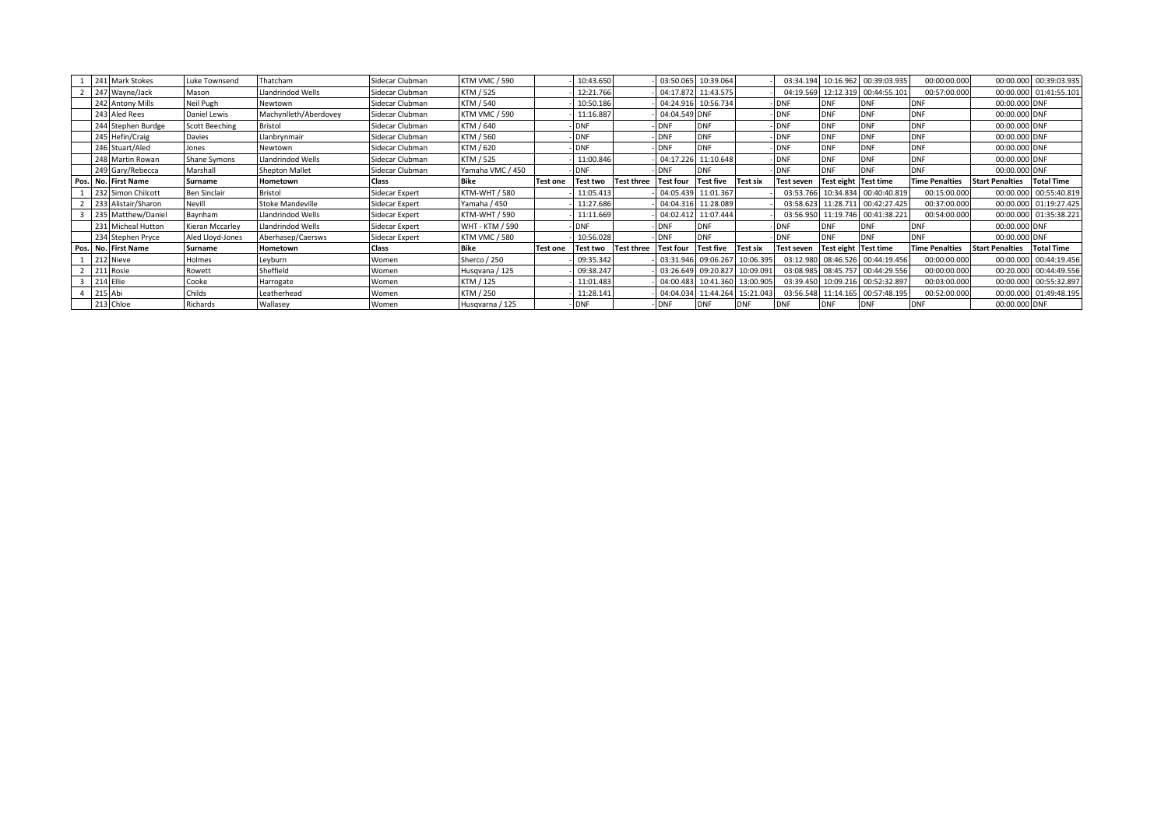|  | 241 Mark Stokes     | Luke Townsend         | hatcham               | Sidecar Clubman | <b>KTM VMC / 590</b>   |                 | 10:43.650  |                   | 03:50.065        | 10:39.064           |                     | 03:34.194  |                      | 10:16.962 00:39:03.935           | 00:00:00.000          |                        | 00:00.000 00:39:03.935 |
|--|---------------------|-----------------------|-----------------------|-----------------|------------------------|-----------------|------------|-------------------|------------------|---------------------|---------------------|------------|----------------------|----------------------------------|-----------------------|------------------------|------------------------|
|  | 247 Wayne/Jack      | Mason                 | Llandrindod Wells     | Sidecar Clubman | KTM / 525              |                 | 12:21.766  |                   | 04:17.872        | 11:43.575           |                     | 04:19.569  |                      | 12:12.319 00:44:55.101           | 00:57:00.000          |                        | 00:00.000 01:41:55.101 |
|  | 242 Antony Mills    | Neil Pugh             | Newtown               | Sidecar Clubman | KTM / 540              |                 | 10:50.186  |                   |                  | 04:24.916 10:56.734 |                     | -IDNF      | ONF                  | <b>DNF</b>                       | <b>DNF</b>            | 00:00.000 DNF          |                        |
|  | 243 Aled Rees       | Daniel Lewis          | Machynlleth/Aberdovey | Sidecar Clubman | <b>KTM VMC / 590</b>   |                 | 11:16.887  |                   | 04:04.549 DNF    |                     |                     | -IDNF      | <b>ONF</b>           | DNF                              | <b>DNF</b>            | 00:00.000 DNF          |                        |
|  | 244 Stephen Burdge  | <b>Scott Beeching</b> | <b>Bristol</b>        | Sidecar Clubman | KTM / 640              |                 | <b>DNF</b> |                   | <b>DNF</b>       | DNF                 |                     | - DNF      | <b>DNF</b>           | <b>DNF</b>                       | <b>DNF</b>            | 00:00.000 DNF          |                        |
|  | 245 Hefin/Craig     | Davies                | Llanbrynmair          | Sidecar Clubman | KTM / 560              |                 | <b>DNF</b> |                   | <b>DNF</b>       | DNF                 |                     | -IDNF      | <b>DNF</b>           | DNF                              | <b>DNF</b>            | 00:00.000 DNF          |                        |
|  | 246 Stuart/Aled     | Jones                 | Newtown               | Sidecar Clubman | KTM / 620              |                 | <b>DNF</b> |                   | <b>DNF</b>       | DNF                 |                     | -IDNF      | <b>ONF</b>           |                                  | <b>DNF</b>            | 00:00.000 DNF          |                        |
|  | 248 Martin Rowan    | Shane Symons          | Llandrindod Wells     | Sidecar Clubman | KTM / 525              |                 | 11:00.846  |                   | 04:17.226        | 11:10.648           |                     | -IDNF      | <b>ONF</b>           | <b>DNF</b>                       | <b>DNF</b>            | 00:00.000 DNF          |                        |
|  | 249 Gary/Rebecca    | Marshall              | <b>Shepton Mallet</b> | Sidecar Clubman | Yamaha VMC / 450       |                 | <b>DNF</b> |                   | <b>DNF</b>       | DNF                 |                     | -IDNF      | )NF                  | <b>DNF</b>                       | <b>DNF</b>            | 00:00.000 DNF          |                        |
|  | Pos. No. First Name | Surname               | Hometown              | Class           | Bike                   | <b>Test one</b> | Test two   | <b>Test three</b> | <b>Test four</b> | <b>Test five</b>    | <b>Test six</b>     | Test seven | Test eight Test time |                                  | <b>Time Penalties</b> | <b>Start Penalties</b> | <b>Total Time</b>      |
|  | 232 Simon Chilcott  | Ben Sinclair          | <b>Bristol</b>        | Sidecar Expert  | <b>KTM-WHT / 580</b>   |                 | 11:05.413  |                   | 04:05.439        | 11:01.367           |                     | 03:53.766  |                      | 10:34.834 00:40:40.819           | 00:15:00.000          |                        | 00:00.000 00:55:40.819 |
|  | 233 Alistair/Sharon | Nevill                | Stoke Mandeville      | Sidecar Expert  | Yamaha / 450           |                 | 11:27.686  |                   | 04:04.316        | 11:28.089           |                     | 03:58.623  |                      | 11:28.711 00:42:27.425           | 00:37:00.000          |                        | 00:00.000 01:19:27.425 |
|  | 235 Matthew/Danie   | Baynham               | Llandrindod Wells     | Sidecar Expert  | <b>KTM-WHT / 590</b>   |                 | 11:11.669  |                   | 04:02.412        | 11:07.444           |                     | 03:56.950  |                      | 11:19.746 00:41:38.221           | 00:54:00.000          |                        | 00:00.000 01:35:38.221 |
|  | 231 Micheal Hutton  | Kieran Mccarley       | Llandrindod Wells     | Sidecar Expert  | <b>WHT - KTM / 590</b> |                 | <b>DNF</b> |                   | <b>DNF</b>       | DNF                 |                     | - IDNF     | )NF                  | DNF                              | <b>DNF</b>            | 00:00.000 DNF          |                        |
|  | 234 Stephen Pryce   | Aled Lloyd-Jones      | Aberhasep/Caersws     | Sidecar Expert  | <b>KTM VMC / 580</b>   |                 | 10:56.028  |                   | <b>DNF</b>       | <b>DNF</b>          |                     | -IDNF      | <b>ONF</b>           | <b>DNF</b>                       | <b>DNF</b>            | 00:00.000 DNF          |                        |
|  | Pos. No. First Name | Surname               | Hometown              | Class           | <b>Bike</b>            | <b>Test one</b> | Test two   | <b>Test three</b> | <b>Test four</b> | <b>Test five</b>    | <b>Test six</b>     | Test seven | Test eight Test time |                                  | <b>Time Penalties</b> | <b>Start Penalties</b> | <b>Total Time</b>      |
|  | 212 Nieve           | Holmes                | Leyburn               | Women           | Sherco / 250           |                 | 09:35.342  |                   |                  | 03:31.946 09:06.267 | 10:06.395           |            |                      | 03:12.980 08:46.526 00:44:19.456 | 00:00:00.000          |                        | 00:00.000 00:44:19.456 |
|  | 211 Rosie           | Rowett                | Sheffield             | Women           | Husqvana / 125         |                 | 09:38.247  |                   |                  | 03:26.649 09:20.827 | 10:09.091           | 03:08.985  |                      | 08:45.757 00:44:29.556           | 00:00:00.000          |                        | 00:20.000 00:44:49.556 |
|  | 214 Ellie           | Cooke                 | Harrogate             | Women           | KTM / 125              |                 | 11:01.483  |                   | 04:00.483        | 10:41.360           | 13:00.905           | 03:39.450  |                      | 10:09.216 00:52:32.897           | 00:03:00.000          |                        | 00:00.000 00:55:32.897 |
|  | 215 Abi             | Childs                | Leatherhead           | Women           | KTM / 250              |                 | 11:28.141  |                   | 04:04.034        |                     | 11:44.264 15:21.043 | 03:56.548  |                      | 11:14.165 00:57:48.195           | 00:52:00.000          |                        | 00:00.000 01:49:48.195 |
|  | 213 Chloe           | Richards              | Wallasey              | Women           | Husqvarna / 125        |                 | <b>DNF</b> |                   | <b>DNF</b>       | DNF                 | <b>IDNF</b>         | <b>DNF</b> | ONF                  | <b>DNF</b>                       | <b>DNF</b>            | 00:00.000 DNF          |                        |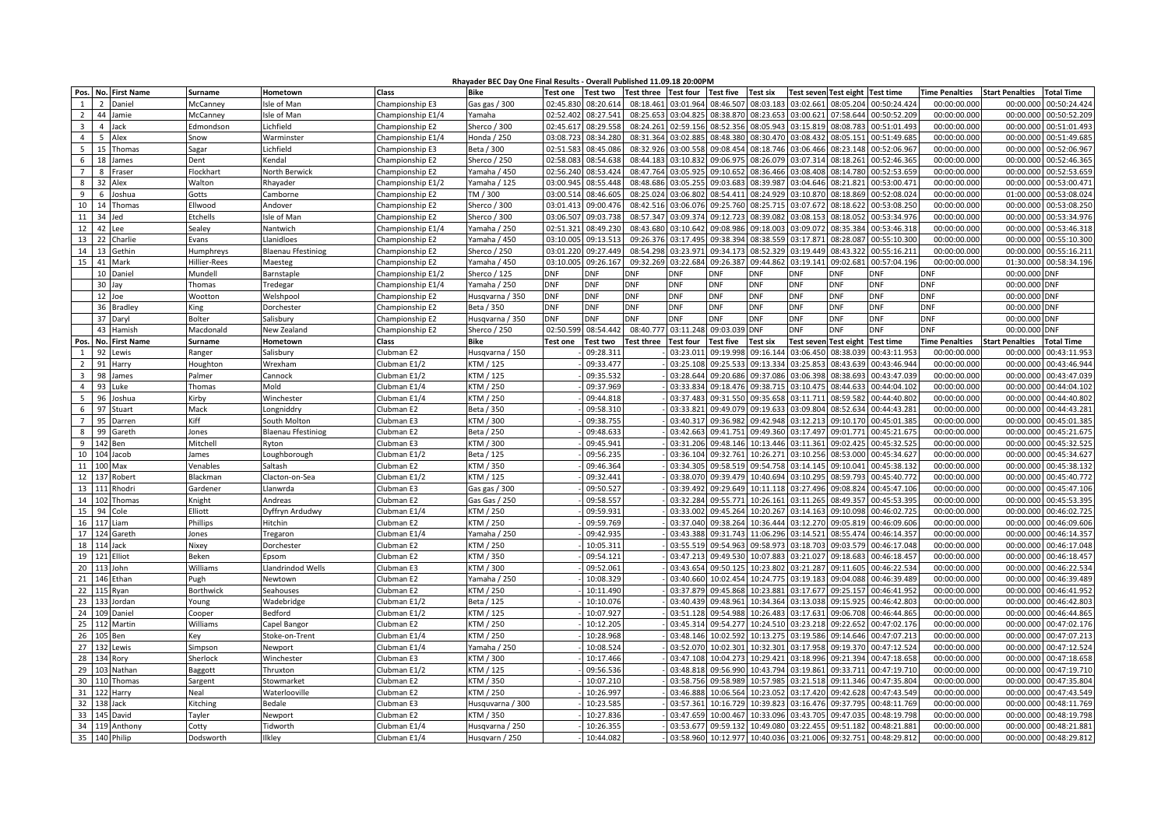## **Rhayader BEC Day One Final Results - Overall Published 11.09.18 20:00PM**

|                         | Pos. No. First Name       | Surname           | Hometown                  | Class             | AUCI DEC DUY ONC I<br>Bike | <b>Test one</b> | <b>Test two</b> | Test three Test four |                  | <b>Test five</b> | <b>Test six</b> |            | Test seven Test eight Test time |                  | Time Penalties Start Penalties | <b>Total Time</b>                           |
|-------------------------|---------------------------|-------------------|---------------------------|-------------------|----------------------------|-----------------|-----------------|----------------------|------------------|------------------|-----------------|------------|---------------------------------|------------------|--------------------------------|---------------------------------------------|
| 1                       | 2<br>Daniel               | McCanney          | sle of Mar                | Championship E3   | Gas gas / 300              | 02:45.830       | 08:20.61        | 08:18.461            | 03:01.964        | 08:46.50         | 08:03.18        | 03:02.661  | 08:05.204                       | 00:50:24.424     | 00:00:00.000                   | 00:00.00<br>00:50:24.42                     |
| $\overline{2}$          | 44<br>Jamie               | McCanney          | sle of Man                | Championship E1/4 | Yamaha                     | 02:52.402       | 08:27.541       | 08:25.653            | 03:04.825        | 08:38.870        | 08:23.653       | 03:00.621  | 07:58.644                       | 00:50:52.209     | 00:00:00.000                   | 00:00.000<br>00:50:52.20                    |
|                         | $\overline{4}$            |                   |                           |                   |                            | 02:45.617       |                 | 08:24.261            |                  | 08:52.356        | 08:05.943       | 03:15.819  | 08:08.783                       | 00:51:01.493     |                                | 00:00.000<br>00:51:01.49                    |
| $\overline{\mathbf{3}}$ | Jack                      | Edmondson         | ichfield                  | Championship E2   | Sherco / 300               |                 | 08:29.55        |                      | 02:59.156        |                  |                 |            |                                 |                  | 00:00:00.000                   |                                             |
| $\overline{4}$          | 5<br>Alex                 | Snow              | Warminster                | Championship E1/4 | Honda / 250                | 03:08.72        | 08:34.280       | 08:31.364            | 03:02.885        | 08:48.380        | 08:30.470       | 03:08.432  | 08:05.151                       | 00:51:49.685     | 00:00:00.000                   | 00:00.000<br>00:51:49.68                    |
| 5                       | 15 Thomas                 | Sagar             | .ichfield                 | Championship E3   | Beta / 300                 | 02:51.583       | 08:45.086       | 08:32.926            | 03:00.558        | 09:08.454        | 08:18.746       | 03:06.466  | 08:23.148                       | 00:52:06.967     | 00:00:00.000                   | 00:00.000<br>00:52:06.967                   |
| 6                       | 18<br>James               | Dent              | Kendal                    | Championship E2   | Sherco / 250               | 02:58.08        | 08:54.63        | 08:44.183            | 03:10.83         | 09:06.97         | 08:26.079       | 03:07.314  | 08:18.261                       | 00:52:46.365     | 00:00:00.000                   | 00:00.000<br>00:52:46.36                    |
| $\overline{7}$          | 8<br>Fraser               | Flockhart         | North Berwick             | Championship E2   | Yamaha / 450               | 02:56.240       | 08:53.424       | 08:47.764            | 03:05.925        | 09:10.652        | 08:36.466       | 03:08.408  | 08:14.780                       | 00:52:53.659     | 00:00:00.000                   | 00:00.000<br>00:52:53.65                    |
| 8                       | 32<br>Alex                | Walton            | Rhayader                  | Championship E1/2 | Yamaha / 125               | 03:00.945       | 08:55.448       | 08:48.68             | 03:05.25         | 09:03.68         | 08:39.98        | 03:04.646  | 08:21.82                        | 00:53:00.47      | 00:00:00.000                   | 00:00.00<br>00:53:00.47                     |
| 9                       | 6<br>Joshua               | Gotts             | Camborne                  | Championship E2   | TM / 300                   | 03:00.514       | 08:46.605       | 08:25.024            | 03:06.802        | 08:54.411        | 08:24.929       | 03:10.870  | 08:18.869                       | 00:52:08.024     | 00:00:00.000                   | 01:00.000<br>00:53:08.02                    |
| 10                      | 14<br>Thomas              | Ellwood           | Andover                   | Championship E2   | Sherco / 300               | 03:01.413       | 09:00.47        | 08:42.51             | 03:06.07         | 09:25.760        | 08:25.715       | 03:07.67   | 08:18.622                       | 00:53:08.250     | 00:00:00.000                   | 00:00.000<br>00:53:08.25                    |
| 11                      | 34<br>Jed                 | Etchells          | sle of Mar                | Championship E2   | Sherco / 300               | 03:06.507       | 09:03.738       | 08:57.347            | 03:09.374        | 09:12.723        | 08:39.082       | 03:08.153  | 08:18.052                       | 00:53:34.976     | 00:00:00.000                   | 00:00.000<br>00:53:34.97                    |
| 12                      | 42<br>Lee                 | Sealey            | Nantwich                  | Championship E1/4 | amaha / 250                | 02:51.321       | 08:49.230       | 08:43.680            | 03:10.642        | 09:08.986        | 09:18.003       | 03:09.072  | 08:35.384                       | 00:53:46.318     | 00:00:00.000                   | 00:00.000<br>00:53:46.31                    |
| 13                      | 22<br>Charlie             | Evans             | Llanidloes                | Championship E2   | Yamaha / 450               | 03:10.005       | 09:13.51        | 09:26.376            | 03:17.495        | 09:38.394        | 08:38.559       | 03:17.871  | 08:28.087                       | 00:55:10.300     | 00:00:00.000                   | 00:00.000<br>00:55:10.30                    |
| 14                      | 13 Gethin                 | Humphreys         | <b>Blaenau Ffestiniog</b> | Championship E2   | Sherco / 250               | 03:01.220       | 09:27.449       | 08:54.298            | 03:23.971        | 09:34.173        | 08:52.329       | 03:19.449  | 08:43.322                       | 00:55:16.211     | 00:00:00.000                   | 00:00.000<br>00:55:16.21                    |
| 15                      | 41<br>Mark                | Hillier-Rees      | Maesteg                   | Championship E2   | Yamaha / 450               | 03:10.005       | 09:26.16        | 09:32.269            | 03:22.684        | 09:26.387        | 09:44.862       | 03:19.14   | 09:02.681                       | 00:57:04.196     | 00:00:00.000                   | 01:30.000<br>00:58:34.196                   |
|                         | 10<br>Daniel              | Mundell           | <b>Barnstaple</b>         | Championship E1/2 | Sherco / 125               | DNF             | DNF             | DNF                  | <b>DNF</b>       | DNF              | DNF             | DNF        | <b>DNF</b>                      | dnf              | dnf                            | 00:00.000<br>ONF                            |
|                         | 30 Jay                    | Thomas            | Tredegar                  | Championship E1/4 | /amaha / 250               | DNF             | <b>DNF</b>      | DNF                  | <b>DNF</b>       | DNF              | dnf             | DNF        | <b>DNF</b>                      | DNF              | <b>DNF</b>                     | 00:00.000<br>ONF                            |
|                         | 12 Joe                    | Woottor           | Welshpool                 | Championship E2   | Husqvarna / 350            | DNF             | <b>DNF</b>      | DNF                  | <b>DNF</b>       | <b>DNF</b>       | <b>DNF</b>      | <b>DNF</b> | <b>DNF</b>                      | <b>DNF</b>       | <b>DNF</b>                     | 00:00.000 DNF                               |
|                         | 36 Bradley                | King              | Dorchester                | Championship E2   | Beta / 350                 | DNF             | <b>DNF</b>      | <b>DNF</b>           | <b>DNF</b>       | <b>DNF</b>       | DNF             | DNF        | <b>DNF</b>                      | DNF              | <b>DNF</b>                     | 00:00.000<br><b>DNF</b>                     |
|                         | 37<br>Daryl               | Bolter            | Salisbury                 | Championship E2   | Husqvarna / 350            | <b>DNF</b>      | <b>DNF</b>      | DNF                  | <b>DNF</b>       | DNF              | <b>DNF</b>      | <b>DNF</b> | <b>DNF</b>                      | <b>DNF</b>       | <b>DNF</b>                     | 00:00.000<br><b>DNF</b>                     |
|                         | 43 Hamish                 | Macdonald         | New Zealand               | Championship E2   | Sherco / 250               | 02:50.599       | 08:54.442       | 08:40.777            | 03:11.248        | 09:03.039        | <b>DNF</b>      | <b>DNF</b> | <b>DNF</b>                      | <b>DNF</b>       | <b>DNF</b>                     | 00:00.000<br><b>DNF</b>                     |
| Pos                     | No. First Name            | Surname           | Hometown                  | Class             | <b>Bike</b>                | <b>Test one</b> | Test two        | <b>Test three</b>    | <b>Test four</b> | <b>Test five</b> | Test six        |            | Test seven Test eight           | <b>Test time</b> | <b>Time Penalties</b>          | <b>Start Penalties</b><br><b>Total Time</b> |
| $\overline{1}$          | 92<br>Lewis               | Ranger            | Salisbury                 | Clubman E2        | Husqvarna / 150            |                 | 09:28.31        |                      | 03:23.011        | 09:19.998        | 09:16.144       | 03:06.450  | 08:38.039                       | 00:43:11.953     | 00:00:00.000                   | 00:00.000<br>00:43:11.95                    |
| $\overline{2}$          | 91<br>Harry               | Houghton          | Wrexham                   | Clubman E1/2      | KTM / 125                  |                 | 09:33.47        |                      | 03:25.108        | 09:25.53         | 09:13.334       | 03:25.85   | 08:43.639                       | 00:43:46.944     | 00:00:00.000                   | 00:43:46.94<br>00:00.000                    |
| $\overline{3}$          | 98<br>James               | Palmer            | Cannock                   | Clubman E1/2      | KTM / 125                  |                 | 09:35.53        |                      | 03:28.644        | 09:20.686        | 09:37.086       | 03:06.398  | 08:38.693                       | 00:43:47.039     | 00:00:00.000                   | 00:00.000<br>00:43:47.03                    |
| $\overline{4}$          | 93<br>Luke                | Thomas            | Mold                      | Clubman E1/4      | KTM / 250                  |                 | 09:37.969       |                      | 03:33.834        | 09:18.476        | 09:38.715       | 03:10.475  | 08:44.633                       | 00:44:04.102     | 00:00:00.000                   | 00:00.000<br>00:44:04.102                   |
| 5                       | 96<br>Joshua              | Kirby             | Winchester                | Clubman E1/4      | KTM / 250                  |                 | 09:44.818       |                      | 03:37.483        | 09:31.550        | 09:35.658       | 03:11.711  | 08:59.582                       | 00:44:40.802     | 00:00:00.000                   | 00:44:40.80<br>00:00.000                    |
| 6                       | 97<br>Stuart              | Mack              | Longniddry                | Clubman E2        | Beta / 350                 |                 | 09:58.310       |                      | 03:33.821        | 09:49.079        | 09:19.633       | 03:09.804  | 08:52.634                       | 00:44:43.281     | 00:00:00.000                   | 00:00.000<br>00:44:43.28                    |
| $\overline{7}$          | 95<br>Darren              | Kiff              | South Molton              | Clubman E3        | KTM / 300                  |                 | 09:38.75        |                      | 03:40.31         | 09:36.982        | 09:42.948       | 03:12.213  | 09:10.170                       | 00:45:01.385     | 00:00:00.000                   | 00:00.00<br>00:45:01.38                     |
| 8                       | 99<br>Gareth              |                   |                           |                   | Beta / 250                 |                 | 09:48.63        |                      | 03:42.663        | 09:41.751        | 09:49.360       | 03:17.497  | 09:01.771                       | 00:45:21.675     | 00:00:00.000                   | 00:00.000<br>00:45:21.67                    |
| 9                       |                           | Jones<br>Mitchell | Blaenau Ffestiniog        | Clubman E2        |                            |                 | 09:45.94        |                      | 03:31.206        | 09:48.146        | 10:13.446       | 03:11.361  | 09:02.42                        | 00:45:32.52      |                                | 00:00.000<br>00:45:32.52                    |
|                         | Ben                       |                   | <b>Ryton</b>              | Clubman E3        | KTM / 300                  |                 |                 |                      |                  |                  |                 |            |                                 |                  | 00:00:00.000                   |                                             |
| 10                      | 104<br>Jacob              | James             | oughborough.              | Clubman E1/2      | Beta / 125                 |                 | 09:56.235       |                      | 03:36.104        | 09:32.761        | 10:26.271       | 03:10.256  | 08:53.000                       | 00:45:34.627     | 00:00:00.000                   | 00:00.000<br>00:45:34.62                    |
| 11                      | Max<br>100                | Venables          | Saltash                   | Clubman E2        | KTM / 350                  |                 | 09:46.364       |                      | 03:34.305        | 09:58.519        | 09:54.758       | 03:14.145  | 09:10.041                       | 00:45:38.132     | 00:00:00.000                   | 00:00.000<br>00:45:38.132                   |
| 12                      | 137<br>Robert             | Blackman          | Clacton-on-Sea            | Clubman E1/2      | KTM / 125                  |                 | 09:32.44        |                      | 03:38.07         | 09:39.479        | 10:40.694       | 03:10.295  | 08:59.793                       | 00:45:40.772     | 00:00:00.000                   | 00:45:40.77<br>00:00.00                     |
| 13                      | 111<br>Rhodri             | Gardener          | Llanwrda                  | Clubman E3        | Gas gas / 300              |                 | 09:50.527       |                      | 03:39.492        | 09:29.649        | 10:11.118       | 03:27.496  | 09:08.824                       | 00:45:47.106     | 00:00:00.000                   | 00:00.000<br>00:45:47.10                    |
| 14                      | 102<br>Thomas             | Knight            | Andreas                   | Clubman E2        | Gas Gas / 250              |                 | 09:58.55        |                      | 03:32.284        | 09:55.77         | 10:26.161       | 03:11.265  | 08:49.357                       | 00:45:53.395     | 00:00:00.000                   | 00:00.00<br>00:45:53.39                     |
| 15                      | 94<br>Cole                | Elliott           | Dyffryn Ardudwy           | Clubman E1/4      | TM / 250                   |                 | 09:59.93        |                      | 03:33.002        | 09:45.264        | 10:20.267       | 03:14.163  | 09:10.098                       | 00:46:02.725     | 00:00:00.000                   | 00:00.000<br>00:46:02.725                   |
| 16                      | 117<br>Liam               | Phillips          | Hitchin                   | Clubman E2        | KTM / 250                  |                 | 09:59.769       |                      | 03:37.040        | 09:38.264        | 10:36.444       | 03:12.270  | 09:05.819                       | 00:46:09.606     | 00:00:00.000                   | 00:00.000<br>00:46:09.60                    |
| 17                      | 124<br>Gareth             | Jones             | Tregaron                  | Clubman E1/4      | Yamaha / 250               |                 | 09:42.93        |                      | 03:43.388        | 09:31.743        | 11:06.296       | 03:14.521  | 08:55.474                       | 00:46:14.357     | 00:00:00.000                   | 00:00.000<br>00:46:14.35                    |
| 18                      | 114 Jack                  | Nixey             | Dorchester                | Clubman E2        | KTM / 250                  |                 | 10:05.31        |                      | 03:55.519        | 09:54.963        | 09:58.973       | 03:18.703  | 09:03.579                       | 00:46:17.048     | 00:00:00.000                   | 00:00.000<br>00:46:17.048                   |
| 19                      | 121 Elliot                | Beken             | Epsom                     | Clubman E2        | KTM / 350                  |                 | 09:54.12        |                      | 03:47.213        | 09:49.53         | 10:07.883       | 03:21.027  | 09:18.683                       | 00:46:18.457     | 00:00:00.000                   | 00:00.000<br>00:46:18.45                    |
| 20                      | 113 John                  | Williams          | Llandrindod Wells         | Clubman E3        | KTM / 300                  |                 | 09:52.06        |                      | 03:43.654        | 09:50.125        | 10:23.802       | 03:21.287  | 09:11.605                       | 00:46:22.534     | 00:00:00.000                   | 00:00.000<br>00:46:22.53                    |
| 21                      | 146 Ethan                 | Pugh              | Newtown                   | Clubman E2        | Yamaha / 250               |                 | 10:08.32        |                      | 03:40.660        | 10:02.454        | 10:24.775       | 03:19.183  | 09:04.088                       | 00:46:39.489     | 00:00:00.000                   | 00:00.000<br>00:46:39.48                    |
| 22                      | 115<br>Ryan               | <b>Borthwick</b>  | Seahouses                 | Clubman E2        | KTM / 250                  |                 | 10:11.490       |                      | 03:37.879        | 09:45.868        | 10:23.881       | 03:17.677  | 09:25.157                       | 00:46:41.952     | 00:00:00.000                   | 00:00.000<br>00:46:41.952                   |
| 23                      | 133<br>Jordan             | Young             | Wadebridge                | Clubman E1/2      | Beta / 125                 |                 | 10:10.076       |                      | 03:40.439        | 09:48.961        | 10:34.364       | 03:13.038  | 09:15.925                       | 00:46:42.803     | 00:00:00.000                   | 00:00.000<br>00:46:42.80                    |
| 24                      | Daniel<br>10 <sup>c</sup> | Cooper            | Bedford                   | Clubman E1/2      | (TM / 125                  |                 | 10:07.927       |                      | 03:51.128        | 09:54.988        | 10:26.483       | 03:17.631  | 09:06.708                       | 00:46:44.865     | 00:00:00.000                   | 00:00.000<br>00:46:44.86                    |
| 25                      | Martin<br>112             | Williams          | Capel Bangor              | Clubman E2        | TM / 250                   |                 | 10:12.205       |                      | 03:45.314        | 09:54.277        | 10:24.510       | 03:23.218  | 09:22.652                       | 00:47:02.176     | 00:00:00.000                   | 00:00.000<br>00:47:02.176                   |
| 26                      | Ben                       | Kev               | Stoke-on-Trent            | Clubman E1/4      | KTM / 250                  |                 | 10:28.96        |                      | 03:48.14         | 10:02.59         | 10:13.275       | 03:19.586  | 09:14.646                       | 00:47:07.213     | 00:00:00.000                   | 00:00.000<br>00:47:07.21                    |
| 27                      | 132 Lewis                 | Simpson           | Vewport                   | Clubman E1/4      | Yamaha / 250               |                 | 10:08.524       |                      | 03:52.070        | 10:02.301        | 10:32.301       | 03:17.958  | 09:19.370                       | 00:47:12.524     | 00:00:00.000                   | 00:47:12.52<br>00:00.000                    |
| 28                      | 134 Rory                  | Sherlock          | Winchester                | Clubman E3        | KTM / 300                  |                 | 10:17.466       |                      | 03:47.108        | 10:04.273        | 10:29.421       | 03:18.996  | 09:21.394                       | 00:47:18.658     | 00:00:00.000                   | 00:00.000<br>00:47:18.65                    |
| 29                      | Nathan                    | Baggott           | Thruxton                  | Clubman E1/2      | KTM / 125                  |                 | 09:56.536       |                      | 03:48.818        | 09:56.990        | 10:43.794       | 03:19.861  | 09:33.711                       | 00:47:19.710     | 00:00:00.000                   | 00:00.000<br>00:47:19.710                   |
| 30                      | Thomas<br>110             | Sargent           | Stowmarket                | Clubman E2        | KTM / 350                  |                 | 10:07.210       |                      | 03:58.756        | 09:58.989        | 10:57.985       | 03:21.518  | 09:11.346                       | 00:47:35.804     | 00:00:00.000                   | 00:00.000<br>00:47:35.80                    |
| 31                      | 122<br>Harry              | Neal              | Waterlooville             | Clubman E2        | KTM / 250                  |                 | 10:26.99        |                      | 03:46.888        | 10:06.564        | 10:23.052       | 03:17.420  | 09:42.628                       | 00:47:43.549     | 00:00:00.000                   | 00:00.000<br>00:47:43.54                    |
| 32                      | 138<br>Jack               | Kitching          | <b>Bedale</b>             | Clubman E3        | Husquvarna / 300           |                 | 10:23.58        |                      | 03:57.361        | 10:16.729        | 10:39.823       | 03:16.476  | 09:37.795                       | 00:48:11.769     | 00:00:00.000                   | 00:00.000<br>00:48:11.769                   |
| 33                      | 145<br>David              | Tayler            | Newport                   | Clubman E2        | KTM / 350                  |                 | 10:27.83        |                      | 03:47.65         | 10:00.46         | 10:33.096       | 03:43.705  | 09:47.03                        | 00:48:19.798     | 00:00:00.000                   | 00:00.00<br>00:48:19.79                     |
|                         | 34 119 Anthony            | Cotty             | <b>Tidworth</b>           | Clubman E1/4      | Husqvarna / 250            |                 | 10:26.35        |                      | 03:53.677        | 09:59.132        | 10:49.080       | 03:22.455  | 09:51.182                       | 00:48:21.881     | 00:00:00.000                   | 00:48:21.88<br>00:00.000                    |
| 35                      | 140 Philip                | Dodsworth         | Ilkley                    | Clubman E1/4      | Husqvarn / 250             |                 | 10:44.082       |                      | 03:58.960        | 10:12.977        | 10:40.036       |            | 03:21.006 09:32.751             | 00:48:29.812     | 00:00:00.000                   | 00:00.000 00:48:29.812                      |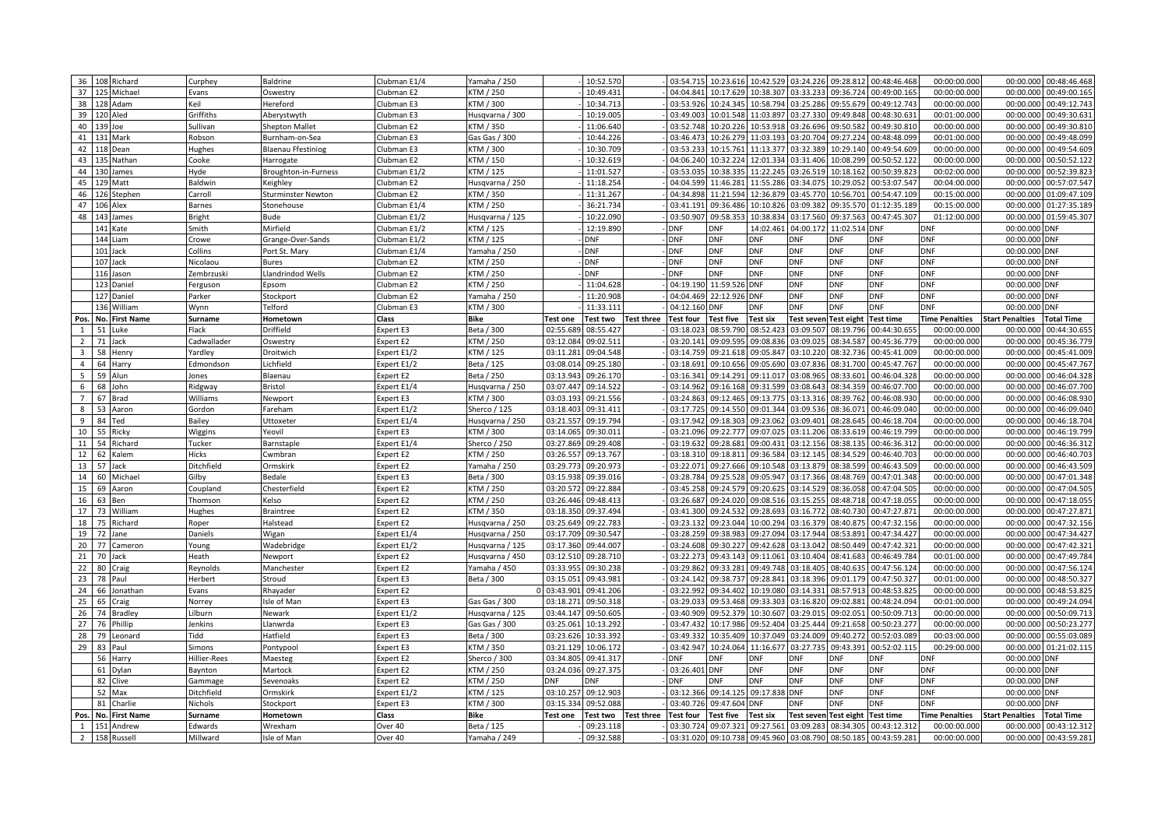|                |             | 36 108 Richard | Curphey       | <b>Baldrine</b>           | Clubman E1/4          | Yamaha / 250     |                 | 10:52.570  |                   | 03:54.715        | 10:23.616        |                 | 10:42.529 03:24.226          | 09:28.812         | 00:48:46.468     | 00:00:00.000          | 00:00.000              | 00:48:46.468           |
|----------------|-------------|----------------|---------------|---------------------------|-----------------------|------------------|-----------------|------------|-------------------|------------------|------------------|-----------------|------------------------------|-------------------|------------------|-----------------------|------------------------|------------------------|
|                |             | 37 125 Michae  | Evans         | Oswestry                  | Clubman E2            | TM / 250         |                 | 10:49.43   |                   | 04:04.841        | 10:17.629        | 10:38.307       | 03:33.233                    | 09:36.724         | 00:49:00.165     | 00:00:00.000          | 00:00.000              | 00:49:00.16            |
| 38             |             | 128 Adam       | Keil          | Hereford                  | Clubman E3            | TM / 300         |                 | 10:34.713  |                   | 03:53.926        | 10:24.345        | 10:58.794       | 03:25.286                    | 09:55.679         | 00:49:12.743     | 00:00:00.000          | 00:00.000              | 00:49:12.743           |
|                | 39 120 Aled |                | Griffiths     | Aberystwyth               | Clubman E3            | Husqvarna / 300  |                 | 10:19.005  |                   | 03:49.003        | 10:01.548        | 11:03.897       | 03:27.330                    | 09:49.848         | 00:48:30.631     | 00:01:00.000          | 00:00.000              | 00:49:30.63:           |
|                | 40 139 Joe  |                | Sullivan      | <b>Shepton Mallet</b>     | Clubman E2            | KTM / 350        |                 | 11:06.640  |                   | 03:52.748        | 10:20.226        | 10:53.918       | 03:26.696                    | 09:50.582         | 00:49:30.810     | 00:00:00.000          | 00:00.000              | 00:49:30.81            |
|                | 41 131 Mark |                | Robson        | Burnham-on-Sea            | Clubman E3            | Gas Gas / 300    |                 | 10:44.22   |                   | 03:46.473        | 10:26.279        | 11:03.193       | 03:20.704                    | 09:27.224         | 00:48:48.099     | 00:01:00.00           | 00:00.00               | 00:49:48.09            |
|                |             | 42 118 Dean    | Hughes        | <b>Blaenau Ffestiniog</b> | Clubman E3            | KTM / 300        |                 | 10:30.709  |                   | 03:53.233        | 10:15.761        |                 | 11:13.377 03:32.389          | 10:29.140         | 00:49:54.609     | 00:00:00.000          | 00:00.000              | 00:49:54.609           |
| 43             |             | 135 Nathan     | Cooke         | Harrogate                 | Clubman E2            | KTM / 150        |                 | 10:32.61   |                   | 04:06.240        | 10:32.224        | 12:01.334       | 03:31.406                    | 10:08.299         | 00:50:52.122     | 00:00:00.00           | 00:00.00               | 00:50:52.12            |
| 44             |             | 130 James      | Hyde          | Broughton-in-Furness      | Clubman E1/2          | TM / 125         |                 | 11:01.52   |                   | 03:53.035        | 10:38.33         | 11:22.245       | 03:26.519                    | 10:18.162         | 00:50:39.823     | 00:02:00.000          | 00:00.000              | 00:52:39.82            |
| 45             |             | 129 Matt       | Baldwin       | Keighley                  | Clubman E2            | Husqvarna / 250  |                 | 11:18.25   |                   | 04:04.599        | 11:46.28         | 11:55.286       | 03:34.075                    | 10:29.052         | 00:53:07.547     | 00:04:00.00           | 00:00.00               | 00:57:07.54            |
| 46             |             | 126 Stephen    | Carroll       | <b>Sturminster Newton</b> | Clubman E2            | TM / 350         |                 | 11:31.26   |                   | 04:34.898        | 11:21.594        | 12:36.879       | 03:45.770                    | 10:56.701         | 00:54:47.109     | 00:15:00.000          | 00:00.000              | 01:09:47.109           |
| 47             |             | 106 Alex       | Barnes        | Stonehouse                | Clubman E1/4          | KTM / 250        |                 | 36:21.73   |                   | 03:41.191        | 09:36.486        | 10:10.826       | 03:09.382                    | 09:35.570         | 01:12:35.189     | 00:15:00.00           | 00:00.00               | 01:27:35.18            |
| 48             |             | 143 James      | <b>Bright</b> | Bude                      | Clubman E1/2          | Husqvarna / 125  |                 | 10:22.090  |                   | 03:50.907        | 09:58.35         | 10:38.834       | 03:17.560                    | 09:37.563         | 00:47:45.307     | 01:12:00.000          | 00:00.000              | 01:59:45.30            |
|                |             | 141 Kate       | Smith         | Mirfield                  | Clubman E1/2          | KTM / 125        |                 | 12:19.89   |                   | DNF              | DNF              | 14:02.461       | 04:00.17                     | 11:02.514         | )NF              | DNF                   | 00:00.000              | DNF                    |
|                |             | 144 Liam       | Crowe         | Grange-Over-Sands         | Clubman E1/2          | TM / 125         |                 | <b>DNF</b> |                   | <b>DNF</b>       | <b>DNF</b>       | <b>ONF</b>      | <b>DNF</b>                   | DNF               | <b>DNF</b>       | <b>DNF</b>            | 00:00.000              | <b>DNF</b>             |
|                |             | 101 Jack       | Collins       | Port St. Mary             | Clubman E1/4          | Yamaha / 250     |                 | <b>DNF</b> |                   | DNF              | <b>DNF</b>       | DNF             | <b>DNF</b>                   | DNF               | <b>DNF</b>       | <b>DNF</b>            | 00:00.000              | <b>DNF</b>             |
|                |             | 107 Jack       | Nicolaou      | Bures                     | Clubman E2            | TM / 250         |                 | <b>DNF</b> |                   | <b>DNF</b>       | <b>DNF</b>       | DNF             | <b>DNF</b>                   | <b>DNF</b>        | <b>DNF</b>       | <b>DNF</b>            | 00:00.000 DNF          |                        |
|                |             | 116 Jason      | Zembrzuski    | Llandrindod Wells         | Clubman <sub>E2</sub> | TM / 250         |                 | <b>DNF</b> |                   | <b>DNF</b>       | <b>DNF</b>       | <b>DNF</b>      | <b>DNF</b>                   | <b>DNF</b>        | <b>DNF</b>       | <b>DNF</b>            | 00:00.000 DNF          |                        |
|                |             | 123 Daniel     | Ferguson      | Epsom                     | Clubman E2            | KTM / 250        |                 | 11:04.628  |                   | 04:19.190        | 11:59.526        | <b>DNF</b>      | <b>DNF</b>                   | <b>DNF</b>        | <b>DNF</b>       | <b>DNF</b>            | 00:00.000 DNF          |                        |
|                |             | 127 Daniel     | Parker        | Stockport                 | Clubman E2            | Yamaha / 250     |                 | 11:20.90   |                   | 04:04.469        | 22:12.926        | <b>DNF</b>      | <b>DNF</b>                   | <b>DNF</b>        | <b>DNF</b>       | <b>DNF</b>            | 00:00.000 DNF          |                        |
|                |             | 136 William    | Wynn          | <b>Felford</b>            | Clubman E3            | KTM / 300        |                 | 11:33.11   |                   | 04:12.160        | <b>DNF</b>       | <b>DNF</b>      | <b>DNF</b>                   | <b>DNF</b>        | <b>DNF</b>       | <b>DNF</b>            | 00:00.000              | <b>DNF</b>             |
| Pos.           |             | No. First Name | Surname       | Hometown                  | Class                 | Bike             | Test one        | Test two   | <b>Test three</b> | <b>Test four</b> | <b>Test five</b> | <b>Test six</b> | <b>Test seven Test eight</b> |                   | <b>Test time</b> | <b>Time Penalties</b> | <b>Start Penalties</b> | <b>Total Time</b>      |
| $\mathbf{1}$   | 51          | Luke           | Flack         | Driffield                 | Expert E3             | Beta / 300       | 02:55.68        | 08:55.42   |                   | 03:18.02         | 08:59.790        | 08:52.42        | 03:09.507                    | 08:19.796         | 00:44:30.65!     | 00:00:00.00           | 00:00.00               | 00:44:30.65            |
| $\overline{2}$ |             | 71 Jack        | Cadwallader   | <b>Oswestry</b>           | Expert E2             | KTM / 250        | 03:12.084       | 09:02.51   |                   | 03:20.141        | 09:09.595        | 09:08.836       | 03:09.025                    | 08:34.587         | 00:45:36.779     | 00:00:00.000          | 00:00.000              | 00:45:36.779           |
| 3              | 58          | Henry          | Yardley       | Droitwich                 | Expert E1/2           | KTM / 125        | 03:11.281       | 09:04.548  |                   | 03:14.759        | 09:21.61         | 09:05.847       | 03:10.22                     | 08:32.736         | 00:45:41.009     | 00:00:00.00           | 00:00.00               | 00:45:41.009           |
| $\overline{4}$ | 64          | Harry          | Edmondson     | Lichfield                 | Expert E1/2           | Beta / 125       | 03:08.014       | 09:25.180  |                   | 03:18.691        | 09:10.656        | 09:05.690       | 03:07.836                    | 08:31.700         | 00:45:47.767     | 00:00:00.000          | 00:00.00               | 00:45:47.767           |
| 5              |             | 59 Alun        | Jones         | Blaenau                   | Expert E2             | Beta / 250       | 03:13.943       | 09:26.170  |                   | 03:16.341        | 09:14.291        |                 | 09:11.017 03:08.965          | 08:33.601         | 00:46:04.328     | 00:00:00.000          | 00:00.00               | 00:46:04.328           |
| 6              |             | 68 John        | Ridgway       | Bristol                   | Expert E1/4           | Husqvarna / 250  | 03:07.447       | 09:14.52   |                   | 03:14.962        | 09:16.168        | 09:31.599       | 03:08.643                    | 08:34.359         | 00:46:07.700     | 00:00:00.000          | 00:00.00               | 00:46:07.70            |
| $\overline{7}$ |             | 67 Brad        | Williams      | Newport                   | Expert E3             | KTM / 300        | 03:03.193       | 09:21.55   |                   | 03:24.863        | 09:12.465        | 09:13.775       | 03:13.316                    | 08:39.762         | 00:46:08.930     | 00:00:00.00           | 00:00.00               | 00:46:08.93            |
| 8              |             | 53 Aaron       | Gordon        | Fareham                   | Expert E1/2           | Sherco / 125     | 03:18.403       | 09:31.41   |                   | 03:17.725        | 09:14.550        | 09:01.344       | 03:09.536                    | 08:36.071         | 00:46:09.040     | 00:00:00.000          | 00:00.00               | 00:46:09.04            |
| 9              | 84          | Ted            | Bailey        | <b>Jttoxeter</b>          | Expert E1/4           | Husqvarna / 250  | 03:21.557       | 09:19.79   |                   | 03:17.942        | 09:18.30         | 09:23.062       | 03:09.401                    | 08:28.645         | 00:46:18.704     | 00:00:00.00           | 00:00.00               | 00:46:18.704           |
| 10             | 55          | Ricky          | Wiggins       | reovil                    | Expert E3             | TM / 300         | 03:14.065       | 09:30.01   |                   | 03:21.096        | 09:22.777        | 09:07.025       | 03:11.206                    | 08:33.619         | 00:46:19.799     | 00:00:00.00           | 00:00.00               | 00:46:19.79            |
| 11             | 54          | Richard        | Tucker        | Barnstaple                | Expert E1/4           | Sherco / 250     | 03:27.869       | 09:29.40   |                   | 03:19.632        | 09:28.681        | 09:00.431       | 03:12.156                    | 08:38.135         | 00:46:36.312     | 00:00:00.000          | 00:00.00               | 00:46:36.31.           |
| 12             | 62          | Kalem          | Hicks         | Cwmbran                   | Expert E2             | KTM / 250        | 03:26.557       | 09:13.76   |                   | 03:18.310        | 09:18.811        | 09:36.584       | 03:12.145                    | 08:34.529         | 00:46:40.703     | 00:00:00.000          | 00:00.00               | 00:46:40.70            |
| 13             | 57          | Jack           | Ditchfield    | Ormskirk                  | Expert E2             | Yamaha / 250     | 03:29.773       | 09:20.973  |                   | 03:22.071        | 09:27.666        | 09:10.548       | 03:13.879                    | 08:38.599         | 00:46:43.509     | 00:00:00.000          | 00:00.000              | 00:46:43.509           |
| 14             | 60          | Michae         | Gilby         | Bedale                    | Expert E3             | Beta / 300       | 03:15.938       | 09:39.01   |                   | 03:28.784        | 09:25.528        | 09:05.947       | 03:17.366                    | 08:48.769         | 00:47:01.348     | 00:00:00.00           | 00:00.000              | 00:47:01.348           |
| 15             | 69          | Aaron          | Coupland      | Chesterfield              | Expert E2             | TM / 250         | 03:20.572       | 09:22.88   |                   | 03:45.258        | 09:24.579        | 09:20.625       | 03:14.529                    | 08:36.058         | 00:47:04.505     | 00:00:00.000          | 00:00.000              | 00:47:04.505           |
| 16             | 63          | Ben            | Thomson       | <b>Celso</b>              | Expert E2             | KTM / 250        | 03:26.446       | 09:48.413  |                   | 03:26.687        | 09:24.020        | 09:08.516       | 03:15.255                    | 08:48.718         | 00:47:18.055     | 00:00:00.000          | 00:00.00               | 00:47:18.05!           |
| 17             | 73          | William        | Hughes        | <b>Braintree</b>          | Expert E2             | KTM / 350        | 03:18.350       | 09:37.494  |                   | 03:41.300        | 09:24.532        | 09:28.693       | 03:16.772                    | 08:40.730         | 00:47:27.871     | 00:00:00.000          | 00:00.000              | 00:47:27.87            |
| 18             | 75          | Richard        | Roper         | Halstead                  | Expert E2             | Husqvarna / 250  | 03:25.649       | 09:22.78   |                   | 03:23.132        | 09:23.044        | 10:00.294       | 03:16.379                    | 08:40.875         | 00:47:32.156     | 00:00:00.00           | 00:00.00               | 00:47:32.156           |
| 19             | 72          | Jane           | Daniels       | Wigan                     | Expert E1/4           | lusqvarna / 250  | 03:17.709       | 09:30.54   |                   | 03:28.259        | 09:38.983        | 09:27.094       | 03:17.944                    | 08:53.891         | 00:47:34.427     | 00:00:00.000          | 00:00.00               | 00:47:34.42            |
| 20             | 77          | Cameron        | Young         | Wadebridge                | Expert E1/2           | Husqvarna / 125  | 03:17.360       | 09:44.00   |                   | 03:24.608        | 09:30.227        | 09:42.628       | 03:13.042                    | 08:50.449         | 00:47:42.321     | 00:00:00.00           | 00:00.00               | 00:47:42.32            |
| 21             | 70          | Jack           | Heath         | Vewport                   | Expert E2             | Husqvarna / 450  | 03:12.510       | 09:28.710  |                   | 03:22.273        | 09:43.143        | 09:11.061       | 03:10.404                    | 08:41.683         | 00:46:49.784     | 00:01:00.000          | 00:00.00               | 00:47:49.784           |
| 22             | 80          | Craig          | Reynolds      | Manchester                | Expert E2             | Yamaha / 450     | 03:33.955       | 09:30.23   |                   | 03:29.862        | 09:33.28         | 09:49.748       | 03:18.405                    | 08:40.635         | 00:47:56.124     | 00:00:00.00           | 00:00.00               | 00:47:56.124           |
| 23             | 78          | Paul           | Herbert       | Stroud                    | Expert E3             | Beta / 300       | 03:15.051       | 09:43.98   |                   | 03:24.142        | 09:38.737        | 09:28.841       | 03:18.396                    | 09:01.179         | 00:47:50.327     | 00:01:00.000          | 00:00.00               | 00:48:50.327           |
| 24             | 66          | Jonathan       | Evans         | Rhayader                  | Expert E2             |                  | 03:43.901       | 09:41.20   |                   | 03:22.992        | 09:34.402        | 10:19.080       | 03:14.331                    | 08:57.913         | 00:48:53.825     | 00:00:00.000          | 00:00.00               | 00:48:53.82            |
| 25             | 65          | Craig          | Norrey        | sle of Man                | Expert E3             | Gas Gas / 300    | 03:18.271       | 09:50.31   |                   | 03:29.033        | 09:53.468        | 09:33.303       | 03:16.820                    | 09:02.881         | 00:48:24.094     | 00:01:00.00           | 00:00.00               | 00:49:24.09            |
| 26             | 74          | <b>Bradley</b> | Lilburn       | Newark                    | Expert E1/2           | Husqvarna / 125  | 03:44.147       | 09:50.60   |                   | 03:40.909        | 09:52.37         | 10:30.607       | 03:29.015                    | 09:02.051         | 00:50:09.713     | 00:00:00.00           | 00:00.00               | 00:50:09.71            |
| 27             | 76          | Phillip        | Jenkins       | Llanwrda                  | Expert E3             | Gas Gas / 300    | 03:25.061       | 10:13.292  |                   | 03:47.432        | 10:17.986        | 09:52.404       | 03:25.444                    | 09:21.658         | 00:50:23.277     | 00:00:00.00           | 00:00.00               | 00:50:23.27            |
| 28             | 79          | Leonard        | Tidd          | Hatfield                  | Expert E3             | Beta / 300       | 03:23.626       | 10:33.39   |                   | 03:49.332        | 10:35.409        | 10:37.049       | 03:24.009                    | 09:40.272         | 00:52:03.089     | 00:03:00.000          | 00:00.000              | 00:55:03.08            |
| 29             | 83          | Paul           | Simons        | Pontypoo                  | <b>Expert E3</b>      | <b>CTM / 350</b> | 03:21.129       | 10:06.17   |                   | 03:42.947        | 10:24.064        | 11:16.67        | 03:27.73                     | 09:43.391         | 00:52:02.115     | 00:29:00.00           | 00:00.000              | 01:21:02.11            |
|                |             | 56 Harry       | Hillier-Rees  | Maesteg                   | Expert E2             | Sherco / 300     | 03:34.805       | 09:41.31   |                   | DNF              | DNF              | <b>DNF</b>      | <b>DNF</b>                   | DNF               | DNF              | <b>DNF</b>            | 00:00.000 DNF          |                        |
|                | 61          | Dylan          | Baynton       | Martock                   | Expert E2             | KTM / 250        | 03:24.036       | 09:27.375  |                   | 03:26.401        | <b>DNF</b>       | DNF             | <b>DNF</b>                   | <b>DNF</b>        | <b>DNF</b>       | <b>DNF</b>            | 00:00.000              | <b>DNF</b>             |
|                | 82          | Clive          | Gammage       | Sevenoaks                 | <b>Expert E2</b>      | KTM / 250        | <b>DNF</b>      | DNF        |                   | DNF              | <b>DNF</b>       | <b>DNF</b>      | <b>DNF</b>                   | DNF               | DNF              | <b>DNF</b>            | 00:00.000              | <b>DNF</b>             |
|                |             | 52 Max         | Ditchfield    | Ormskirk                  | Expert E1/2           | TM / 125         | 03:10.257       | 09:12.903  |                   | 03:12.366        | 09:14.125        | 09:17.838       | <b>DNF</b>                   | <b>DNF</b>        | <b>DNF</b>       | <b>DNF</b>            | 00:00.000 DNF          |                        |
|                |             | 81 Charlie     | Nichols       | Stockport                 | Expert E3             | (TM / 300        | 03:15.334       | 09:52.088  |                   | 03:40.726        | 09:47.604        | <b>ONF</b>      | DNF                          | DNF               | <b>DNF</b>       | <b>DNF</b>            | 00:00.000              | <b>DNF</b>             |
| Pos.           |             | No. First Name | Surname       | Hometowr                  | Class                 | <b>Bike</b>      | <b>Test one</b> | Test two   | <b>Test three</b> | <b>Test four</b> | <b>Test five</b> | Test six        | <b>Test seven</b>            | <b>Test eight</b> | <b>Test time</b> | <b>Time Penalties</b> | <b>Start Penalties</b> | <b>Total Time</b>      |
| $\mathbf{1}$   |             | 151 Andrew     | Edwards       | Wrexham                   | Over 40               | Beta / 125       |                 | 09:23.118  |                   | 03:30.724        | 09:07.321        |                 | 09:27.561 03:09.283          | 08:34.305         | 00:43:12.312     | 00:00:00.000          | 00:00.000              | 00:43:12.31            |
| $\overline{2}$ |             | 158 Russell    | Millward      | Isle of Man               | Over 40               | Yamaha / 249     |                 | 09:32.588  |                   | 03:31.020        | 09:10.738        |                 | 09:45.960 03:08.790          | 08:50.185         | 00:43:59.281     | 00:00:00.000          |                        | 00:00.000 00:43:59.281 |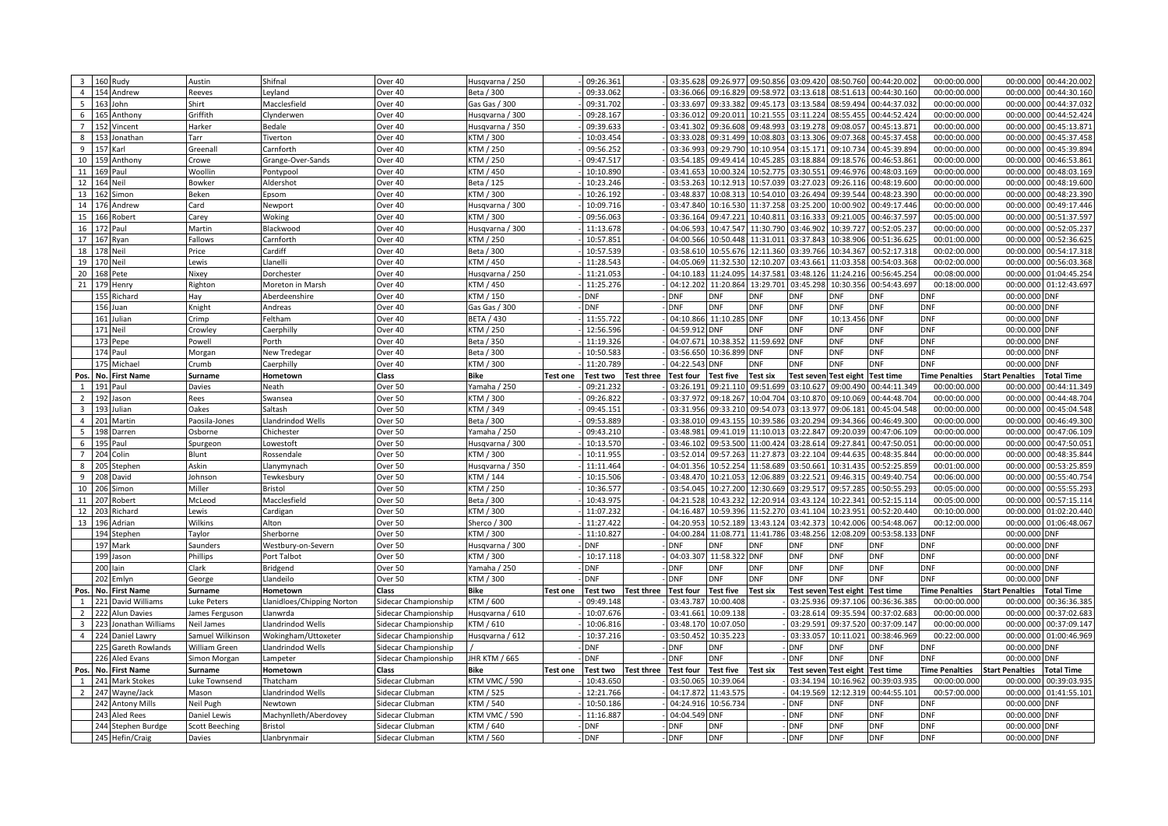| $\overline{\mathbf{3}}$ | 160<br>Rudy                              | Austin                          | Shifnal                    | Over 40                           | Husqvarna / 250              |                 | 09:26.361         |                   | 03:35.628         | 09:26.977         | 09:50.856       | 03:09.420                | 08:50.760                | 00:44:20.002             | 00:00:00.000             | 00:00.000                  | 00:44:20.002      |
|-------------------------|------------------------------------------|---------------------------------|----------------------------|-----------------------------------|------------------------------|-----------------|-------------------|-------------------|-------------------|-------------------|-----------------|--------------------------|--------------------------|--------------------------|--------------------------|----------------------------|-------------------|
| $\overline{4}$          | 154<br>Andrew                            | Reeves                          | Leyland                    | Over 40                           | Beta / 300                   |                 | 09:33.062         |                   | 03:36.066         | 09:16.829         | 09:58.972       | 03:13.618                | 08:51.613                | 00:44:30.160             | 00:00:00.000             | 00:00.000                  | 00:44:30.160      |
| 5                       | 163<br>John                              | Shirt                           | Macclesfield               | Over 40                           | Gas Gas / 300                |                 | 09:31.702         |                   | 03:33.697         | 09:33.382         | 09:45.173       | 03:13.584                | 08:59.494                | 00:44:37.032             | 00:00:00.000             | 00:00.000                  | 00:44:37.032      |
| 6                       | Anthony                                  | Griffith                        | Clynderwen                 | Over 40                           | Husqvarna / 300              |                 | 09:28.167         |                   | 03:36.012         | 09:20.011         | 10:21.555       | 03:11.224                | 08:55.455                | 00:44:52.424             | 00:00:00.000             | 00:00.000                  | 00:44:52.424      |
| $\overline{7}$          | Vincent<br>152                           | Harker                          | Bedale                     | Over 40                           | Husqvarna / 350              |                 | 09:39.633         |                   | 03:41.302         | 09:36.608         | 09:48.993       | 03:19.278                | 09:08.057                | 00:45:13.871             | 00:00:00.000             | 00:00.000                  | 00:45:13.871      |
| 8                       | Jonathan<br>153                          | Tarr                            | Tiverton                   | Over <sub>40</sub>                | KTM / 300                    |                 | 10:03.454         |                   | 03:33.028         | 09:31.499         | 10:08.803       | 03:13.306                | 09:07.368                | 00:45:37.458             | 00:00:00.00              | 00:00.000                  | 00:45:37.458      |
| 9                       | 157<br>Karl                              | Greenall                        | Carnforth                  | Over 40                           | KTM / 250                    |                 | 09:56.252         |                   | 03:36.993         | 09:29.790         | 10:10.954       | 03:15.171                | 09:10.734                | 00:45:39.894             | 00:00:00.000             | 00:00.000                  | 00:45:39.894      |
| 10                      | 159<br>Anthony                           | Crowe                           | Grange-Over-Sands          | Over 40                           | KTM / 250                    |                 | 09:47.51          |                   | 03:54.185         | 09:49.414         | 10:45.285       | 03:18.884                | 09:18.576                | 00:46:53.861             | 00:00:00.00              | 00:00.00                   | 00:46:53.86       |
| 11                      | 169<br>Paul                              | Woollin                         | Pontypool                  | Over 40                           | KTM / 450                    |                 | 10:10.890         |                   | 03:41.653         | 10:00.324         | 10:52.775       | 03:30.55                 | 09:46.976                | 00:48:03.169             | 00:00:00.000             | 00:00.000                  | 00:48:03.169      |
| 12                      | 164 Neil                                 | Bowker                          | Aldershot                  | Over 40                           | Beta / 125                   |                 | 10:23.246         |                   | 03:53.263         | 10:12.913         | 10:57.039       | 03:27.023                | 09:26.116                | 00:48:19.600             | 00:00:00.00              | 00:00.00                   | 00:48:19.60       |
| 13                      | 162<br>Simon                             | Beken                           | Epsom                      | Over 40                           | KTM / 300                    |                 | 10:26.192         |                   | 03:48.837         | 10:08.313         |                 | 10:54.010 03:26.494      | 09:39.544                | 00:48:23.390             | 00:00:00.000             | 00:00.000                  | 00:48:23.390      |
| 14                      | 176<br>Andrew                            | Card                            | Newport                    | Over 40                           | Husqvarna / 300              |                 | 10:09.71          |                   | 03:47.840         | 10:16.530         | 11:37.258       | 03:25.200                | 10:00.902                | 00:49:17.446             | 00:00:00.00              | 00:00.00                   | 00:49:17.446      |
| 15                      | Robert<br>166                            | Carey                           | Woking                     | Over 40                           | KTM / 300                    |                 | 09:56.063         |                   | 03:36.164         | 09:47.221         | 10:40.811       | 03:16.333                | 09:21.005                | 00:46:37.597             | 00:05:00.000             | 00:00.000                  | 00:51:37.597      |
| 16                      |                                          | Martin                          | Blackwood                  | Over 40                           |                              |                 | 11:13.678         |                   | 04:06.593         | 10:47.547         | 11:30.790       | 03:46.902                | 10:39.727                | 00:52:05.237             | 00:00:00.00              | 00:00.00                   | 00:52:05.23       |
| 17                      | Paul<br>167                              |                                 |                            |                                   | Husqvarna / 300<br>KTM / 250 |                 | 10:57.85          |                   | 04:00.566         | 10:50.448         |                 | 11:31.011 03:37.843      | 10:38.906                | 00:51:36.625             | 00:01:00.000             | 00:00.000                  | 00:52:36.62       |
|                         | Ryan<br>178                              | Fallows                         | Carnforth<br>Cardiff       | Over 40                           |                              |                 |                   |                   |                   | 10:55.676         |                 |                          |                          |                          |                          | 00:00.00                   |                   |
| 18                      | Neil<br>170                              | Price                           |                            | Over 40                           | Beta / 300                   |                 | 10:57.539         |                   | 03:58.61          |                   | 12:11.360       | 03:39.766                | 10:34.367                | 00:52:17.318             | 00:02:00.00              |                            | 00:54:17.31       |
| 19                      | Neil                                     | Lewis                           | Llanelli                   | Over 40                           | KTM / 450                    |                 | 11:28.543         |                   | 04:05.069         | 11:32.530         |                 | 12:10.207 03:43.661      | 11:03.358                | 00:54:03.368             | 00:02:00.000             | 00:00.000                  | 00:56:03.368      |
| 20                      | Pete                                     | Nixey                           | Dorchester                 | Over 40                           | Husqvarna / 250              |                 | 11:21.05          |                   | 04:10.18          | 11:24.095         | 14:37.581       | 03:48.126                | 11:24.216                | 00:56:45.254             | 00:08:00.00              | 00:00.00                   | 01:04:45.254      |
| 21                      | Henry                                    | Righton                         | Moreton in Marsh           | Over 40                           | KTM / 450                    |                 | 11:25.276         |                   | 04:12.202         | 11:20.864         | 13:29.701       | 03:45.298                | 10:30.356                | 00:54:43.697             | 00:18:00.000             | 00:00.000                  | 01:12:43.697      |
|                         | 155<br>Richard                           | Hay                             | Aberdeenshire              | Over 40                           | KTM / 150                    |                 | <b>DNF</b>        |                   | DNF               | DNF               | DNF             | <b>DNF</b>               | DNF                      | DNF                      | DNF                      | 00:00.00                   | <b>DNF</b>        |
|                         | 156<br>Juan                              | Knight                          | Andreas                    | Over 40                           | Gas Gas / 300                |                 | <b>DNF</b>        |                   | <b>DNF</b>        | <b>DNF</b>        | DNF             | <b>DNF</b>               | <b>DNF</b>               | <b>DNF</b>               | <b>DNF</b>               | 00:00.000 DNF              |                   |
|                         | 161 Julian                               | Crimp                           | Feltham                    | Over 40                           | <b>BETA / 430</b>            |                 | 11:55.722         |                   | 04:10.866         | 11:10.285         | <b>DNF</b>      | <b>DNF</b>               | 10:13.45                 | <b>DNF</b>               | <b>DNF</b>               | 00:00.000 DNF              |                   |
|                         | 171<br>Neil                              | Crowley                         | Caerphilly                 | Over 40                           | KTM / 250                    |                 | 12:56.59          |                   | 04:59.912         | <b>DNF</b>        | <b>DNF</b>      | <b>DNF</b>               | <b>DNF</b>               | <b>DNF</b>               | <b>DNF</b>               | 00:00.000 DNF              |                   |
|                         | 173<br>Pepe                              | Powell                          | Porth                      | Over 40                           | Beta / 350                   |                 | 11:19.326         |                   | 04:07.671         | 10:38.35          | 11:59.692       | <b>DNF</b>               | <b>DNF</b>               | <b>DNF</b>               | <b>DNF</b>               | 00:00.000 DNF              |                   |
|                         | 174<br>Paul                              | Morgar                          | New Tredegar               | Over 40                           | Beta / 300                   |                 | 10:50.58          |                   | 03:56.650         | 10:36.899         | <b>DNF</b>      | <b>DNF</b>               | <b>DNF</b>               | <b>DNF</b>               | <b>DNF</b>               | 00:00.000 DNF              |                   |
|                         | 175<br>Michael                           | Crumb                           | Caerphilly                 | Over 40                           | KTM / 300                    |                 | 11:20.789         |                   | 04:22.543         | <b>DNF</b>        | <b>DNF</b>      | <b>DNF</b>               | <b>DNF</b>               | <b>DNF</b>               | <b>DNF</b>               | 00:00.000 DNF              |                   |
| Pos                     | No. First Name                           | Surname                         | Hometown                   | Class                             | <b>Bike</b>                  | <b>Test one</b> | Test two          | <b>Test three</b> | <b>Test four</b>  | <b>Test five</b>  | <b>Test six</b> | <b>Test seven</b>        | <b>Test eight</b>        | <b>Test time</b>         | <b>Time Penalties</b>    | <b>Start Penalties</b>     | <b>Total Time</b> |
| $\overline{1}$          | 191<br>Paul                              | Davies                          | Neath                      | Over 50                           | Yamaha / 250                 |                 | 09:21.232         |                   | 03:26.191         | 09:21.110         | 09:51.699       | 03:10.627                | 09:00.490                | 00:44:11.349             | 00:00:00.000             | 00:00.000                  | 00:44:11.349      |
| $\overline{2}$          | 192<br>Jason                             | Rees                            | Swansea                    | Over 50                           | KTM / 300                    |                 | 09:26.82          |                   | 03:37.972         | 09:18.267         | 10:04.704       | 03:10.870                | 09:10.069                | 00:44:48.704             | 00:00:00.00              | 00:00.000                  | 00:44:48.704      |
| $\overline{\mathbf{3}}$ | lulian<br>193                            | Oakes                           | Saltash                    | Over 50                           | KTM / 349                    |                 | 09:45.15          |                   | 03:31.956         | 09:33.210         | 09:54.073       | 03:13.977                | 09:06.181                | 00:45:04.548             | 00:00:00.000             | 00:00.000                  | 00:45:04.548      |
| $\overline{4}$          | 201<br>Martin                            | Paosila-Jones                   | Llandrindod Wells          | Over 50                           | Beta / 300                   |                 | 09:53.88          |                   | 03:38.010         | 09:43.155         | 10:39.586       | 03:20.294                | 09:34.366                | 00:46:49.300             | 00:00:00.00              | 00:00.00                   | 00:46:49.30       |
| 5                       | 198<br>Darren                            | Osborne                         | Chichester                 | Over 50                           | Yamaha / 250                 |                 | 09:43.210         |                   | 03:48.981         | 09:41.019         | 11:10.013       | 03:22.847                | 09:20.039                | 00:47:06.109             | 00:00:00.000             | 00:00.000                  | 00:47:06.10       |
| 6                       | 195<br>Paul                              | Spurgeon                        | Lowestoft                  | Over 50                           | Husqvarna / 300              |                 | 10:13.57          |                   | 03:46.102         | 09:53.500         | 11:00.424       | 03:28.614                | 09:27.841                | 00:47:50.051             | 00:00:00.000             | 00:00.00                   | 00:47:50.05:      |
| $\overline{7}$          | 204 Colin                                | Blunt                           | Rossendale                 | Over 50                           | KTM / 300                    |                 | 10:11.955         |                   | 03:52.014         | 09:57.263         | 11:27.873       | 03:22.104                | 09:44.635                | 00:48:35.844             | 00:00:00.000             | 00:00.000                  | 00:48:35.844      |
| 8                       | 205<br>Stepher                           | Askin                           | Llanymynach                | Over 50                           | Husqvarna / 350              |                 | 11:11.464         |                   | 04:01.356         | 10:52.254         | 11:58.689       | 03:50.661                | 10:31.435                | 00:52:25.859             | 00:01:00.00              | 00:00.00                   | 00:53:25.859      |
| 9                       | 208<br>David                             | Johnson                         | Tewkesbury                 | Over 50                           | KTM / 144                    |                 | 10:15.506         |                   | 03:48.470         | 10:21.053         | 12:06.889       | 03:22.521                | 09:46.315                | 00:49:40.754             | 00:06:00.000             | 00:00.000                  | 00:55:40.754      |
| 10                      | 206<br>Simon                             | Miller                          | Bristol                    | Over 50                           | KTM / 250                    |                 | 10:36.57          |                   | 03:54.045         | 10:27.200         | 12:30.669       | 03:29.517                | 09:57.285                | 00:50:55.293             | 00:05:00.00              | 00:00.00                   | 00:55:55.29       |
| 11                      | <b>Robert</b>                            | McLeod                          | Macclesfield               | Over 50                           | Beta / 300                   |                 | 10:43.97          |                   | 04:21.528         | 10:43.232         | 12:20.914       | 03:43.124                | 10:22.341                | 00:52:15.114             | 00:05:00.000             | 00:00.00                   | 00:57:15.114      |
| 12                      | ∖ichard<br>203                           | Lewis                           | Cardigan                   | Over 50                           | KTM / 300                    |                 | 11:07.232         |                   | 04:16.487         | 10:59.396         | 11:52.270       | 03:41.104                | 10:23.951                | 00:52:20.440             | 00:10:00.000             | 00:00.00                   | 01:02:20.440      |
| 13                      | 196<br>Adrian                            | Wilkins                         | Alton                      | Over 50                           | Sherco / 300                 |                 | 11:27.422         |                   | 04:20.953         | 10:52.189         | 13:43.124       | 03:42.37                 | 10:42.006                | 00:54:48.067             | 00:12:00.000             | 00:00.000                  | 01:06:48.06       |
|                         | 194 Stepher                              | Taylor                          | Sherborne                  | Over 50                           | KTM / 300                    |                 | 11:10.827         |                   | 04:00.284         | 11:08.771         | 11:41.786       | 03:48.256                | 12:08.209                | 00:53:58.133             | <b>DNF</b>               | 00:00.000                  | <b>DNF</b>        |
|                         | 197<br>Mark                              | Saunders                        | Westbury-on-Severn         | Over 50                           | Husqvarna / 300              |                 | DNF               |                   | DNF               | DNF               | <b>DNF</b>      | <b>DNF</b>               | <b>DNF</b>               | DNF                      | <b>DNF</b>               | 00:00.000 DNF              |                   |
|                         | 199<br>Jason                             | Phillips                        | Port Talbot                | Over 50                           | KTM / 300                    |                 | 10:17.118         |                   | 04:03.307         | 11:58.32          | <b>DNF</b>      | <b>DNF</b>               | <b>DNF</b>               | <b>DNF</b>               | <b>DNF</b>               | 00:00.000 DNF              |                   |
|                         | 200<br>lain                              | Clark                           | Bridgend                   | Over 50                           | Yamaha / 250                 |                 | <b>DNF</b>        |                   | DNF               | DNF               | DNF             | <b>DNF</b>               | <b>DNF</b>               | <b>DNF</b>               | <b>DNF</b>               | 00:00.000 DNF              |                   |
|                         | 202<br>Emlyn                             | George                          | Llandeilo                  | Over 50                           | KTM / 300                    |                 | <b>DNF</b>        |                   | <b>DNF</b>        | <b>DNF</b>        | <b>DNF</b>      | <b>DNF</b>               | <b>DNF</b>               | <b>DNF</b>               | <b>DNF</b>               | 00:00.000 DNF              |                   |
| Pos                     | No. First Name                           | Surname                         | Hometown                   | Class                             | Bike                         | <b>Test one</b> | Test two          | <b>Test three</b> | <b>Test four</b>  | <b>Test five</b>  | <b>Test six</b> | <b>Test seven</b>        | <b>Test eight</b>        | Test time                | <b>Time Penalties</b>    | <b>Start Penalties</b>     | <b>Total Time</b> |
| $\mathbf{1}$            | 221<br>David Williams                    | Luke Peters                     | Llanidloes/Chipping Norton | Sidecar Championship              | KTM / 600                    |                 | 09:49.148         |                   | 03:43.787         | 10:00.408         |                 | 03:25.936                | 09:37.106                | 00:36:36.385             | 00:00:00.000             | 00:00.000                  | 00:36:36.38       |
| $\overline{2}$          | 222<br>Alun Davies                       | James Ferguson                  | Llanwrda                   | Sidecar Championship              | Husqvarna / 610              |                 | 10:07.676         |                   | 03:41.661         | 10:09.138         |                 | 03:28.614                | 09:35.594                | 00:37:02.683             | 00:00:00.00              | 00:00.000                  | 00:37:02.68       |
| $\overline{3}$          | 223 Jonathan Williams                    | Neil James                      | Llandrindod Wells          | Sidecar Championship              | KTM / 610                    |                 | 10:06.816         |                   | 03:48.170         | 10:07.050         |                 | 03:29.591                | 09:37.520                | 00:37:09.147             | 00:00:00.000             | 00:00.000                  | 00:37:09.147      |
| $\overline{4}$          | 224 Daniel Lawry                         | Samuel Wilkinson                | Wokingham/Uttoxeter        | Sidecar Championship              | Husqvarna / 612              |                 | 10:37.216         |                   | 03:50.452         | 10:35.223         |                 | 03:33.057                | 10:11.021                | 00:38:46.969             | 00:22:00.000             | 00:00.000                  | 01:00:46.969      |
|                         | 225<br>Gareth Rowlands                   | William Green                   | Llandrindod Wells          | Sidecar Championship              |                              |                 | <b>DNF</b>        |                   | <b>DNF</b>        | <b>DNF</b>        |                 | <b>DNF</b>               | DNF                      | <b>DNF</b>               | <b>DNF</b>               | 00:00.000                  | <b>DNF</b>        |
|                         | 226 Aled Evans                           | Simon Morgan                    | Lampeter                   | Sidecar Championship              | JHR KTM / 665                |                 | <b>DNF</b>        |                   | <b>DNF</b>        | <b>DNF</b>        |                 | <b>DNF</b>               | <b>DNF</b>               | <b>DNF</b>               | <b>DNF</b>               | 00:00.00                   | <b>DNF</b>        |
| Pos.                    | No. First Name                           | Surname                         | Hometown                   | Class                             | Bike                         | <b>Test one</b> | Test two          | <b>Test three</b> | <b>Test four</b>  | <b>Test five</b>  | <b>Test six</b> | <b>Test seven</b>        | <b>Test eight</b>        | <b>Test time</b>         | <b>Time Penalties</b>    | <b>Start Penalties</b>     | <b>Total Time</b> |
| $\overline{1}$          | 241 Mark Stokes                          | Luke Townsend                   | Thatcham                   | Sidecar Clubman                   | <b>KTM VMC / 590</b>         |                 | 10:43.65          |                   | 03:50.065         | 10:39.064         |                 | 03:34.194                | 10:16.962                | 00:39:03.935             | 00:00:00.000             | 00:00.000                  | 00:39:03.93       |
| $\overline{2}$          | 247 Wayne/Jack                           | Mason                           | Llandrindod Wells          | Sidecar Clubman                   | KTM / 525                    |                 | 12:21.766         |                   | 04:17.872         | 11:43.575         |                 | 04:19.569                | 12:12.319                | 00:44:55.101             | 00:57:00.000             | 00:00.000                  | 01:41:55.101      |
|                         |                                          |                                 |                            |                                   |                              |                 |                   |                   |                   |                   |                 |                          |                          |                          |                          |                            |                   |
|                         |                                          |                                 |                            |                                   |                              |                 |                   |                   |                   |                   |                 |                          |                          |                          |                          |                            |                   |
|                         | 242 Antony Mills                         | Neil Pugh                       | Newtown                    | Sidecar Clubman                   | KTM / 540                    |                 | 10:50.18          |                   | 04:24.916         | 10:56.734         |                 | <b>DNF</b>               | DNF                      | <b>DNF</b>               | <b>DNF</b>               | 00:00.000 DNF              |                   |
|                         | 243<br>Aled Rees                         | Daniel Lewis                    | Machynlleth/Aberdovey      | Sidecar Clubman                   | KTM VMC / 590                |                 | 11:16.887         |                   | 04:04.549 DNF     |                   |                 | <b>DNF</b>               | <b>DNF</b>               | <b>DNF</b>               | <b>DNF</b>               | 00:00.000                  | <b>DNF</b>        |
|                         | 244<br>Stephen Burdge<br>245 Hefin/Craig | <b>Scott Beeching</b><br>Davies | Bristol<br>Llanbrynmair    | idecar Clubman<br>Sidecar Clubman | KTM / 640<br>KTM / 560       |                 | DNF<br><b>DNF</b> |                   | DNF<br><b>DNF</b> | DNF<br><b>DNF</b> |                 | <b>DNF</b><br><b>DNF</b> | <b>DNF</b><br><b>DNF</b> | <b>DNF</b><br><b>DNF</b> | <b>DNF</b><br><b>DNF</b> | 00:00.000<br>00:00.000 DNF | <b>DNF</b>        |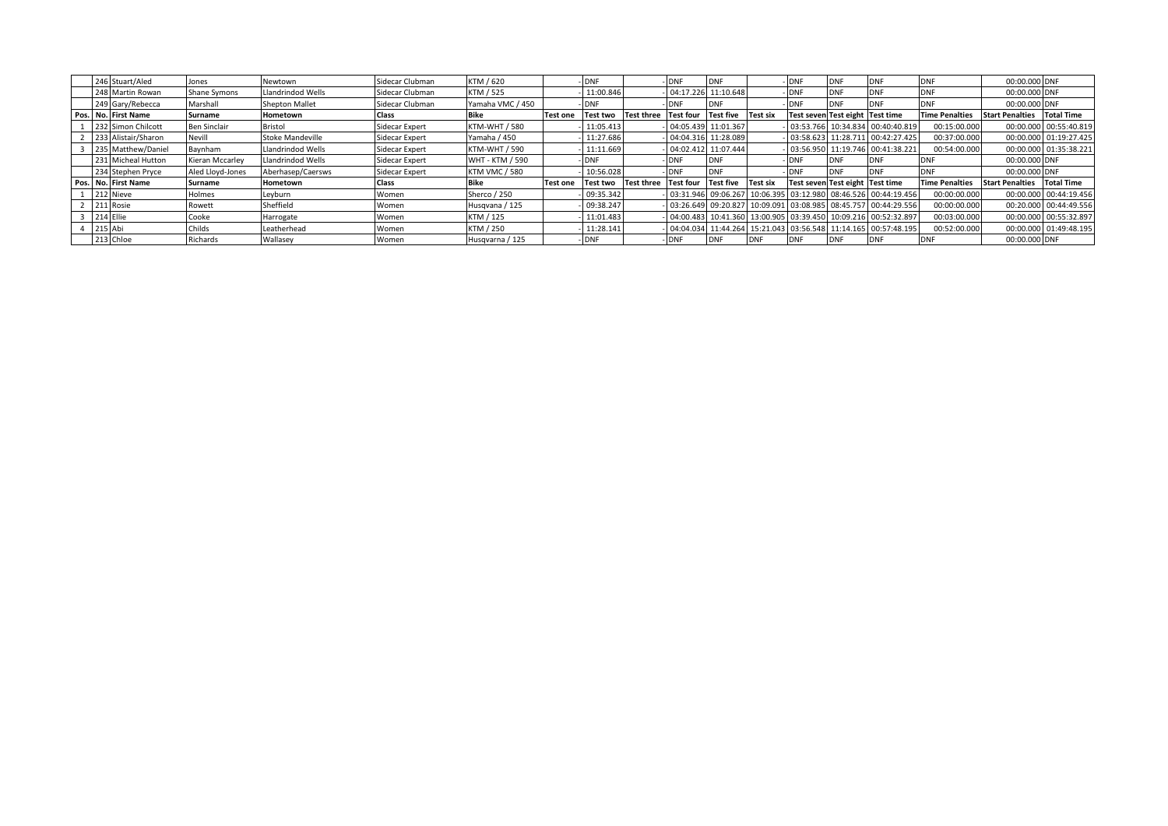| 246 Stuart/Aled     | Jones            | Newtown               | Sidecar Clubman | KTM / 620            |                 | <b>DNF</b>      |                   | <b>DNF</b>       | DN'                 |                 | υNF                             | <b>DNF</b> |                                                                |                       | 00:00.000 DNF                     |                        |
|---------------------|------------------|-----------------------|-----------------|----------------------|-----------------|-----------------|-------------------|------------------|---------------------|-----------------|---------------------------------|------------|----------------------------------------------------------------|-----------------------|-----------------------------------|------------------------|
| 248 Martin Rowan    | Shane Symons     | Llandrindod Wells     | Sidecar Clubman | KTM / 525            |                 | 11:00.846       |                   | 04:17.226        | 11:10.648           |                 | - DNF                           | <b>DNF</b> |                                                                | <b>DN</b>             | 00:00.000 DNF                     |                        |
| 249 Gary/Rebecca    | Marshall         | <b>Shepton Mallet</b> | Sidecar Clubman | Yamaha VMC / 450     |                 | <b>DNF</b>      |                   | <b>DNF</b>       | DNF                 |                 | - IDNF                          | <b>DNF</b> |                                                                | <b>DNI</b>            | 00:00.000 DNF                     |                        |
| Pos. No. First Name | Surname          | Hometown              | Class           | Bike                 | <b>Test one</b> | Test two        | <b>Test three</b> | <b>Test four</b> | <b>Test five</b>    | <b>Test six</b> | Test seven Test eight Test time |            |                                                                | <b>Time Penalties</b> | <b>Start Penalties Total Time</b> |                        |
| 232 Simon Chilcott  | Ben Sinclair     | Bristol               | Sidecar Expert  | <b>KTM-WHT / 580</b> |                 | 11:05.413       |                   |                  | 04:05.439 11:01.367 |                 |                                 |            | 03:53.766 10:34.834 00:40:40.819                               | 00:15:00.000          |                                   | 00:00.000 00:55:40.819 |
| 233 Alistair/Sharon | Nevill           | Stoke Mandeville      | Sidecar Expert  | Yamaha / 450         |                 | 11:27.686       |                   |                  | 04:04.316 11:28.089 |                 |                                 |            | 03:58.623 11:28.711 00:42:27.425                               | 00:37:00.000          |                                   | 00:00.000 01:19:27.425 |
| 235 Matthew/Daniel  | Baynham          | Llandrindod Wells     | Sidecar Expert  | KTM-WHT / 590        |                 | 11:11.669       |                   |                  | 04:02.412 11:07.444 |                 |                                 |            | 03:56.950 11:19.746 00:41:38.221                               | 00:54:00.000          |                                   | 00:00.000 01:35:38.221 |
| 231 Micheal Hutton  | Kieran Mccarley  | Llandrindod Wells     | Sidecar Expert  | WHT - KTM / 590      |                 | <b>DNF</b>      |                   | <b>DNF</b>       | <b>IDNF</b>         |                 | - DNF                           | <b>DNF</b> |                                                                | DNI                   | 00:00.000 DNF                     |                        |
| 234 Stephen Pryce   | Aled Lloyd-Jones | Aberhasep/Caersws     | Sidecar Expert  | <b>KTM VMC / 580</b> |                 | 10:56.028       |                   | <b>DNF</b>       | <b>DNF</b>          |                 | <b>DNF</b>                      | <b>DNF</b> |                                                                | DNI                   | 00:00.000 DNF                     |                        |
| Pos. No. First Name | Surname          | Hometown              | Class           | <b>Bike</b>          | <b>Test one</b> | <b>Test two</b> | <b>Test three</b> | <b>Test four</b> | <b>Test five</b>    | Test six        | Test seven Test eight Test time |            |                                                                | <b>Time Penalties</b> | <b>Start Penalties Total Time</b> |                        |
| 212 Nieve           | Holmes           | Leyburn               | Women           | Sherco / 250         |                 | 09:35.342       |                   |                  |                     |                 |                                 |            | 03:31.946 09:06.267 10:06.395 03:12.980 08:46.526 00:44:19.456 | 00:00:00.000          |                                   | 00:00.000 00:44:19.456 |
| 211 Rosie           | Rowett           | Sheffield             | Women           | Husqvana / 125       |                 | 09:38.247       |                   |                  |                     |                 |                                 |            | 03:26.649 09:20.827 10:09.091 03:08.985 08:45.757 00:44:29.556 | 00:00:00.000          |                                   | 00:20.000 00:44:49.556 |
| 214 Ellie           | Cooke            | Harrogate             | Women           | KTM / 125            |                 | 11:01.483       |                   |                  |                     |                 |                                 |            | 04:00.483 10:41.360 13:00.905 03:39.450 10:09.216 00:52:32.897 | 00:03:00.000          |                                   | 00:00.000 00:55:32.897 |
| 215 Abi             | Childs           | Leatherhead           | Women           | KTM / 250            |                 | 11:28.141       |                   |                  |                     |                 |                                 |            | 04:04.034 11:44.264 15:21.043 03:56.548 11:14.165 00:57:48.195 | 00:52:00.000          |                                   | 00:00.000 01:49:48.195 |
| 213 Chloe           | Richards         | Wallasey              | Women           | Husqvarna / 125      |                 | - IDNF          |                   | <b>DNF</b>       | . DNF               | <b>DNF</b>      | <b>DNF</b>                      | <b>DNF</b> |                                                                | <b>DNF</b>            | 00:00.000 DNF                     |                        |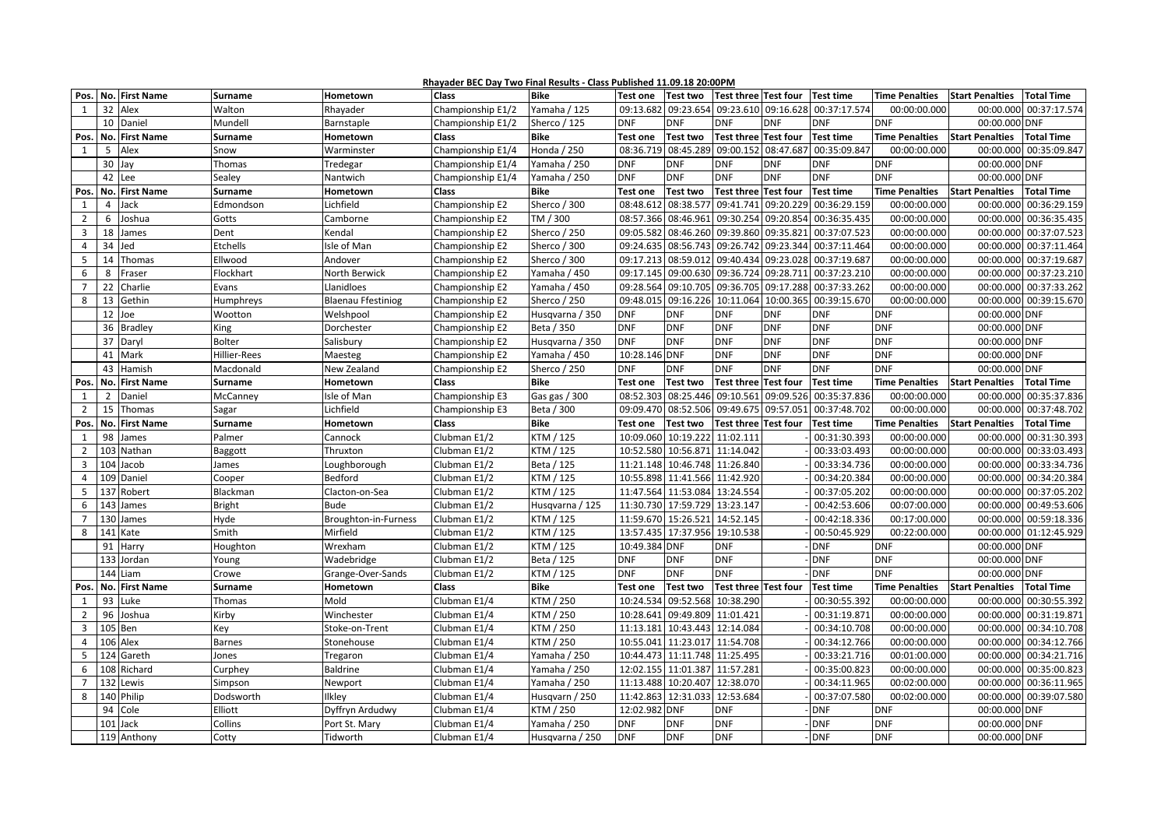|                |                            |                |                           | Rhayader BEC Day Two Final Results - Class Published 11.09.18 20:00PM |                 |                 |                     |                                         |            |                  |                       |                        |                                            |
|----------------|----------------------------|----------------|---------------------------|-----------------------------------------------------------------------|-----------------|-----------------|---------------------|-----------------------------------------|------------|------------------|-----------------------|------------------------|--------------------------------------------|
| Pos.           | No. First Name             | <b>Surname</b> | Hometown                  | <b>Class</b>                                                          | <b>Bike</b>     | <b>Test one</b> | <b>Test two</b>     | Test three Test four                    |            | <b>Test time</b> | <b>Time Penalties</b> | <b>Start Penalties</b> | <b>Total Time</b>                          |
| $\mathbf{1}$   | 32 Alex                    | Walton         | Rhayader                  | Championship E1/2                                                     | Yamaha / 125    |                 |                     | 09:13.682 09:23.654 09:23.610 09:16.628 |            | 00:37:17.574     | 00:00:00.000          | 00:00.000              | 00:37:17.574                               |
|                | 10<br>Daniel               | Mundell        | Barnstaple                | Championship E1/2                                                     | Sherco / 125    | <b>DNF</b>      | <b>DNF</b>          | <b>DNF</b>                              | <b>DNF</b> | <b>DNF</b>       | <b>DNF</b>            | 00:00.000              | <b>DNF</b>                                 |
| Pos.           | No. First Name             | <b>Surname</b> | Hometown                  | <b>Class</b>                                                          | <b>Bike</b>     | <b>Test one</b> | <b>Test two</b>     | <b>Test three Test four</b>             |            | <b>Test time</b> | <b>Time Penalties</b> | <b>Start Penalties</b> | <b>Total Time</b>                          |
| 1              | Alex<br>5                  | Snow           | Warminster                | Championship E1/4                                                     | Honda / 250     |                 | 08:36.719 08:45.289 | 09:00.152 08:47.687                     |            | 00:35:09.847     | 00:00:00.000          | 00:00.000              | 00:35:09.847                               |
|                | 30 Jay                     | Thomas         | Tredegar                  | Championship E1/4                                                     | Yamaha / 250    | <b>DNF</b>      | <b>DNF</b>          | <b>DNF</b>                              | <b>DNF</b> | <b>DNF</b>       | <b>DNF</b>            | 00:00.000 DNF          |                                            |
|                | 42<br>Lee                  | Sealey         | Nantwich                  | Championship E1/4                                                     | Yamaha / 250    | <b>DNF</b>      | <b>DNF</b>          | <b>DNF</b>                              | <b>DNF</b> | <b>DNF</b>       | <b>DNF</b>            | 00:00.000 DNF          |                                            |
| Pos.           | No. First Name             | <b>Surname</b> | Hometown                  | <b>Class</b>                                                          | <b>Bike</b>     | <b>Test one</b> | <b>Test two</b>     | Test three Test four                    |            | <b>Test time</b> | <b>Time Penalties</b> | <b>Start Penalties</b> | <b>Total Time</b>                          |
| 1              | $\overline{4}$<br>Jack     | Edmondson      | Lichfield                 | Championship E2                                                       | Sherco / 300    | 08:48.612       | 08:38.577           | 09:41.741 09:20.229                     |            | 00:36:29.159     | 00:00:00.000          | 00:00.000              | 00:36:29.159                               |
| $\overline{2}$ | 6<br>Joshua                | Gotts          | Camborne                  | Championship E2                                                       | TM / 300        | 08:57.366       | 08:46.961           | 09:30.254 09:20.854                     |            | 00:36:35.435     | 00:00:00.000          | 00:00.000              | 00:36:35.435                               |
| 3              | 18<br>James                | Dent           | Kendal                    | Championship E2                                                       | Sherco / 250    | 09:05.582       |                     | 08:46.260 09:39.860 09:35.821           |            | 00:37:07.523     | 00:00:00.000          | 00:00.000              | 00:37:07.523                               |
| $\overline{4}$ | 34<br>Jed                  | Etchells       | Isle of Man               | Championship E2                                                       | Sherco / 300    | 09:24.635       | 08:56.743           | 09:26.742 09:23.344                     |            | 00:37:11.464     | 00:00:00.000          | 00:00.000              | 00:37:11.464                               |
| 5              | 14<br>Thomas               | Ellwood        | Andover                   | Championship E2                                                       | Sherco / 300    | 09:17.213       |                     | 08:59.012 09:40.434 09:23.028           |            | 00:37:19.687     | 00:00:00.000          | 00:00.000              | 00:37:19.687                               |
| 6              | 8<br>Fraser                | Flockhart      | North Berwick             | Championship E2                                                       | Yamaha / 450    | 09:17.145       |                     | 09:00.630 09:36.724 09:28.711           |            | 00:37:23.210     | 00:00:00.000          | 00:00.000              | 00:37:23.210                               |
| $\overline{7}$ | 22<br>Charlie              | Evans          | Llanidloes                | Championship E2                                                       | Yamaha / 450    | 09:28.564       | 09:10.705           | 09:36.705 09:17.288                     |            | 00:37:33.262     | 00:00:00.000          | 00:00.000              | 00:37:33.262                               |
| 8              | 13<br>Gethin               | Humphreys      | <b>Blaenau Ffestiniog</b> | Championship E2                                                       | Sherco / 250    | 09:48.015       |                     | 09:16.226 10:11.064 10:00.365           |            | 00:39:15.670     | 00:00:00.000          | 00:00.000              | 00:39:15.670                               |
|                | 12 Joe                     | Wootton        | Welshpool                 | Championship E2                                                       | Husqvarna / 350 | <b>DNF</b>      | <b>DNF</b>          | <b>DNF</b>                              | <b>DNF</b> | <b>DNF</b>       | <b>DNF</b>            | 00:00.000 DNF          |                                            |
|                | 36 Bradley                 | King           | Dorchester                | Championship E2                                                       | Beta / 350      | <b>DNF</b>      | <b>DNF</b>          | <b>DNF</b>                              | <b>DNF</b> | <b>DNF</b>       | <b>DNF</b>            | 00:00.000 DNF          |                                            |
|                | 37 Daryl                   | Bolter         | Salisbury                 | Championship E2                                                       | Husqvarna / 350 | <b>DNF</b>      | <b>DNF</b>          | <b>DNF</b>                              | <b>DNF</b> | <b>DNF</b>       | <b>DNF</b>            | 00:00.000 DNF          |                                            |
|                | 41<br>Mark                 | Hillier-Rees   | Maesteg                   | Championship E2                                                       | Yamaha / 450    | 10:28.146 DNF   |                     | <b>DNF</b>                              | <b>DNF</b> | <b>DNF</b>       | <b>DNF</b>            | 00:00.000 DNF          |                                            |
|                | 43 Hamish                  | Macdonald      | New Zealand               | Championship E2                                                       | Sherco / 250    | <b>DNF</b>      | <b>DNF</b>          | <b>DNF</b>                              | <b>DNF</b> | <b>DNF</b>       | <b>DNF</b>            | 00:00.000 DNF          |                                            |
| Pos.           | No. First Name             | Surname        | Hometown                  | <b>Class</b>                                                          | <b>Bike</b>     | <b>Test one</b> | <b>Test two</b>     | Test three Test four                    |            | <b>Test time</b> | <b>Time Penalties</b> | <b>Start Penalties</b> | <b>Total Time</b>                          |
| 1              | $2^{\circ}$<br>Daniel      | McCanney       | Isle of Man               | Championship E3                                                       | Gas gas / 300   | 08:52.303       |                     | 08:25.446 09:10.561                     | 09:09.526  | 00:35:37.836     | 00:00:00.000          | 00:00.000              | 00:35:37.836                               |
| $\overline{2}$ | 15 Thomas                  | Sagar          | Lichfield                 | Championship E3                                                       | Beta / 300      | 09:09.470       |                     | 08:52.506 09:49.675 09:57.05:           |            | 00:37:48.702     | 00:00:00.000          | 00:00.000              | 00:37:48.702                               |
| Pos.           | No. First Name             | <b>Surname</b> | Hometown                  | <b>Class</b>                                                          | <b>Bike</b>     | <b>Test one</b> | <b>Test two</b>     | Test three Test four                    |            | <b>Test time</b> | <b>Time Penalties</b> | <b>Start Penalties</b> | <b>Total Time</b>                          |
| 1              | 98<br>James                | Palmer         | Cannock                   | Clubman E1/2                                                          | KTM / 125       | 10:09.060       | 10:19.222           | 11:02.111                               |            | 00:31:30.393     | 00:00:00.000          | 00:00.000              | 00:31:30.393                               |
| $\overline{2}$ | 103 Nathan                 | Baggott        | Thruxton                  | Clubman E1/2                                                          | KTM / 125       | 10:52.580       |                     | 10:56.871 11:14.042                     |            | 00:33:03.493     | 00:00:00.000          | 00:00.000              | 00:33:03.493                               |
| 3              | 104 Jacob                  | James          | Loughborough              | Clubman E1/2                                                          | Beta / 125      | 11:21.148       |                     | 10:46.748 11:26.840                     |            | 00:33:34.736     | 00:00:00.000          | 00:00.000              | 00:33:34.736                               |
| $\overline{4}$ | 109 Daniel                 | Cooper         | Bedford                   | Clubman E1/2                                                          | KTM / 125       | 10:55.898       |                     | 11:41.566 11:42.920                     |            | 00:34:20.384     | 00:00:00.000          | 00:00.000              | 00:34:20.384                               |
| 5              | 137 Robert                 | Blackman       | Clacton-on-Sea            | Clubman E1/2                                                          | KTM / 125       | 11:47.564       |                     | 11:53.084 13:24.554                     |            | 00:37:05.202     | 00:00:00.000          | 00:00.000              | 00:37:05.202                               |
| 6              | 143 James                  | <b>Bright</b>  | Bude                      | Clubman E1/2                                                          | Husqvarna / 125 |                 | 11:30.730 17:59.729 | 13:23.147                               |            | 00:42:53.606     | 00:07:00.000          | 00:00.000              | 00:49:53.606                               |
| $\overline{7}$ | 130 James                  | Hyde           | Broughton-in-Furness      | Clubman E1/2                                                          | KTM / 125       |                 | 11:59.670 15:26.521 | 14:52.145                               |            | 00:42:18.336     | 00:17:00.000          | 00:00.000              | 00:59:18.336                               |
| 8              | 141 Kate                   | Smith          | Mirfield                  | Clubman E1/2                                                          | KTM / 125       | 13:57.435       |                     | 17:37.956 19:10.538                     |            | 00:50:45.929     | 00:22:00.000          | 00:00.000              | 01:12:45.929                               |
|                | 91<br>Harry                | Houghton       | Wrexham                   | Clubman E1/2                                                          | KTM / 125       | 10:49.384 DNF   |                     | <b>DNF</b>                              |            | <b>DNF</b>       | <b>DNF</b>            | 00:00.000 DNF          |                                            |
|                | 133 Jordan                 | Young          | Wadebridge                | Clubman E1/2                                                          | Beta / 125      | <b>DNF</b>      | <b>DNF</b>          | <b>DNF</b>                              |            | <b>DNF</b>       | <b>DNF</b>            | 00:00.000 DNF          |                                            |
|                | 144 Liam                   | Crowe          | Grange-Over-Sands         | Clubman E1/2                                                          | KTM / 125       | <b>DNF</b>      | <b>DNF</b>          | <b>DNF</b>                              |            | <b>DNF</b>       | <b>DNF</b>            | 00:00.000 DNF          |                                            |
| Pos.           | No. First Name             | <b>Surname</b> | Hometown                  | <b>Class</b>                                                          | <b>Bike</b>     | <b>Test one</b> | Test two            | Test three Test four                    |            | <b>Test time</b> | <b>Time Penalties</b> | <b>Start Penalties</b> | <b>Total Time</b>                          |
| 1              | 93 Luke                    | Thomas         | Mold                      | Clubman E1/4                                                          | KTM / 250       | 10:24.534       |                     | 09:52.568 10:38.290                     |            | 00:30:55.392     | 00:00:00.000          | 00:00.000              | 00:30:55.392                               |
| $\overline{2}$ | 96 Joshua                  | Kirby          | Winchester                | Clubman E1/4                                                          | KTM / 250       | 10:28.641       |                     | 09:49.809 11:01.421                     |            | 00:31:19.871     | 00:00:00.000          | 00:00.000              | 00:31:19.871                               |
| $\overline{3}$ | 105 Ben                    | Key            | Stoke-on-Trent            | Clubman E1/4                                                          | KTM / 250       | 11:13.181       |                     | 10:43.443 12:14.084                     |            | 00:34:10.708     | 00:00:00.000          |                        | 00:00.000 00:34:10.708                     |
| $\overline{4}$ | 106 Alex                   | <b>Barnes</b>  | Stonehouse                | Clubman E1/4                                                          | KTM / 250       | 10:55.041       |                     | 11:23.017 11:54.708                     |            | 00:34:12.766     | 00:00:00.000          | 00:00.000              | 00:34:12.766                               |
| 5              | 124 Gareth                 | Jones          | Tregaron                  | Clubman E1/4                                                          | Yamaha / 250    |                 |                     | 10:44.473 11:11.748 11:25.495           |            | 00:33:21.716     | 00:01:00.000          | 00:00.000              | 00:34:21.716                               |
| 6              | 108 Richard                | Curphey        | <b>Baldrine</b>           | Clubman E1/4                                                          | Yamaha / 250    | 12:02.155       |                     | 11:01.387 11:57.281                     |            | 00:35:00.823     | 00:00:00.000          | 00:00.000              | 00:35:00.823                               |
|                |                            |                |                           |                                                                       |                 |                 |                     |                                         |            |                  |                       |                        |                                            |
| $\overline{7}$ | 132 Lewis                  | Simpson        | Newport                   | Clubman E1/4                                                          | Yamaha / 250    | 11:13.488       | 10:20.407           | 12:38.070                               |            | 00:34:11.965     | 00:02:00.000          | 00:00.000              |                                            |
| 8              | 140 Philip                 | Dodsworth      | Ilkley                    | Clubman E1/4                                                          | Husqvarn / 250  | 11:42.863       |                     | 12:31.033 12:53.684                     |            | 00:37:07.580     | 00:02:00.000          | 00:00.000              |                                            |
|                | 94<br>Cole                 | Elliott        | Dyffryn Ardudwy           | Clubman E1/4                                                          | KTM / 250       | 12:02.982 DNF   |                     | <b>DNF</b>                              |            | <b>DNF</b>       | <b>DNF</b>            | 00:00.000              | 00:36:11.965<br>00:39:07.580<br><b>DNF</b> |
|                | 101<br>Jack<br>119 Anthony | Collins        | Port St. Mary             | Clubman E1/4                                                          | Yamaha / 250    | <b>DNF</b>      | <b>DNF</b>          | <b>DNF</b>                              |            | <b>DNF</b>       | <b>DNF</b>            | 00:00.000 DNF          |                                            |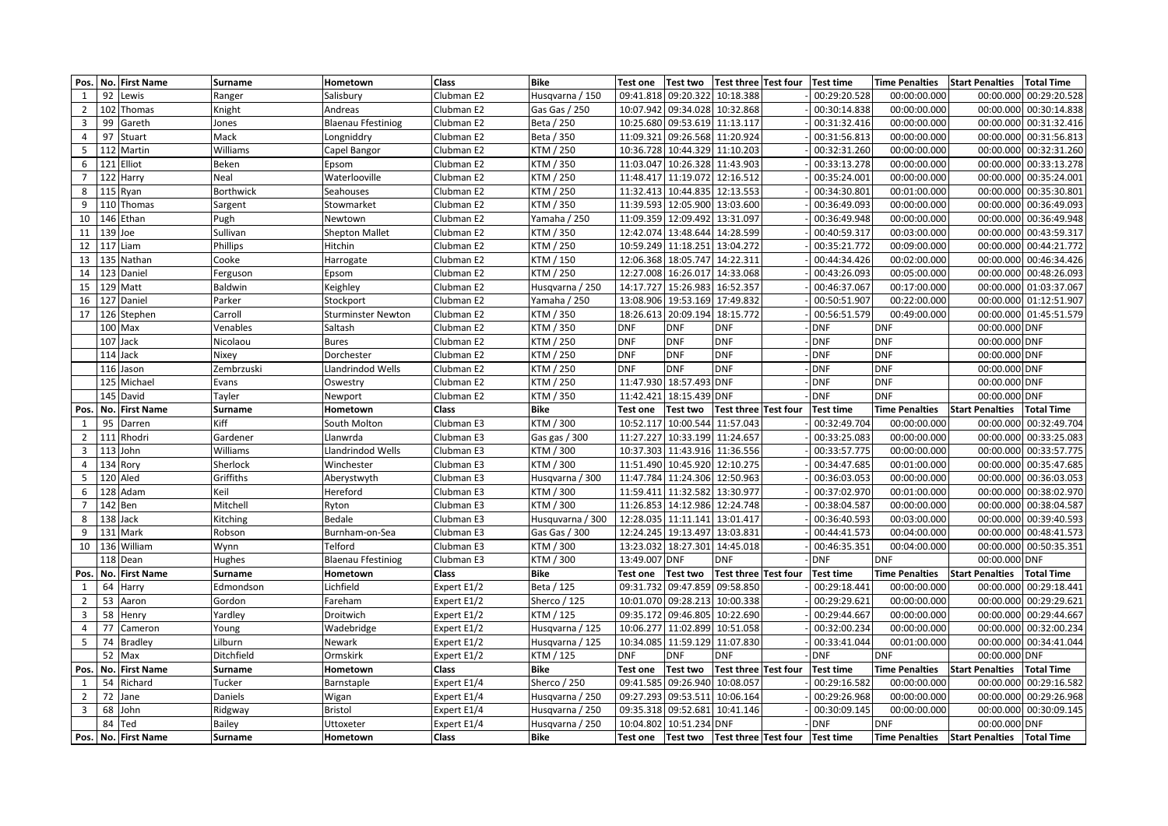| Pos.            | No. First Name          | <b>Surname</b>           | Hometown                              | <b>Class</b>        | <b>Bike</b>            | <b>Test one</b>     | <b>Test two</b>     | Test three Test four          | <b>Test time</b>           | <b>Time Penalties</b>          | Start Penalties   Total Time |                        |
|-----------------|-------------------------|--------------------------|---------------------------------------|---------------------|------------------------|---------------------|---------------------|-------------------------------|----------------------------|--------------------------------|------------------------------|------------------------|
| 1               | 92<br>Lewis             | Ranger                   | Salisbury                             | Clubman E2          | Husqvarna / 150        | 09:41.818           | 09:20.322           | 10:18.388                     | 00:29:20.528               | 00:00:00.000                   | 00:00.000                    | 00:29:20.528           |
| $\overline{2}$  | 102 Thomas              | Knight                   | Andreas                               | Clubman E2          | Gas Gas / 250          |                     | 10:07.942 09:34.028 | 10:32.868                     | 00:30:14.838               | 00:00:00.000                   |                              | 00:00.000 00:30:14.838 |
| 3               | 99<br>Gareth            | Jones                    | <b>Blaenau Ffestiniog</b>             | Clubman E2          | Beta / 250             |                     | 10:25.680 09:53.619 | 11:13.117                     | 00:31:32.416               | 00:00:00.000                   | 00:00.000                    | 00:31:32.416           |
| 4               | 97<br>Stuart            | Mack                     | Longniddry                            | Clubman E2          | Beta / 350             | 11:09.321           | 09:26.568           | 11:20.924                     | 00:31:56.813               | 00:00:00.000                   | 00:00.000                    | 00:31:56.813           |
| 5               | 112 Martin              | Williams                 | Capel Bangor                          | Clubman E2          | KTM / 250              | 10:36.728           | 10:44.329           | 11:10.203                     | 00:32:31.260               | 00:00:00.000                   | 00:00.000                    | 00:32:31.260           |
| $6\overline{6}$ | 121 Elliot              | Beken                    | Epsom                                 | Clubman E2          | KTM / 350              | 11:03.047           |                     | 10:26.328 11:43.903           | 00:33:13.278               | 00:00:00.000                   | 00:00.000                    | 00:33:13.278           |
| $7\overline{ }$ | 122 Harry               | Neal                     | Waterlooville                         | Clubman E2          | KTM / 250              |                     |                     | 11:48.417 11:19.072 12:16.512 | 00:35:24.001               | 00:00:00.000                   | 00:00.000                    | 00:35:24.001           |
| 8               | 115 Ryan                | Borthwick                | Seahouses                             | Clubman E2          | KTM / 250              |                     |                     | 11:32.413 10:44.835 12:13.553 | 00:34:30.801               | 00:01:00.000                   |                              | 00:00.000 00:35:30.801 |
| 9               | 110 Thomas              | Sargent                  | Stowmarket                            | Clubman E2          | KTM / 350              |                     |                     | 11:39.593 12:05.900 13:03.600 | 00:36:49.093               | 00:00:00.000                   | 00:00.000                    | 00:36:49.093           |
| 10              | 146 Ethan               | Pugh                     | Newtown                               | Clubman E2          | Yamaha / 250           |                     | 11:09.359 12:09.492 | 13:31.097                     | 00:36:49.948               | 00:00:00.000                   | 00:00.000                    | 00:36:49.948           |
| 11              | 139 Joe                 | Sullivan                 | <b>Shepton Mallet</b>                 | Clubman E2          | KTM / 350              |                     | 12:42.074 13:48.644 | 14:28.599                     | 00:40:59.317               | 00:03:00.000                   | 00:00.000                    | 00:43:59.317           |
| 12              | 117 Liam                | Phillips                 | Hitchin                               | Clubman E2          | KTM / 250              |                     | 10:59.249 11:18.251 | 13:04.272                     | 00:35:21.772               | 00:09:00.000                   | 00:00.000                    | 00:44:21.772           |
| 13              | 135 Nathan              | Cooke                    | Harrogate                             | Clubman E2          | KTM / 150              |                     | 12:06.368 18:05.747 | 14:22.311                     | 00:44:34.426               | 00:02:00.000                   | 00:00.000                    | 00:46:34.426           |
| 14              | 123 Daniel              | Ferguson                 | Epsom                                 | Clubman E2          | KTM / 250              |                     | 12:27.008 16:26.017 | 14:33.068                     | 00:43:26.093               | 00:05:00.000                   |                              | 00:00.000 00:48:26.093 |
| 15              | 129 Matt                | <b>Baldwin</b>           | Keighley                              | Clubman E2          | Husqvarna / 250        | 14:17.727           | 15:26.983           | 16:52.357                     | 00:46:37.067               | 00:17:00.000                   | 00:00.000                    | 01:03:37.067           |
| 16              | 127 Daniel              | Parker                   | Stockport                             | Clubman E2          | Yamaha / 250           | 13:08.906           | 19:53.169           | 17:49.832                     | 00:50:51.907               | 00:22:00.000                   | 00:00.000                    | 01:12:51.907           |
| 17              | 126 Stephen             | Carroll                  | Sturminster Newton                    | Clubman E2          | KTM / 350              |                     | 18:26.613 20:09.194 | 18:15.772                     | 00:56:51.579               | 00:49:00.000                   | 00:00.000                    | 01:45:51.579           |
|                 | $100$ Max               | Venables                 | Saltash                               | Clubman E2          | KTM / 350              | <b>DNF</b>          | <b>DNF</b>          | DNF                           | <b>DNF</b>                 | <b>DNF</b>                     | 00:00.000 DNF                |                        |
|                 | 107 Jack                | Nicolaou                 | <b>Bures</b>                          | Clubman E2          | KTM / 250              | <b>DNF</b>          | <b>DNF</b>          | <b>DNF</b>                    | <b>DNF</b>                 | <b>DNF</b>                     | 00:00.000 DNF                |                        |
|                 | 114 Jack                | Nixey                    | Dorchester                            | Clubman E2          | KTM / 250              | <b>DNF</b>          | <b>DNF</b>          | <b>DNF</b>                    | <b>DNF</b>                 | <b>DNF</b>                     | 00:00.000 DNF                |                        |
|                 | 116 Jason               | Zembrzuski               | Llandrindod Wells                     | Clubman E2          | KTM / 250              | <b>DNF</b>          | <b>DNF</b>          | <b>DNF</b>                    | <b>DNF</b>                 | <b>DNF</b>                     | 00:00.000 DNF                |                        |
|                 | 125 Michael             | Evans                    | Oswestry                              | Clubman E2          | KTM / 250              |                     | 11:47.930 18:57.493 | <b>DNF</b>                    | <b>DNF</b>                 | <b>DNF</b>                     | 00:00.000 DNF                |                        |
|                 | 145 David               | Tayler                   | Newport                               | Clubman E2          | KTM / 350              | 11:42.421           | 18:15.439           | <b>DNF</b>                    | <b>DNF</b>                 | <b>DNF</b>                     | 00:00.000 DNF                |                        |
| Pos.            | No. First Name          | <b>Surname</b>           | Hometown                              | Class               | Bike                   | <b>Test one</b>     | <b>Test two</b>     | Test three Test four          | <b>Test time</b>           | <b>Time Penalties</b>          | <b>Start Penalties</b>       | <b>Total Time</b>      |
| $\mathbf{1}$    | 95<br>Darren            | Kiff                     | South Molton                          | Clubman E3          | KTM / 300              | 10:52.117           | 10:00.544           | 11:57.043                     | 00:32:49.704               | 00:00:00.000                   | 00:00.000                    | 00:32:49.704           |
| $\overline{2}$  | 111 Rhodri              | Gardener                 | Llanwrda                              | Clubman E3          | Gas gas / 300          | 11:27.227           | 10:33.199           | 11:24.657                     | 00:33:25.083               | 00:00:00.000                   | 00:00.000                    | 00:33:25.083           |
| 3               | 113 John                | Williams                 | Llandrindod Wells                     | Clubman E3          | KTM / 300              |                     | 10:37.303 11:43.916 | 11:36.556                     | 00:33:57.775               | 00:00:00.000                   | 00:00.000                    | 00:33:57.775           |
| 4               | 134 Rory                | Sherlock                 | Winchester                            | Clubman E3          | KTM / 300              | 11:51.490           | 10:45.920           | 12:10.275                     | 00:34:47.685               | 00:01:00.000                   | 00:00.000                    | 00:35:47.685           |
| 5               | 120 Aled                | Griffiths                | Aberystwyth                           | Clubman E3          | Husqvarna / 300        | 11:47.784           | 11:24.306           | 12:50.963                     | 00:36:03.053               | 00:00:00.000                   | 00:00.000                    | 00:36:03.053           |
| 6               | 128 Adam                | Keil                     | Hereford                              | Clubman E3          | KTM / 300              | 11:59.411           | 11:32.582           | 13:30.977                     | 00:37:02.970               | 00:01:00.000                   | 00:00.000                    | 00:38:02.970           |
| $\overline{7}$  | 142 Ben                 | Mitchell                 | Ryton                                 | Clubman E3          | KTM / 300              |                     | 11:26.853 14:12.986 | 12:24.748                     | 00:38:04.587               | 00:00:00.000                   | 00:00.000                    | 00:38:04.587           |
| 8               | 138 Jack                | Kitching                 | Bedale                                | Clubman E3          | Husquvarna / 300       |                     | 12:24.245 19:13.497 | 12:28.035 11:11.141 13:01.417 | 00:36:40.593               | 00:03:00.000                   | 00:00.000                    | 00:39:40.593           |
| 9               | 131 Mark<br>136 William | Robson                   | Burnham-on-Sea                        | Clubman E3          | Gas Gas / 300          |                     | 13:23.032 18:27.301 | 13:03.831                     | 00:44:41.573               | 00:04:00.000<br>00:04:00.000   | 00:00.000                    | 00:48:41.573           |
| 10              | 118 Dean                | Wynn                     | Telford                               | Clubman E3          | KTM / 300<br>KTM / 300 | 13:49.007 DNF       |                     | 14:45.018<br><b>DNF</b>       | 00:46:35.351<br><b>DNF</b> | <b>DNF</b>                     | 00:00.000<br>00:00.000 DNF   | 00:50:35.351           |
| Pos.            | No. First Name          | Hughes<br><b>Surname</b> | <b>Blaenau Ffestiniog</b><br>Hometown | Clubman E3<br>Class | Bike                   | <b>Test one</b>     | Test two            | Test three Test four          | <b>Test time</b>           | <b>Time Penalties</b>          | <b>Start Penalties</b>       | <b>Total Time</b>      |
| 1               | 64<br>Harry             | Edmondson                | Lichfield                             | Expert E1/2         | Beta / 125             |                     | 09:31.732 09:47.859 | 09:58.850                     | 00:29:18.441               | 00:00:00.000                   | 00:00.000                    | 00:29:18.441           |
| $\overline{2}$  | 53<br>Aaron             | Gordon                   | Fareham                               | Expert E1/2         | Sherco / 125           | 10:01.070           | 09:28.213           | 10:00.338                     | 00:29:29.621               | 00:00:00.000                   | 00:00.000                    | 00:29:29.621           |
| 3               | 58<br>Henry             | Yardley                  | Droitwich                             | Expert E1/2         | KTM / 125              | 09:35.172           | 09:46.805           | 10:22.690                     | 00:29:44.667               | 00:00:00.000                   | 00:00.000                    | 00:29:44.667           |
| $\overline{4}$  | 77<br>Cameron           | Young                    | Wadebridge                            | Expert E1/2         | Husqvarna / 125        | 10:06.277           | 11:02.899           | 10:51.058                     | 00:32:00.234               | 00:00:00.000                   | 00:00.000                    | 00:32:00.234           |
| 5               | 74<br><b>Bradley</b>    | Lilburn                  | Newark                                | Expert E1/2         | Husqvarna / 125        |                     | 10:34.085 11:59.129 | 11:07.830                     | 00:33:41.044               | 00:01:00.000                   | 00:00.000                    | 00:34:41.044           |
|                 | 52<br>Max               | Ditchfield               | Ormskirk                              | Expert E1/2         | KTM / 125              | <b>DNF</b>          | <b>DNF</b>          | <b>DNF</b>                    | <b>DNF</b>                 | <b>DNF</b>                     | 00:00.000 DNF                |                        |
| Pos.            | No. First Name          | <b>Surname</b>           | Hometown                              | Class               | <b>Bike</b>            | <b>Test one</b>     | <b>Test two</b>     | Test three Test four          | <b>Test time</b>           | <b>Time Penalties</b>          | <b>Start Penalties</b>       | <b>Total Time</b>      |
| $\mathbf{1}$    | Richard<br>54           | Tucker                   | Barnstaple                            | Expert E1/4         | Sherco / 250           |                     | 09:41.585 09:26.940 | 10:08.057                     | 00:29:16.582               | 00:00:00.000                   | 00:00.000                    | 00:29:16.582           |
| $\overline{2}$  | 72<br>Jane              | Daniels                  | Wigan                                 | Expert E1/4         | Husqvarna / 250        | 09:27.293           | 09:53.511           | 10:06.164                     | 00:29:26.968               | 00:00:00.000                   | 00:00.000                    | 00:29:26.968           |
| 3               | 68<br>John              | Ridgway                  | <b>Bristol</b>                        | Expert E1/4         | Husqvarna / 250        | 09:35.318 09:52.681 |                     | 10:41.146                     | 00:30:09.145               | 00:00:00.000                   | 00:00.000                    | 00:30:09.145           |
|                 | Ted<br>84               | Bailey                   | Uttoxeter                             | Expert E1/4         | Husqvarna / 250        |                     | 10:04.802 10:51.234 | <b>DNF</b>                    | <b>DNF</b>                 | <b>DNF</b>                     | 00:00.000 DNF                |                        |
| Pos.            | No. First Name          | <b>Surname</b>           | Hometown                              | Class               | <b>Bike</b>            | Test one   Test two |                     | Test three Test four          | <b>Test time</b>           | Time Penalties Start Penalties |                              | <b>Total Time</b>      |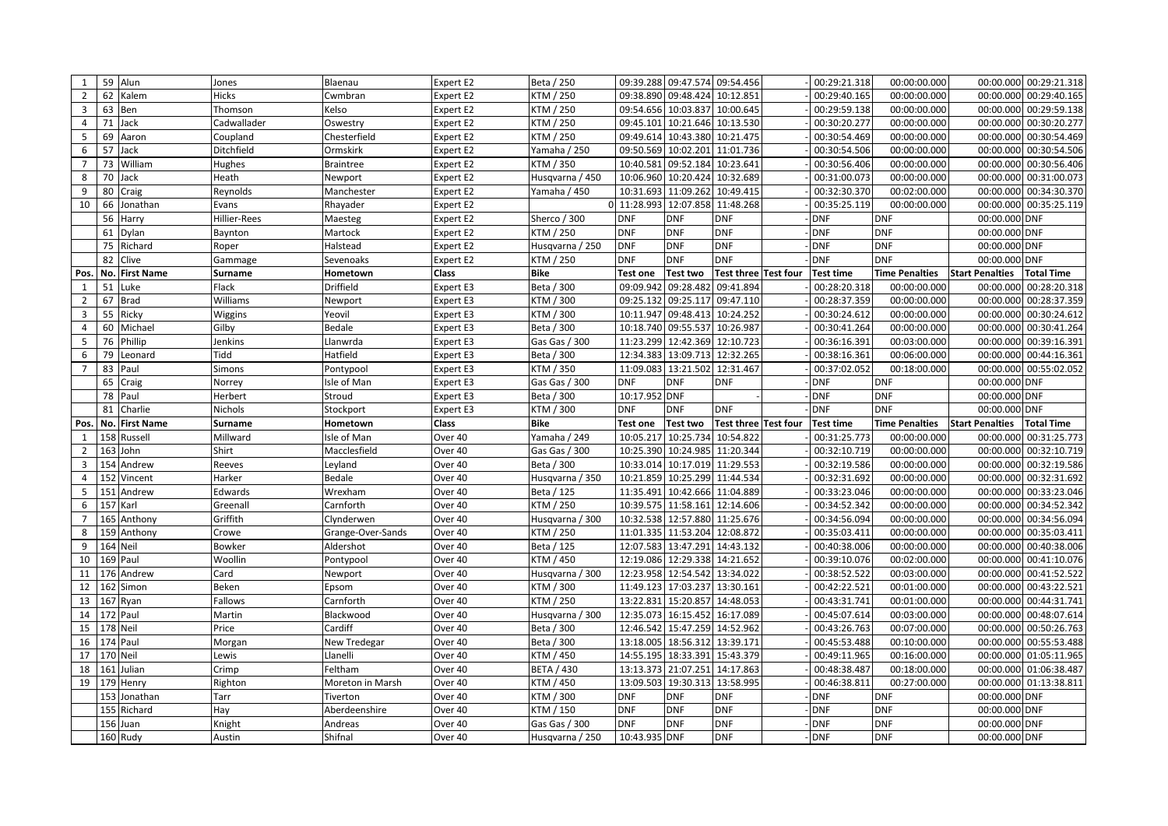| 1              |    | 59 Alun              | Jones            | Blaenau            | Expert E2          | Beta / 250                       |                                 |                               | 09:39.288 09:47.574 09:54.456 | 00:29:21.318             | 00:00:00.000             |                                | 00:00.000 00:29:21.318 |
|----------------|----|----------------------|------------------|--------------------|--------------------|----------------------------------|---------------------------------|-------------------------------|-------------------------------|--------------------------|--------------------------|--------------------------------|------------------------|
| $\overline{2}$ | 62 | Kalem                | <b>Hicks</b>     | Cwmbran            | <b>Expert E2</b>   | KTM / 250                        |                                 | 09:38.890 09:48.424 10:12.851 |                               | 00:29:40.165             | 00:00:00.000             | 00:00.000                      | 00:29:40.165           |
| 3              |    | 63 Ben               | Thomson          | Kelso              | Expert E2          | KTM / 250                        |                                 |                               | 09:54.656 10:03.837 10:00.645 | 00:29:59.138             | 00:00:00.000             | 00:00.000                      | 00:29:59.138           |
| 4              | 71 | Jack                 | Cadwallader      | Oswestry           | Expert E2          | KTM / 250                        | 09:45.101                       |                               | 10:21.646 10:13.530           | 00:30:20.277             | 00:00:00.000             | 00:00.000                      | 00:30:20.277           |
| 5              | 69 | Aaron                | Coupland         | Chesterfield       | Expert E2          | KTM / 250                        | 09:49.614                       |                               | 10:43.380 10:21.475           | 00:30:54.469             | 00:00:00.000             | 00:00.000                      | 00:30:54.469           |
| 6              | 57 | Jack                 | Ditchfield       | Ormskirk           | Expert E2          | Yamaha / 250                     | 09:50.569                       |                               | 10:02.201 11:01.736           | 00:30:54.506             | 00:00:00.000             | 00:00.000                      | 00:30:54.506           |
| $\overline{7}$ |    | 73 William           | Hughes           | Braintree          | Expert E2          | KTM / 350                        | 10:40.581                       |                               | 09:52.184 10:23.641           | 00:30:56.406             | 00:00:00.000             |                                | 00:00.000 00:30:56.406 |
| 8              | 70 | Jack                 | Heath            | Newport            | Expert E2          | Husqvarna / 450                  |                                 |                               | 10:06.960 10:20.424 10:32.689 | 00:31:00.073             | 00:00:00.000             |                                | 00:00.000 00:31:00.073 |
| 9              |    | 80 Craig             | Reynolds         | Manchester         | Expert E2          | Yamaha / 450                     |                                 |                               | 10:31.693 11:09.262 10:49.415 | 00:32:30.370             | 00:02:00.000             |                                | 00:00.000 00:34:30.370 |
| 10             | 66 | Jonathan             | Evans            | Rhayader           | Expert E2          |                                  | 0 11:28.993 12:07.858 11:48.268 |                               |                               | 00:35:25.119             | 00:00:00.000             |                                | 00:00.000 00:35:25.119 |
|                | 56 | Harry                | Hillier-Rees     | Maesteg            | Expert E2          | Sherco / 300                     | <b>DNF</b>                      | <b>DNF</b>                    | <b>DNF</b>                    | <b>DNF</b>               | <b>DNF</b>               | 00:00.000 DNF                  |                        |
|                | 61 | Dylan                | Baynton          | Martock            | Expert E2          | KTM / 250                        | <b>DNF</b>                      | <b>DNF</b>                    | <b>DNF</b>                    | <b>DNF</b>               | <b>DNF</b>               | 00:00.000 DNF                  |                        |
|                | 75 | Richard              | Roper            | Halstead           | Expert E2          | Husqvarna / 250                  | <b>DNF</b>                      | <b>DNF</b>                    | <b>DNF</b>                    | <b>DNF</b>               | <b>DNF</b>               | 00:00.000 DNF                  |                        |
|                | 82 | Clive                | Gammage          | Sevenoaks          | Expert E2          | KTM / 250                        | <b>DNF</b>                      | <b>DNF</b>                    | <b>DNF</b>                    | <b>DNF</b>               | <b>DNF</b>               | 00:00.000 DNF                  |                        |
| Pos.           |    | No. First Name       | <b>Surname</b>   | Hometown           | Class              | <b>Bike</b>                      | <b>Test one</b>                 | <b>Test two</b>               | Test three Test four          | <b>Test time</b>         | <b>Time Penalties</b>    | <b>Start Penalties</b>         | <b>Total Time</b>      |
| 1              | 51 | Luke                 | Flack            | Driffield          | Expert E3          | Beta / 300                       | 09:09.942                       | 09:28.482                     | 09:41.894                     | 00:28:20.318             | 00:00:00.000             | 00:00.000                      | 00:28:20.318           |
| $\overline{2}$ | 67 | <b>Brad</b>          | Williams         | Newport            | Expert E3          | KTM / 300                        | 09:25.132                       |                               | 09:25.117 09:47.110           | 00:28:37.359             | 00:00:00.000             | 00:00.000                      | 00:28:37.359           |
| 3              | 55 | Ricky                | Wiggins          | Yeovil             | Expert E3          | KTM / 300                        | 10:11.947                       | 09:48.413                     | 10:24.252                     | 00:30:24.612             | 00:00:00.000             | 00:00.000                      | 00:30:24.612           |
| $\overline{4}$ | 60 | Michael              | Gilby            | Bedale             | Expert E3          | Beta / 300                       |                                 | 10:18.740 09:55.537 10:26.987 |                               | 00:30:41.264             | 00:00:00.000             |                                | 00:00.000 00:30:41.264 |
| 5              | 76 | Phillip              | Jenkins          | Llanwrda           | Expert E3          | Gas Gas / 300                    |                                 | 11:23.299 12:42.369 12:10.723 |                               | 00:36:16.391             | 00:03:00.000             | 00:00.000                      | 00:39:16.391           |
| 6              | 79 | Leonard              | Tidd             | Hatfield           | Expert E3          | Beta / 300                       | 12:34.383                       |                               | 13:09.713 12:32.265           | 00:38:16.361             | 00:06:00.000             |                                | 00:00.000 00:44:16.361 |
| $\overline{7}$ | 83 | Paul                 | <b>Simons</b>    | Pontypool          | Expert E3          | KTM / 350                        |                                 | 11:09.083 13:21.502 12:31.467 |                               | 00:37:02.052             | 00:18:00.000             |                                | 00:00.000 00:55:02.052 |
|                | 65 | Craig                | Norrey           | Isle of Man        | Expert E3          | Gas Gas / 300                    | <b>DNF</b>                      | <b>DNF</b>                    | <b>DNF</b>                    | <b>DNF</b>               | <b>DNF</b>               | 00:00.000 DNF                  |                        |
|                | 78 | Paul                 | Herbert          | Stroud             | Expert E3          | Beta / 300                       | 10:17.952 DNF                   |                               |                               | <b>DNF</b>               | <b>DNF</b>               | 00:00.000 DNF                  |                        |
|                | 81 | Charlie              |                  |                    |                    |                                  |                                 |                               |                               |                          |                          |                                |                        |
|                |    |                      | Nichols          | Stockport          | Expert E3          | KTM / 300                        | <b>DNF</b>                      | <b>DNF</b>                    | <b>DNF</b>                    | <b>DNF</b>               | <b>DNF</b>               | 00:00.000 DNF                  |                        |
| Pos.           |    | No. First Name       | <b>Surname</b>   | Hometown           | Class              | Bike                             | <b>Test one</b>                 | <b>Test two</b>               | Test three Test four          | <b>Test time</b>         | <b>Time Penalties</b>    | <b>Start Penalties</b>         | <b>Total Time</b>      |
| 1              |    | 158 Russell          | Millward         | Isle of Man        | Over 40            | Yamaha / 249                     | 10:05.217                       | 10:25.734 10:54.822           |                               | 00:31:25.773             | 00:00:00.000             | 00:00.000                      | 00:31:25.773           |
| 2              |    | 163 John             | Shirt            | Macclesfield       | Over 40            | Gas Gas / 300                    |                                 |                               | 10:25.390 10:24.985 11:20.344 | 00:32:10.719             | 00:00:00.000             | 00:00.000                      | 00:32:10.719           |
| 3              |    | 154 Andrew           | Reeves           | Leyland            | Over 40            | Beta / 300                       | 10:33.014                       | 10:17.019 11:29.553           |                               | 00:32:19.586             | 00:00:00.000             | 00:00.000                      | 00:32:19.586           |
| 4              |    | 152 Vincent          | Harker           | Bedale             | Over 40            | Husqvarna / 350                  | 10:21.859                       |                               | 10:25.299 11:44.534           | 00:32:31.692             | 00:00:00.000             | 00:00.000                      | 00:32:31.692           |
| 5              |    | 151 Andrew           | Edwards          | Wrexham            | Over 40            | Beta / 125                       | 11:35.491                       |                               | 10:42.666 11:04.889           | 00:33:23.046             | 00:00:00.000             | 00:00.000                      | 00:33:23.046           |
| 6              |    | 157 Karl             | Greenall         | Carnforth          | Over 40            | KTM / 250                        |                                 |                               | 10:39.575 11:58.161 12:14.606 | 00:34:52.342             | 00:00:00.000             | 00:00.000                      | 00:34:52.342           |
| $\overline{7}$ |    | 165 Anthony          | Griffith         | Clynderwen         | Over 40            | Husqvarna / 300                  |                                 |                               | 10:32.538 12:57.880 11:25.676 | 00:34:56.094             | 00:00:00.000             | 00:00.000                      | 00:34:56.094           |
| 8              |    | 159 Anthony          | Crowe            | Grange-Over-Sands  | Over 40            | KTM / 250                        |                                 |                               | 11:01.335 11:53.204 12:08.872 | 00:35:03.411             | 00:00:00.000             | 00:00.000                      | 00:35:03.411           |
| 9              |    | 164 Neil             | Bowker           | Aldershot          | Over 40            | Beta / 125                       | 12:07.583                       | 13:47.291 14:43.132           |                               | 00:40:38.006             | 00:00:00.000             | 00:00.000                      | 00:40:38.006           |
| 10             |    | 169 Paul             | Woollin          | Pontypool          | Over 40            | KTM / 450                        |                                 | 12:19.086 12:29.338 14:21.652 |                               | 00:39:10.076             | 00:02:00.000             |                                | 00:00.000 00:41:10.076 |
| 11             |    | 176 Andrew           | Card             | Newport            | Over 40            | Husqvarna / 300                  |                                 | 12:23.958 12:54.542 13:34.022 |                               | 00:38:52.522             | 00:03:00.000             | 00:00.000                      | 00:41:52.522           |
| 12             |    | 162 Simon            | Beken            | Epsom              | Over 40            | KTM / 300                        | 11:49.123                       | 17:03.237 13:30.161           |                               | 00:42:22.521             | 00:01:00.000             | 00:00.000                      | 00:43:22.521           |
| 13             |    | 167 Ryan             | Fallows          | Carnforth          | Over 40            | KTM / 250                        | 13:22.831                       | 15:20.857 14:48.053           |                               | 00:43:31.741             | 00:01:00.000             | 00:00.000                      | 00:44:31.741           |
| 14             |    | 172 Paul             | Martin           | Blackwood          | Over 40            | Husqvarna / 300                  | 12:35.073                       |                               | 16:15.452 16:17.089           | 00:45:07.614             | 00:03:00.000             | 00:00.000                      | 00:48:07.614           |
| 15             |    | 178 Neil             | Price            | Cardiff            | Over 40            | Beta / 300                       | 12:46.542                       | 15:47.259 14:52.962           |                               | 00:43:26.763             | 00:07:00.000             | 00:00.000                      | 00:50:26.763           |
| 16             |    | 174 Paul             | Morgan           | New Tredegar       | Over 40            | Beta / 300                       |                                 | 13:18.005 18:56.312 13:39.171 |                               | 00:45:53.488             | 00:10:00.000             |                                | 00:00.000 00:55:53.488 |
| 17             |    | 170 Neil             | Lewis            | Llanelli           | Over 40            | KTM / 450                        |                                 |                               | 14:55.195 18:33.391 15:43.379 | 00:49:11.965             | 00:16:00.000             |                                | 00:00.000 01:05:11.965 |
| 18             |    | 161 Julian           | Crimp            | Feltham            | Over 40            | <b>BETA / 430</b>                | 13:13.373                       | 21:07.251 14:17.863           |                               | 00:48:38.487             | 00:18:00.000             |                                | 00:00.000 01:06:38.487 |
| 19             |    | 179 Henry            | Righton          | Moreton in Marsh   | Over 40            | KTM / 450                        |                                 |                               | 13:09.503 19:30.313 13:58.995 | 00:46:38.811             | 00:27:00.000             |                                | 00:00.000 01:13:38.811 |
|                |    | 153 Jonathan         | Tarr             | Tiverton           | Over 40            | KTM / 300                        | <b>DNF</b>                      | <b>DNF</b>                    | <b>DNF</b>                    | <b>DNF</b>               | <b>DNF</b>               | 00:00.000 DNF                  |                        |
|                |    | 155 Richard          | Hay              | Aberdeenshire      | Over 40            | KTM / 150                        | <b>DNF</b>                      | <b>DNF</b>                    | <b>DNF</b>                    | <b>DNF</b>               | <b>DNF</b>               | 00:00.000 DNF                  |                        |
|                |    | 156 Juan<br>160 Rudy | Knight<br>Austin | Andreas<br>Shifnal | Over 40<br>Over 40 | Gas Gas / 300<br>Husqvarna / 250 | <b>DNF</b><br>10:43.935 DNF     | <b>DNF</b>                    | <b>DNF</b><br><b>DNF</b>      | <b>DNF</b><br><b>DNF</b> | <b>DNF</b><br><b>DNF</b> | 00:00.000 DNF<br>00:00.000 DNF |                        |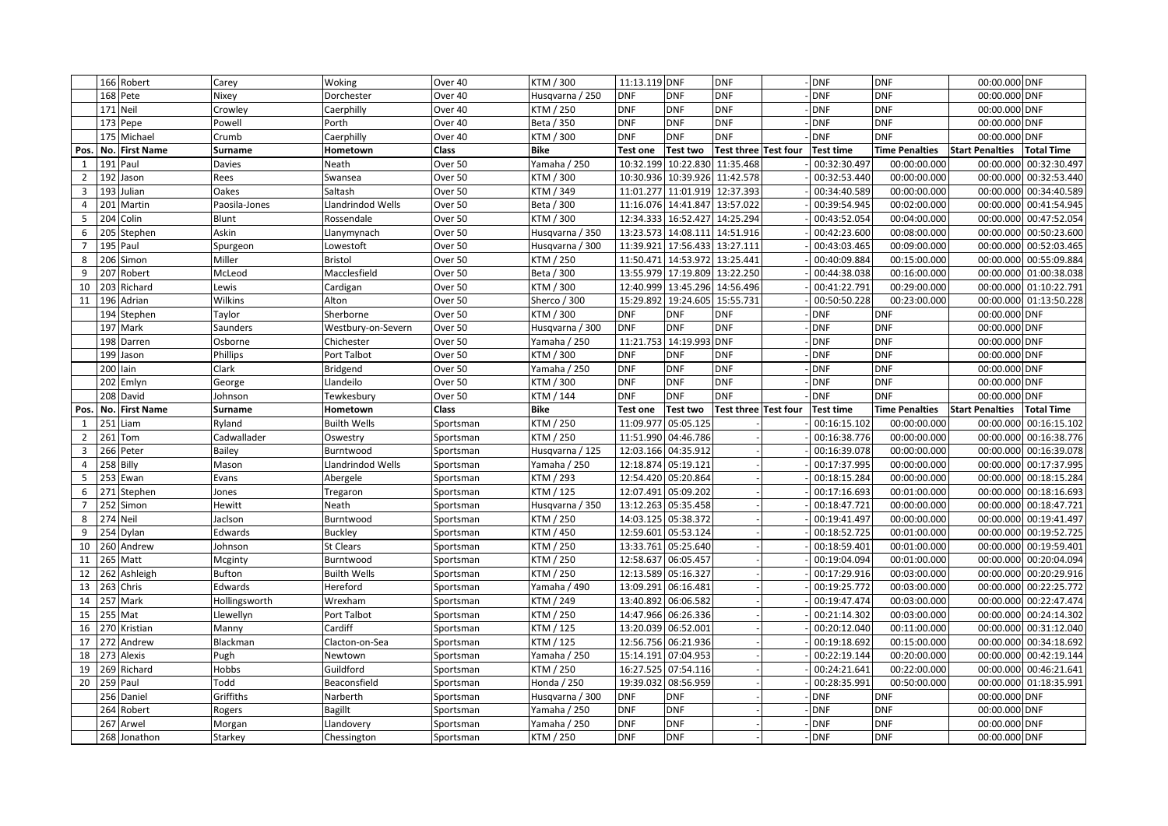|                 |     | 166 Robert            | Carey             | Woking                    | Over 40                | KTM / 300                 | 11:13.119 DNF            |                               | <b>DNF</b>                    | <b>DNF</b>               | <b>DNF</b>               | 00:00.000 DNF                  |                        |
|-----------------|-----|-----------------------|-------------------|---------------------------|------------------------|---------------------------|--------------------------|-------------------------------|-------------------------------|--------------------------|--------------------------|--------------------------------|------------------------|
|                 |     | 168 Pete              | Nixey             | Dorchester                | Over 40                | Husgvarna / 250           | <b>DNF</b>               | <b>DNF</b>                    | <b>DNF</b>                    | <b>DNF</b>               | <b>DNF</b>               | 00:00.000 DNF                  |                        |
|                 |     | 171 Neil              | Crowley           | Caerphilly                | Over 40                | KTM / 250                 | <b>DNF</b>               | <b>DNF</b>                    | <b>DNF</b>                    | <b>DNF</b>               | <b>DNF</b>               | 00:00.000 DNF                  |                        |
|                 |     | 173 Pepe              | Powell            | Porth                     | Over 40                | Beta / 350                | <b>DNF</b>               | <b>DNF</b>                    | <b>DNF</b>                    | <b>DNF</b>               | <b>DNF</b>               | 00:00.000 DNF                  |                        |
|                 |     | 175 Michael           | Crumb             | Caerphilly                | Over 40                | KTM / 300                 | <b>DNF</b>               | <b>DNF</b>                    | <b>DNF</b>                    | <b>DNF</b>               | <b>DNF</b>               | 00:00.000 DNF                  |                        |
| Pos.            | No. | <b>First Name</b>     | Surname           | Hometown                  | Class                  | <b>Bike</b>               | <b>Test one</b>          | <b>Test two</b>               | Test three Test four          | <b>Test time</b>         | <b>Time Penalties</b>    | <b>Start Penalties</b>         | <b>Total Time</b>      |
| $\mathbf{1}$    |     | 191 Paul              | <b>Davies</b>     | Neath                     | Over 50                | Yamaha / 250              |                          |                               | 10:32.199 10:22.830 11:35.468 | 00:32:30.497             | 00:00:00.000             | 00:00.000                      | 00:32:30.497           |
| $\overline{2}$  | 192 | Jason                 | Rees              | Swansea                   | Over 50                | KTM / 300                 |                          |                               | 10:30.936 10:39.926 11:42.578 | 00:32:53.440             | 00:00:00.000             | 00:00.000                      | 00:32:53.440           |
| 3               |     | 193 Julian            | Oakes             | Saltash                   | Over 50                | KTM / 349                 |                          |                               | 11:01.277 11:01.919 12:37.393 | 00:34:40.589             | 00:00:00.000             |                                | 00:00.000 00:34:40.589 |
| 4               |     | 201 Martin            | Paosila-Jones     | Llandrindod Wells         | Over 50                | Beta / 300                |                          | 11:16.076 14:41.847 13:57.022 |                               | 00:39:54.945             | 00:02:00.000             |                                | 00:00.000 00:41:54.945 |
| 5               |     | 204 Colin             | Blunt             | Rossendale                | Over 50                | KTM / 300                 |                          |                               | 12:34.333 16:52.427 14:25.294 | 00:43:52.054             | 00:04:00.000             |                                | 00:00.000 00:47:52.054 |
| 6               |     | 205 Stephen           | Askin             | Llanymynach               | Over 50                | Husqvarna / 350           |                          |                               | 13:23.573 14:08.111 14:51.916 | 00:42:23.600             | 00:08:00.000             |                                | 00:00.000 00:50:23.600 |
| $\overline{7}$  |     | 195 Paul              | Spurgeon          | Lowestoft                 | Over 50                | Husqvarna / 300           |                          |                               | 11:39.921 17:56.433 13:27.111 | 00:43:03.465             | 00:09:00.000             |                                | 00:00.000 00:52:03.465 |
| 8               |     | 206 Simon             | Miller            | Bristol                   | Over 50                | KTM / 250                 |                          |                               | 11:50.471 14:53.972 13:25.441 | 00:40:09.884             | 00:15:00.000             |                                | 00:00.000 00:55:09.884 |
| 9               |     | 207 Robert            | McLeod            | Macclesfield              | Over 50                | Beta / 300                |                          |                               | 13:55.979 17:19.809 13:22.250 | 00:44:38.038             | 00:16:00.000             |                                | 00:00.000 01:00:38.038 |
| 10              |     | 203 Richard           | Lewis             | Cardigan                  | Over 50                | KTM / 300                 |                          |                               | 12:40.999 13:45.296 14:56.496 | 00:41:22.791             | 00:29:00.000             |                                | 00:00.000 01:10:22.791 |
| 11              |     | 196 Adrian            | Wilkins           | Alton                     | Over 50                | Sherco / 300              |                          | 15:29.892 19:24.605           | 15:55.731                     | 00:50:50.228             | 00:23:00.000             |                                | 00:00.000 01:13:50.228 |
|                 |     | 194 Stephen           | Taylor            | Sherborne                 | Over 50                | KTM / 300                 | <b>DNF</b>               | <b>DNF</b>                    | <b>DNF</b>                    | <b>DNF</b>               | <b>DNF</b>               | 00:00.000 DNF                  |                        |
|                 |     | 197 Mark              | Saunders          | Westbury-on-Severn        | Over 50                | Husqvarna / 300           | <b>DNF</b>               | <b>DNF</b>                    | <b>DNF</b>                    | <b>DNF</b>               | <b>DNF</b>               | 00:00.000 DNF                  |                        |
|                 |     | 198 Darren            | Osborne           | Chichester                | Over 50                | Yamaha / 250              |                          | 11:21.753 14:19.993           | <b>DNF</b>                    | <b>DNF</b>               | <b>DNF</b>               | 00:00.000 DNF                  |                        |
|                 |     | 199 Jason             | Phillips          | Port Talbot               | Over 50                | KTM / 300                 | <b>DNF</b>               | <b>DNF</b>                    | <b>DNF</b>                    | <b>DNF</b>               | <b>DNF</b>               | 00:00.000 DNF                  |                        |
|                 |     | 200 lain              | Clark             | Bridgend                  | Over 50                | Yamaha / 250              | <b>DNF</b>               | <b>DNF</b>                    | <b>DNF</b>                    | <b>DNF</b>               | <b>DNF</b>               | 00:00.000 DNF                  |                        |
|                 |     | 202 Emlyn             | George            | Llandeilo                 | Over 50                | KTM / 300                 | <b>DNF</b>               | <b>DNF</b>                    | <b>DNF</b>                    | <b>DNF</b>               | <b>DNF</b>               | 00:00.000 DNF                  |                        |
|                 |     | 208 David             | Johnson           | Tewkesbury                | Over 50                | KTM / 144                 | <b>DNF</b>               | <b>DNF</b>                    | <b>DNF</b>                    | <b>DNF</b>               | <b>DNF</b>               | 00:00.000 DNF                  |                        |
| Pos.            | No. | <b>First Name</b>     | Surname           | Hometown                  | Class                  | <b>Bike</b>               | <b>Test one</b>          | <b>Test two</b>               | Test three Test four          | <b>Test time</b>         | <b>Time Penalties</b>    | <b>Start Penalties</b>         | <b>Total Time</b>      |
| 1               | 251 | Liam                  | Ryland            | <b>Builth Wells</b>       | Sportsman              | KTM / 250                 | 11:09.977                | 05:05.125                     |                               | 00:16:15.102             | 00:00:00.000             | 00:00.000                      | 00:16:15.102           |
| $\overline{2}$  | 261 | Tom                   | Cadwallader       | Oswestry                  | Sportsman              | KTM / 250                 | 11:51.990 04:46.786      |                               |                               | 00:16:38.776             | 00:00:00.000             | 00:00.000                      | 00:16:38.776           |
| 3               |     | 266 Peter             | Bailey            | Burntwood                 | Sportsman              | Husqvarna / 125           | 12:03.166 04:35.912      |                               |                               | 00:16:39.078             | 00:00:00.000             |                                | 00:00.000 00:16:39.078 |
| 4               |     | 258 Billy             | Mason             | Llandrindod Wells         | Sportsman              | Yamaha / 250              | 12:18.874 05:19.121      |                               |                               | 00:17:37.995             | 00:00:00.000             |                                | 00:00.000 00:17:37.995 |
| 5               |     | 253 Ewan              | Evans             | Abergele                  | Sportsman              | KTM / 293                 | 12:54.420 05:20.864      |                               |                               | 00:18:15.284             | 00:00:00.000             |                                | 00:00.000 00:18:15.284 |
| 6               |     | 271 Stephen           | Jones             | Tregaron                  | Sportsman              | KTM / 125                 |                          | 12:07.491 05:09.202           |                               | 00:17:16.693             | 00:01:00.000             | 00:00.000                      | 00:18:16.693           |
|                 |     | 252 Simon             | Hewitt            | Neath                     | Sportsman              | Husqvarna / 350           |                          | 13:12.263 05:35.458           |                               | 00:18:47.721             | 00:00:00.000             |                                | 00:00.000 00:18:47.721 |
| 8               |     | 274 Neil              | Jaclson           | Burntwood                 | Sportsman              | KTM / 250                 |                          | 14:03.125 05:38.372           |                               | 00:19:41.497             | 00:00:00.000             |                                | 00:00.000 00:19:41.497 |
| 9               |     | 254 Dylan             | Edwards           | <b>Buckley</b>            | Sportsman              | KTM / 450                 |                          | 12:59.601 05:53.124           |                               | 00:18:52.725             | 00:01:00.000             |                                | 00:00.000 00:19:52.725 |
| 10 <sup>°</sup> |     | 260 Andrew            | Johnson           | St Clears                 |                        |                           |                          |                               |                               |                          | 00:01:00.000             |                                | 00:00.000 00:19:59.401 |
| 11              |     |                       |                   |                           | Sportsman              | KTM / 250                 | 13:33.761 05:25.640      |                               |                               | 00:18:59.401             |                          |                                |                        |
|                 |     | 265 Matt              | Mcginty           | Burntwood                 | Sportsman              | KTM / 250                 |                          | 12:58.637 06:05.457           |                               | 00:19:04.094             | 00:01:00.000             |                                | 00:00.000 00:20:04.094 |
| 12              |     | 262 Ashleigh          | Bufton            | <b>Builth Wells</b>       | Sportsman              | KTM / 250                 | 12:13.589 05:16.327      |                               |                               | 00:17:29.916             | 00:03:00.000             | 00:00.000                      | 00:20:29.916           |
| 13              |     | 263 Chris             | Edwards           | Hereford                  | Sportsman              | Yamaha / 490              | 13:09.291                | 06:16.481                     |                               | 00:19:25.772             | 00:03:00.000             |                                | 00:00.000 00:22:25.772 |
| 14              |     | 257 Mark              | Hollingsworth     | Wrexham                   | Sportsman              | KTM / 249                 | 13:40.892                | 06:06.582                     |                               | 00:19:47.474             | 00:03:00.000             |                                | 00:00.000 00:22:47.474 |
| 15              |     | 255 Mat               | Llewellyn         | Port Talbot               | Sportsman              | KTM / 250                 | 14:47.966 06:26.336      |                               |                               | 00:21:14.302             | 00:03:00.000             |                                | 00:00.000 00:24:14.302 |
| 16              |     | 270 Kristian          | Manny             | Cardiff                   | Sportsman              | KTM / 125                 | 13:20.039 06:52.001      |                               |                               | 00:20:12.040             | 00:11:00.000             |                                | 00:00.000 00:31:12.040 |
| 17              |     | 272 Andrew            | Blackman          | Clacton-on-Sea            | Sportsman              | KTM / 125                 | 12:56.756 06:21.936      |                               |                               | 00:19:18.692             | 00:15:00.000             | 00:00.000                      | 00:34:18.692           |
| 18              |     | 273 Alexis            | Pugh              | Newtown                   | Sportsman              | Yamaha / 250              | 15:14.191                | 07:04.953                     |                               | 00:22:19.144             | 00:20:00.000             | 00:00.000                      | 00:42:19.144           |
| 19              |     | 269 Richard           | Hobbs             | Guildford                 | Sportsman              | KTM / 250                 | 16:27.525 07:54.116      |                               |                               | 00:24:21.641             | 00:22:00.000             |                                | 00:00.000 00:46:21.641 |
| 20              |     | 259 Paul              | Todd              | Beaconsfield              | Sportsman              | Honda / 250               | 19:39.032                | 08:56.959                     |                               | 00:28:35.991             | 00:50:00.000             |                                | 00:00.000 01:18:35.991 |
|                 |     | 256 Daniel            | Griffiths         | Narberth                  | Sportsman              | Husqvarna / 300           | <b>DNF</b>               | <b>DNF</b>                    |                               | <b>DNF</b>               | <b>DNF</b>               | 00:00.000 DNF                  |                        |
|                 | 264 | Robert                | Rogers            | <b>Bagillt</b>            | Sportsman              | Yamaha / 250              | <b>DNF</b>               | <b>DNF</b>                    |                               | <b>DNF</b>               | <b>DNF</b>               | 00:00.000 DNF                  |                        |
|                 | 267 | Arwel<br>268 Jonathon | Morgan<br>Starkey | Llandovery<br>Chessington | Sportsman<br>Sportsman | Yamaha / 250<br>KTM / 250 | <b>DNF</b><br><b>DNF</b> | <b>DNF</b><br><b>DNF</b>      |                               | <b>DNF</b><br><b>DNF</b> | <b>DNF</b><br><b>DNF</b> | 00:00.000 DNF<br>00:00.000 DNF |                        |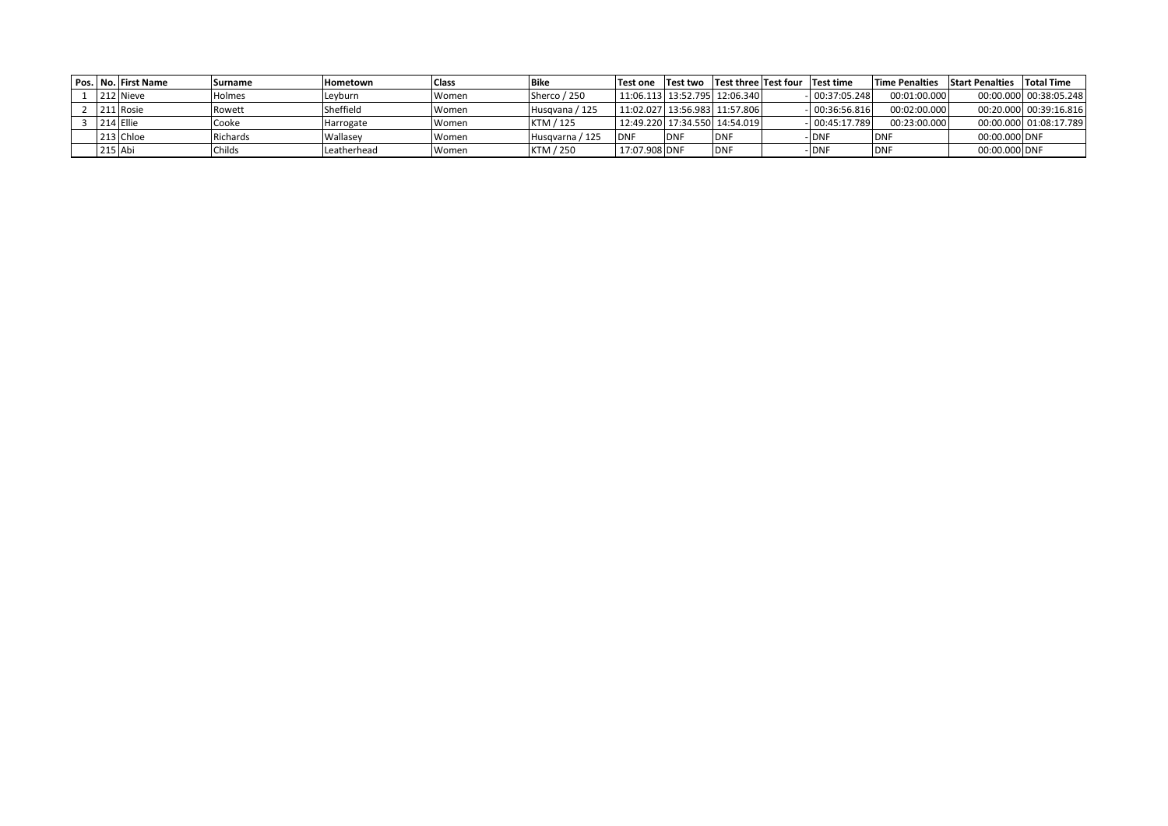|  | Pos. No. First Name | <b>Surname</b> | Hometown    | Class | <b>Bike</b>     | Test one Test two Test three Test four |             |                               | <b>Test time</b> | <b>Time Penalties</b> | <b>Start Penalties</b> | Total Time             |
|--|---------------------|----------------|-------------|-------|-----------------|----------------------------------------|-------------|-------------------------------|------------------|-----------------------|------------------------|------------------------|
|  | 212 Nieve           | Holmes         | Levburn     | Women | Sherco / 250    |                                        |             | 11:06.113 13:52.795 12:06.340 | $-00:37:05.248$  | 00:01:00.000          |                        | 00:00.000 00:38:05.248 |
|  | 211 Rosie           | Rowett         | Sheffield   | Women | Husgvana / 125  |                                        |             | 11:02.027 13:56.983 11:57.806 | 00:36:56.816     | 00:02:00.000          |                        | 00:20.000 00:39:16.816 |
|  | 214 Ellie           | Cooke          | Harrogate   | Women | KTM / 125       |                                        |             | 12:49.220 17:34.550 14:54.019 | 00:45:17.789     | 00:23:00.000          |                        | 00:00.000 01:08:17.789 |
|  | 213 Chloe           | Richards       | Wallasev    | Women | Husavarna / 125 | <b>DNF</b>                             | <b>IDNF</b> | <b>DNF</b>                    | ·IDNI            | <b>DNF</b>            | 00:00.000 DNF          |                        |
|  | 215 Abi             | Childs         | Leatherhead | Women | KTM / 250       | 17:07.908 DNF                          |             | <b>IDNF</b>                   | - IDNF           | <b>IDNF</b>           | 00:00.000 DNF          |                        |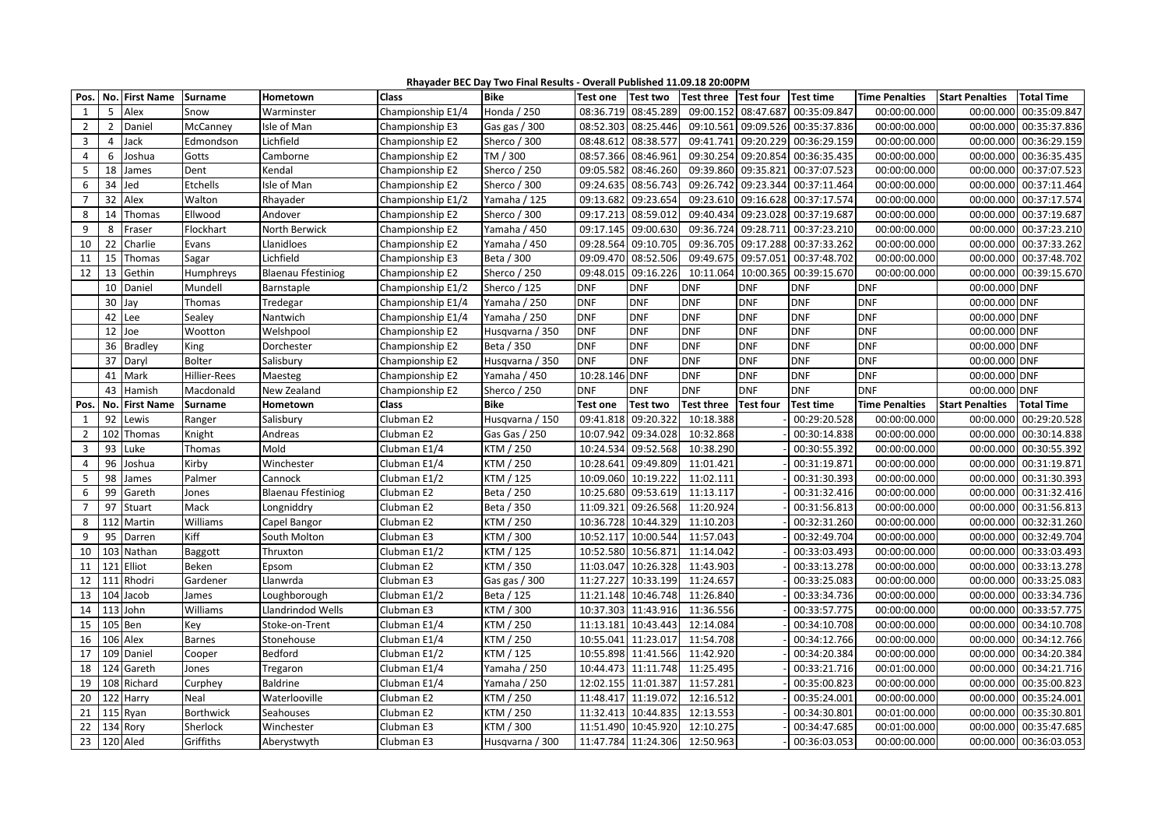| Rhayader BEC Day Two Final Results - Overall Published 11.09.18 20:00PM |  |
|-------------------------------------------------------------------------|--|
|                                                                         |  |

| Pos.           |                | No. First Name | Surname          | Hometown                  | Class             | <b>Bike</b>     | <b>Test one</b> | <b>Test two</b>     | Test three Test four |            | Test time        | <b>Time Penalties</b> | <b>Start Penalties</b> | <b>Total Time</b>      |
|----------------|----------------|----------------|------------------|---------------------------|-------------------|-----------------|-----------------|---------------------|----------------------|------------|------------------|-----------------------|------------------------|------------------------|
| 1              | 5              | Alex           | Snow             | Warminster                | Championship E1/4 | Honda / 250     | 08:36.719       | 08:45.289           | 09:00.152            | 08:47.687  | 00:35:09.847     | 00:00:00.000          | 00:00.000              | 00:35:09.847           |
| $\overline{2}$ |                | 2 Daniel       | McCanney         | Isle of Man               | Championship E3   | Gas gas / 300   | 08:52.303       | 08:25.446           | 09:10.561            | 09:09.526  | 00:35:37.836     | 00:00:00.000          |                        | 00:00.000 00:35:37.836 |
| $\overline{3}$ | $\overline{4}$ | Jack           | Edmondson        | Lichfield                 | Championship E2   | Sherco / 300    | 08:48.612       | 08:38.577           | 09:41.741            | 09:20.229  | 00:36:29.159     | 00:00:00.000          |                        | 00:00.000 00:36:29.159 |
| $\overline{4}$ | 6              | Joshua         | Gotts            | Camborne                  | Championship E2   | TM / 300        | 08:57.366       | 08:46.961           | 09:30.254            | 09:20.854  | 00:36:35.435     | 00:00:00.000          |                        | 00:00.000 00:36:35.435 |
| 5              |                | 18 James       | Dent             | Kendal                    | Championship E2   | Sherco / 250    | 09:05.582       | 08:46.260           | 09:39.860            | 09:35.821  | 00:37:07.523     | 00:00:00.000          |                        | 00:00.000 00:37:07.523 |
| 6              | 34 Jed         |                | Etchells         | Isle of Man               | Championship E2   | Sherco / 300    | 09:24.635       | 08:56.743           | 09:26.742            | 09:23.344  | 00:37:11.464     | 00:00:00.000          |                        | 00:00.000 00:37:11.464 |
| $\overline{7}$ |                | 32 Alex        | Walton           | Rhayader                  | Championship E1/2 | Yamaha / 125    | 09:13.682       | 09:23.654           | 09:23.610            | 09:16.628  | 00:37:17.574     | 00:00:00.000          | 00:00.000              | 00:37:17.574           |
| 8              | 14             | Thomas         | Ellwood          | Andover                   | Championship E2   | Sherco / 300    | 09:17.213       | 08:59.012           | 09:40.434            | 09:23.028  | 00:37:19.687     | 00:00:00.000          |                        | 00:00.000 00:37:19.687 |
| 9              | 8              | Fraser         | Flockhart        | North Berwick             | Championship E2   | Yamaha / 450    | 09:17.145       | 09:00.630           | 09:36.724            | 09:28.711  | 00:37:23.210     | 00:00:00.000          | 00:00.000              | 00:37:23.210           |
| 10             | 22             | Charlie        | Evans            | Llanidloes                | Championship E2   | Yamaha / 450    | 09:28.564       | 09:10.705           | 09:36.705            | 09:17.288  | 00:37:33.262     | 00:00:00.000          | 00:00.000              | 00:37:33.262           |
| 11             |                | 15 Thomas      | Sagar            | Lichfield                 | Championship E3   | Beta / 300      | 09:09.470       | 08:52.506           | 09:49.675            | 09:57.051  | 00:37:48.702     | 00:00:00.000          |                        | 00:00.000 00:37:48.702 |
| 12             | 13             | Gethin         | Humphreys        | <b>Blaenau Ffestiniog</b> | Championship E2   | Sherco / 250    | 09:48.015       | 09:16.226           | 10:11.064            | 10:00.365  | 00:39:15.670     | 00:00:00.000          |                        | 00:00.000 00:39:15.670 |
|                |                | 10 Daniel      | Mundell          | Barnstaple                | Championship E1/2 | Sherco / 125    | <b>DNF</b>      | <b>DNF</b>          | <b>DNF</b>           | <b>DNF</b> | <b>DNF</b>       | <b>DNF</b>            | 00:00.000 DNF          |                        |
|                | 30             | Jay            | <b>Thomas</b>    | Tredegar                  | Championship E1/4 | Yamaha / 250    | <b>DNF</b>      | <b>DNF</b>          | <b>DNF</b>           | <b>DNF</b> | <b>DNF</b>       | <b>DNF</b>            | 00:00.000 DNF          |                        |
|                |                | 42 Lee         | Sealey           | Nantwich                  | Championship E1/4 | Yamaha / 250    | <b>DNF</b>      | <b>DNF</b>          | <b>DNF</b>           | <b>DNF</b> | <b>DNF</b>       | <b>DNF</b>            | 00:00.000 DNF          |                        |
|                | 12             | Joe            | Wootton          | Welshpool                 | Championship E2   | Husqvarna / 350 | <b>DNF</b>      | <b>DNF</b>          | <b>DNF</b>           | <b>DNF</b> | <b>DNF</b>       | <b>DNF</b>            | 00:00.000 DNF          |                        |
|                |                | 36 Bradley     | King             | Dorchester                | Championship E2   | Beta / 350      | <b>DNF</b>      | <b>DNF</b>          | <b>DNF</b>           | <b>DNF</b> | <b>DNF</b>       | <b>DNF</b>            | 00:00.000 DNF          |                        |
|                |                | 37 Daryl       | <b>Bolter</b>    | Salisbury                 | Championship E2   | Husqvarna / 350 | <b>DNF</b>      | <b>DNF</b>          | <b>DNF</b>           | <b>DNF</b> | <b>DNF</b>       | <b>DNF</b>            | 00:00.000 DNF          |                        |
|                |                | 41 Mark        | Hillier-Rees     | Maesteg                   | Championship E2   | Yamaha / 450    | 10:28.146 DNF   |                     | <b>DNF</b>           | <b>DNF</b> | <b>DNF</b>       | <b>DNF</b>            | 00:00.000 DNF          |                        |
|                | 43             | Hamish         | Macdonald        | New Zealand               | Championship E2   | Sherco / 250    | <b>DNF</b>      | <b>DNF</b>          | <b>DNF</b>           | <b>DNF</b> | <b>DNF</b>       | <b>DNF</b>            | 00:00.000 DNF          |                        |
| Pos.           |                | No. First Name | Surname          | Hometown                  | Class             | <b>Bike</b>     | <b>Test one</b> | <b>Test two</b>     | <b>Test three</b>    | Test four  | <b>Test time</b> | <b>Time Penalties</b> | <b>Start Penalties</b> | <b>Total Time</b>      |
| $\mathbf{1}$   | 92             | Lewis          | Ranger           | Salisbury                 | Clubman E2        | Husqvarna / 150 | 09:41.818       | 09:20.322           | 10:18.388            |            | 00:29:20.528     | 00:00:00.000          | 00:00.000              | 00:29:20.528           |
| $\overline{2}$ |                | 102 Thomas     | Knight           | Andreas                   | Clubman E2        | Gas Gas / 250   |                 | 10:07.942 09:34.028 | 10:32.868            |            | 00:30:14.838     | 00:00:00.000          |                        | 00:00.000 00:30:14.838 |
| $\overline{3}$ |                | 93 Luke        | Thomas           | Mold                      | Clubman E1/4      | KTM / 250       | 10:24.534       | 09:52.568           | 10:38.290            |            | 00:30:55.392     | 00:00:00.000          |                        | 00:00.000 00:30:55.392 |
| $\overline{4}$ | 96             | Joshua         | Kirby            | Winchester                | Clubman E1/4      | KTM / 250       | 10:28.641       | 09:49.809           | 11:01.421            |            | 00:31:19.871     | 00:00:00.000          | 00:00.000              | 00:31:19.871           |
| 5              |                | 98 James       | Palmer           | Cannock                   | Clubman E1/2      | KTM / 125       | 10:09.060       | 10:19.222           | 11:02.111            |            | 00:31:30.393     | 00:00:00.000          |                        | 00:00.000 00:31:30.393 |
| 6              |                | 99 Gareth      | Jones            | <b>Blaenau Ffestiniog</b> | Clubman E2        | Beta / 250      | 10:25.680       | 09:53.619           | 11:13.117            |            | 00:31:32.416     | 00:00:00.000          |                        | 00:00.000 00:31:32.416 |
| $\overline{7}$ | 97             | Stuart         | Mack             | Longniddry                | Clubman E2        | Beta / 350      | 11:09.321       | 09:26.568           | 11:20.924            |            | 00:31:56.813     | 00:00:00.000          | 00:00.000              | 00:31:56.813           |
| 8              |                | 112 Martin     | Williams         | Capel Bangor              | Clubman E2        | KTM / 250       | 10:36.728       | 10:44.329           | 11:10.203            |            | 00:32:31.260     | 00:00:00.000          | 00:00.000              | 00:32:31.260           |
| 9              |                | 95 Darren      | Kiff             | South Molton              | Clubman E3        | KTM / 300       | 10:52.117       | 10:00.544           | 11:57.043            |            | 00:32:49.704     | 00:00:00.000          |                        | 00:00.000 00:32:49.704 |
| 10             |                | 103 Nathan     | Baggott          | Thruxton                  | Clubman E1/2      | KTM / 125       | 10:52.580       | 10:56.871           | 11:14.042            |            | 00:33:03.493     | 00:00:00.000          | 00:00.000              | 00:33:03.493           |
| 11             |                | 121 Elliot     | Beken            | Epsom                     | Clubman E2        | KTM / 350       | 11:03.047       | 10:26.328           | 11:43.903            |            | 00:33:13.278     | 00:00:00.000          |                        | 00:00.000 00:33:13.278 |
| 12             |                | 111 Rhodri     | Gardener         | Llanwrda                  | Clubman E3        | Gas gas / 300   | 11:27.227       | 10:33.199           | 11:24.657            |            | 00:33:25.083     | 00:00:00.000          | 00:00.000              | 00:33:25.083           |
| 13             |                | 104 Jacob      | James            | Loughborough              | Clubman E1/2      | Beta / 125      | 11:21.148       | 10:46.748           | 11:26.840            |            | 00:33:34.736     | 00:00:00.000          | 00:00.000              | 00:33:34.736           |
| 14             |                | 113 John       | Williams         | Llandrindod Wells         | Clubman E3        | KTM / 300       | 10:37.303       | 11:43.916           | 11:36.556            |            | 00:33:57.775     | 00:00:00.000          | 00:00.000              | 00:33:57.775           |
| 15             |                | 105 Ben        | Key              | Stoke-on-Trent            | Clubman E1/4      | KTM / 250       | 11:13.181       | 10:43.443           | 12:14.084            |            | 00:34:10.708     | 00:00:00.000          | 00:00.000              | 00:34:10.708           |
| 16             |                | 106 Alex       | <b>Barnes</b>    | Stonehouse                | Clubman E1/4      | KTM / 250       | 10:55.041       | 11:23.017           | 11:54.708            |            | 00:34:12.766     | 00:00:00.000          | 00:00.000              | 00:34:12.766           |
| 17             |                | 109 Daniel     | Cooper           | Bedford                   | Clubman E1/2      | KTM / 125       | 10:55.898       | 11:41.566           | 11:42.920            |            | 00:34:20.384     | 00:00:00.000          | 00:00.000              | 00:34:20.384           |
| 18             |                | 124 Gareth     | Jones            | Tregaron                  | Clubman E1/4      | Yamaha / 250    | 10:44.473       | 11:11.748           | 11:25.495            |            | 00:33:21.716     | 00:01:00.000          | 00:00.000              | 00:34:21.716           |
| 19             |                | 108 Richard    | Curphey          | <b>Baldrine</b>           | Clubman E1/4      | Yamaha / 250    |                 | 12:02.155 11:01.387 | 11:57.281            |            | 00:35:00.823     | 00:00:00.000          | 00:00.000              | 00:35:00.823           |
| 20             |                | 122 Harry      | Neal             | Waterlooville             | Clubman E2        | KTM / 250       |                 | 11:48.417 11:19.072 | 12:16.512            |            | 00:35:24.001     | 00:00:00.000          | 00:00.000              | 00:35:24.001           |
| 21             |                | 115 Ryan       | <b>Borthwick</b> | Seahouses                 | Clubman E2        | KTM / 250       | 11:32.413       | 10:44.835           | 12:13.553            |            | 00:34:30.801     | 00:01:00.000          | 00:00.000              | 00:35:30.801           |
| 22             |                | 134 Rory       | Sherlock         | Winchester                | Clubman E3        | KTM / 300       | 11:51.490       | 10:45.920           | 12:10.275            |            | 00:34:47.685     | 00:01:00.000          | 00:00.000              | 00:35:47.685           |
| 23             |                | 120 Aled       | Griffiths        | Aberystwyth               | Clubman E3        | Husqvarna / 300 |                 | 11:47.784 11:24.306 | 12:50.963            |            | 00:36:03.053     | 00:00:00.000          |                        | 00:00.000 00:36:03.053 |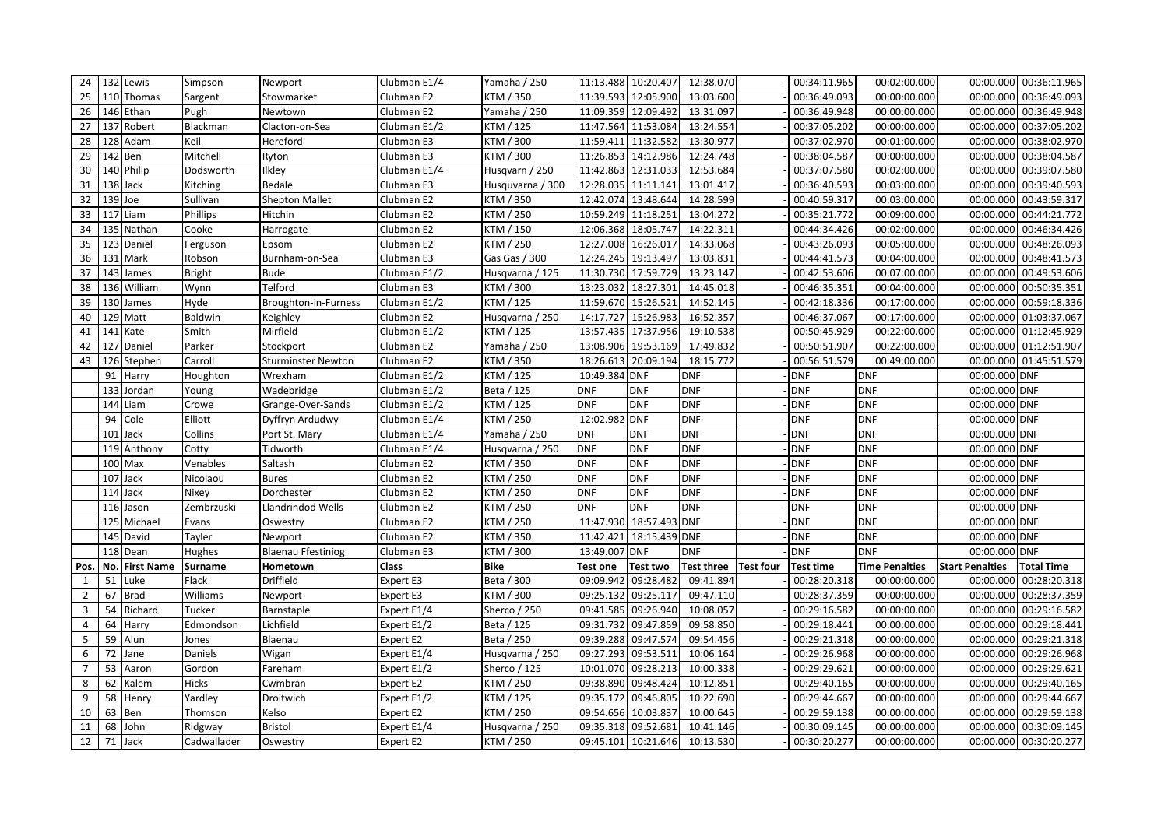| 24                      |          | 132 Lewis      | Simpson       | Newport                   | Clubman E1/4 | Yamaha / 250     |               | 11:13.488 10:20.407     | 12:38.070              | 00:34:11.965     | 00:02:00.000          |                        | 00:00.000 00:36:11.965 |
|-------------------------|----------|----------------|---------------|---------------------------|--------------|------------------|---------------|-------------------------|------------------------|------------------|-----------------------|------------------------|------------------------|
| 25                      |          | 110 Thomas     | Sargent       | Stowmarket                | Clubman E2   | KTM / 350        |               | 11:39.593 12:05.900     | 13:03.600              | 00:36:49.093     | 00:00:00.000          | 00:00.000              | 00:36:49.093           |
| 26                      |          | 146 Ethan      | Pugh          | Newtown                   | Clubman E2   | Yamaha / 250     |               | 11:09.359 12:09.492     | 13:31.097              | 00:36:49.948     | 00:00:00.000          |                        | 00:00.000 00:36:49.948 |
| 27                      |          | 137 Robert     | Blackman      | Clacton-on-Sea            | Clubman E1/2 | KTM / 125        |               | 11:47.564 11:53.084     | 13:24.554              | 00:37:05.202     | 00:00:00.000          |                        | 00:00.000 00:37:05.202 |
| 28                      |          | 128 Adam       | Keil          | Hereford                  | Clubman E3   | KTM / 300        |               | 11:59.411 11:32.582     | 13:30.977              | 00:37:02.970     | 00:01:00.000          | 00:00.000              | 00:38:02.970           |
| 29                      | 142 Ben  |                | Mitchell      | Ryton                     | Clubman E3   | KTM / 300        |               | 11:26.853 14:12.986     | 12:24.748              | 00:38:04.587     | 00:00:00.000          |                        | 00:00.000 00:38:04.587 |
| 30                      |          | 140 Philip     | Dodsworth     | Ilkley                    | Clubman E1/4 | Husqvarn / 250   |               | 11:42.863 12:31.033     | 12:53.684              | 00:37:07.580     | 00:02:00.000          |                        | 00:00.000 00:39:07.580 |
| 31                      | 138 Jack |                | Kitching      | Bedale                    | Clubman E3   | Husquvarna / 300 |               | 12:28.035 11:11.141     | 13:01.417              | 00:36:40.593     | 00:03:00.000          |                        | 00:00.000 00:39:40.593 |
| 32                      | 139 Joe  |                | Sullivan      | <b>Shepton Mallet</b>     | Clubman E2   | KTM / 350        |               | 12:42.074 13:48.644     | 14:28.599              | 00:40:59.317     | 00:03:00.000          |                        | 00:00.000 00:43:59.317 |
| 33                      |          | 117 Liam       | Phillips      | Hitchin                   | Clubman E2   | KTM / 250        |               | 10:59.249 11:18.251     | 13:04.272              | 00:35:21.772     | 00:09:00.000          | 00:00.000              | 00:44:21.772           |
| 34                      |          | 135 Nathan     | Cooke         | Harrogate                 | Clubman E2   | KTM / 150        |               | 12:06.368 18:05.747     | 14:22.311              | 00:44:34.426     | 00:02:00.000          |                        | 00:00.000 00:46:34.426 |
| 35                      |          | 123 Daniel     | Ferguson      | Epsom                     | Clubman E2   | KTM / 250        |               | 12:27.008 16:26.017     | 14:33.068              | 00:43:26.093     | 00:05:00.000          |                        | 00:00.000 00:48:26.093 |
| 36                      |          | 131 Mark       | Robson        | Burnham-on-Sea            | Clubman E3   | Gas Gas / 300    | 12:24.245     | 19:13.497               | 13:03.831              | 00:44:41.573     | 00:04:00.000          | 00:00.000              | 00:48:41.573           |
| 37                      |          | 143 James      | <b>Bright</b> | <b>Bude</b>               | Clubman E1/2 | Husqvarna / 125  |               | 11:30.730 17:59.729     | 13:23.147              | 00:42:53.606     | 00:07:00.000          |                        | 00:00.000 00:49:53.606 |
| 38                      |          | 136 William    | Wynn          | Telford                   | Clubman E3   | KTM / 300        |               | 13:23.032 18:27.301     | 14:45.018              | 00:46:35.351     | 00:04:00.000          |                        | 00:00.000 00:50:35.351 |
| 39                      |          | 130 James      | Hyde          | Broughton-in-Furness      | Clubman E1/2 | KTM / 125        |               | 11:59.670 15:26.521     | 14:52.145              | 00:42:18.336     | 00:17:00.000          |                        | 00:00.000 00:59:18.336 |
| 40                      |          | 129 Matt       | Baldwin       | Keighley                  | Clubman E2   | Husqvarna / 250  |               | 14:17.727 15:26.983     | 16:52.357              | 00:46:37.067     | 00:17:00.000          |                        | 00:00.000 01:03:37.067 |
| 41                      |          | 141 Kate       | Smith         | Mirfield                  | Clubman E1/2 | KTM / 125        |               | 13:57.435 17:37.956     | 19:10.538              | 00:50:45.929     | 00:22:00.000          |                        | 00:00.000 01:12:45.929 |
| 42                      |          | 127 Daniel     | Parker        | Stockport                 | Clubman E2   | Yamaha / 250     |               | 13:08.906 19:53.169     | 17:49.832              | 00:50:51.907     | 00:22:00.000          |                        | 00:00.000 01:12:51.907 |
| 43                      |          | 126 Stephen    | Carroll       | <b>Sturminster Newton</b> | Clubman E2   | KTM / 350        |               | 18:26.613 20:09.194     | 18:15.772              | 00:56:51.579     | 00:49:00.000          |                        | 00:00.000 01:45:51.579 |
|                         |          | 91 Harry       | Houghton      | Wrexham                   | Clubman E1/2 | KTM / 125        | 10:49.384 DNF |                         | <b>DNF</b>             | <b>DNF</b>       | <b>DNF</b>            | 00:00.000 DNF          |                        |
|                         |          | 133 Jordan     | Young         | Wadebridge                | Clubman E1/2 | Beta / 125       | <b>DNF</b>    | <b>DNF</b>              | <b>DNF</b>             | <b>DNF</b>       | <b>DNF</b>            | 00:00.000 DNF          |                        |
|                         |          | 144 Liam       | Crowe         | Grange-Over-Sands         | Clubman E1/2 | KTM / 125        | <b>DNF</b>    | <b>DNF</b>              | <b>DNF</b>             | <b>DNF</b>       | <b>DNF</b>            | 00:00.000 DNF          |                        |
|                         |          | 94 Cole        | Elliott       | Dyffryn Ardudwy           | Clubman E1/4 | KTM / 250        | 12:02.982 DNF |                         | <b>DNF</b>             | <b>DNF</b>       | <b>DNF</b>            | 00:00.000 DNF          |                        |
|                         |          | 101 Jack       | Collins       | Port St. Mary             | Clubman E1/4 | Yamaha / 250     | <b>DNF</b>    | <b>DNF</b>              | <b>DNF</b>             | <b>DNF</b>       | <b>DNF</b>            | 00:00.000 DNF          |                        |
|                         |          | 119 Anthony    | Cotty         | Tidworth                  | Clubman E1/4 | Husqvarna / 250  | <b>DNF</b>    | <b>DNF</b>              | <b>DNF</b>             | <b>DNF</b>       | <b>DNF</b>            | 00:00.000 DNF          |                        |
|                         |          | 100 Max        | Venables      | Saltash                   | Clubman E2   | KTM / 350        | <b>DNF</b>    | <b>DNF</b>              | <b>DNF</b>             | <b>DNF</b>       | <b>DNF</b>            | 00:00.000 DNF          |                        |
|                         |          | 107 Jack       | Nicolaou      | <b>Bures</b>              | Clubman E2   | KTM / 250        | <b>DNF</b>    | <b>DNF</b>              | <b>DNF</b>             | <b>DNF</b>       | <b>DNF</b>            | 00:00.000 DNF          |                        |
|                         |          | 114 Jack       | Nixey         | Dorchester                | Clubman E2   | KTM / 250        | <b>DNF</b>    | <b>DNF</b>              | <b>DNF</b>             | <b>DNF</b>       | <b>DNF</b>            | 00:00.000 DNF          |                        |
|                         |          | 116 Jason      | Zembrzuski    | Llandrindod Wells         | Clubman E2   | KTM / 250        | <b>DNF</b>    | <b>DNF</b>              | <b>DNF</b>             | <b>DNF</b>       | <b>DNF</b>            | 00:00.000 DNF          |                        |
|                         |          | 125 Michael    | Evans         | Oswestry                  | Clubman E2   | KTM / 250        |               | 11:47.930 18:57.493 DNF |                        | <b>DNF</b>       | <b>DNF</b>            | 00:00.000 DNF          |                        |
|                         |          | 145 David      | Tayler        | Newport                   | Clubman E2   | KTM / 350        |               | 11:42.421 18:15.439 DNF |                        | <b>DNF</b>       | <b>DNF</b>            | 00:00.000 DNF          |                        |
|                         |          | 118 Dean       | Hughes        | <b>Blaenau Ffestiniog</b> | Clubman E3   | KTM / 300        | 13:49.007 DNF |                         | <b>DNF</b>             | <b>DNF</b>       | <b>DNF</b>            | 00:00.000 DNF          |                        |
| Pos.                    |          | No. First Name | Surname       | Hometown                  | Class        | Bike             | Test one      | <b>Test two</b>         | Test three   Test four | <b>Test time</b> | <b>Time Penalties</b> | <b>Start Penalties</b> | <b>Total Time</b>      |
| $\mathbf{1}$            |          | 51 Luke        | Flack         | Driffield                 | Expert E3    | Beta / 300       |               | 09:09.942 09:28.482     | 09:41.894              | 00:28:20.318     | 00:00:00.000          |                        | 00:00.000 00:28:20.318 |
| $\overline{2}$          |          | 67 Brad        | Williams      | Newport                   | Expert E3    | KTM / 300        | 09:25.132     | 09:25.117               | 09:47.110              | 00:28:37.359     | 00:00:00.000          | 00:00.000              | 00:28:37.359           |
| $\overline{\mathbf{3}}$ |          | 54 Richard     | Tucker        | Barnstaple                | Expert E1/4  | Sherco / 250     | 09:41.585     | 09:26.940               | 10:08.057              | 00:29:16.582     | 00:00:00.000          |                        | 00:00.000 00:29:16.582 |
| $\overline{4}$          | 64       | Harry          | Edmondson     | Lichfield                 | Expert E1/2  | Beta / 125       | 09:31.732     | 09:47.859               | 09:58.850              | 00:29:18.441     | 00:00:00.000          |                        | 00:00.000 00:29:18.441 |
| 5                       |          | 59 Alun        | Jones         | Blaenau                   | Expert E2    | Beta / 250       | 09:39.288     | 09:47.574               | 09:54.456              | 00:29:21.318     | 00:00:00.000          |                        | 00:00.000 00:29:21.318 |
| 6                       |          | 72 Jane        | Daniels       | Wigan                     | Expert E1/4  | Husqvarna / 250  |               | 09:27.293 09:53.511     | 10:06.164              | 00:29:26.968     | 00:00:00.000          |                        | 00:00.000 00:29:26.968 |
| $\overline{7}$          |          | 53 Aaron       | Gordon        | Fareham                   | Expert E1/2  | Sherco / 125     |               | 10:01.070 09:28.213     | 10:00.338              | 00:29:29.621     | 00:00:00.000          |                        | 00:00.000 00:29:29.621 |
| 8                       |          | 62 Kalem       | Hicks         | Cwmbran                   | Expert E2    | KTM / 250        |               | 09:38.890 09:48.424     | 10:12.851              | 00:29:40.165     | 00:00:00.000          | 00:00.000              | 00:29:40.165           |
| 9                       |          | 58 Henry       | Yardley       | Droitwich                 | Expert E1/2  | KTM / 125        |               | 09:35.172 09:46.805     | 10:22.690              | 00:29:44.667     | 00:00:00.000          | 00:00.000              | 00:29:44.667           |
| 10                      |          | 63 Ben         | Thomson       | Kelso                     | Expert E2    | KTM / 250        | 09:54.656     | 10:03.837               | 10:00.645              | 00:29:59.138     | 00:00:00.000          | 00:00.000              | 00:29:59.138           |
| 11                      |          | 68 John        | Ridgway       | <b>Bristol</b>            | Expert E1/4  | Husqvarna / 250  | 09:35.318     | 09:52.681               | 10:41.146              | 00:30:09.145     | 00:00:00.000          | 00:00.000              | 00:30:09.145           |
| 12                      |          | 71 Jack        | Cadwallader   | Oswestry                  | Expert E2    | KTM / 250        |               | 09:45.101 10:21.646     | 10:13.530              | 00:30:20.277     | 00:00:00.000          |                        | 00:00.000 00:30:20.277 |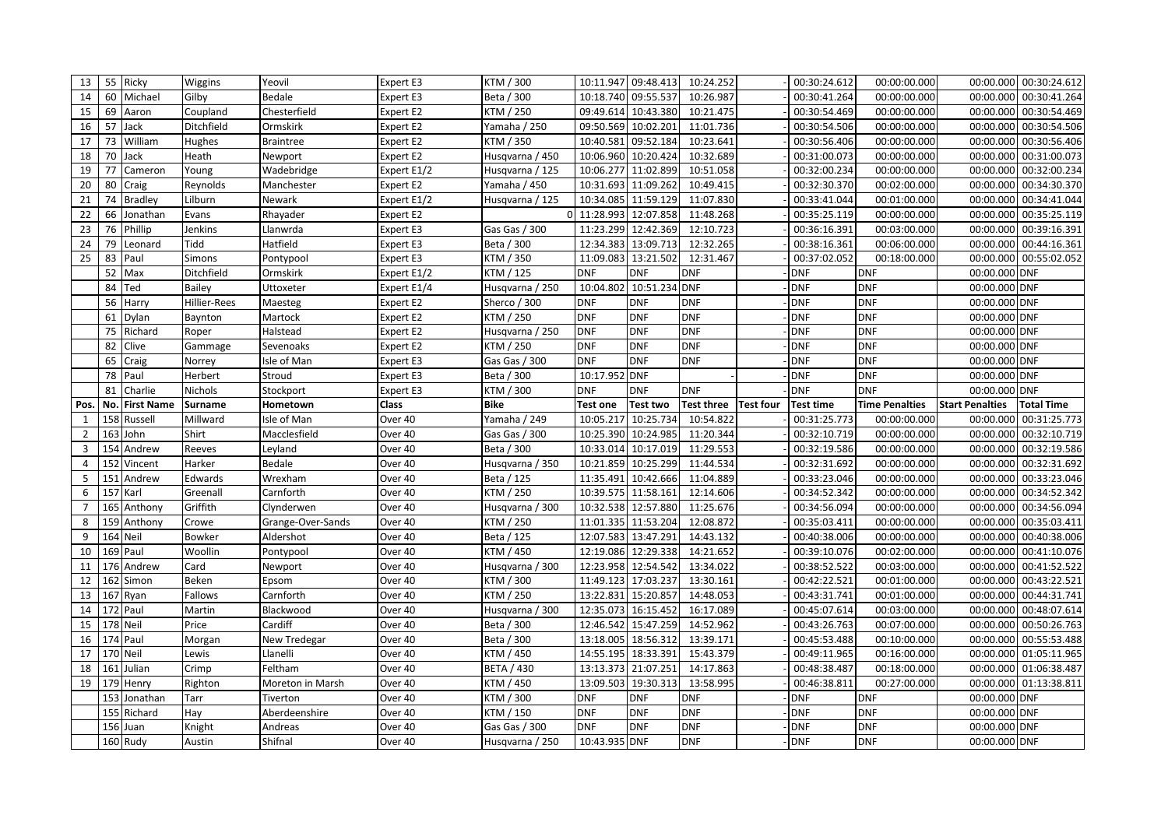| 13             |     | 55 Ricky          | Wiggins        | Yeovil            | Expert E3   | KTM / 300         | 10:11.947       | 09:48.413           | 10:24.252         |                  | 00:30:24.612     | 00:00:00.000          |                        | 00:00.000 00:30:24.612 |
|----------------|-----|-------------------|----------------|-------------------|-------------|-------------------|-----------------|---------------------|-------------------|------------------|------------------|-----------------------|------------------------|------------------------|
| 14             | 60  | Michael           | Gilby          | Bedale            | Expert E3   | Beta / 300        | 10:18.740       | 09:55.537           | 10:26.987         |                  | 00:30:41.264     | 00:00:00.000          | 00:00.000              | 00:30:41.264           |
| 15             |     | 69 Aaron          | Coupland       | Chesterfield      | Expert E2   | KTM / 250         | 09:49.614       | 10:43.380           | 10:21.475         |                  | 00:30:54.469     | 00:00:00.000          | 00:00.000              | 00:30:54.469           |
| 16             |     | 57 Jack           | Ditchfield     | Ormskirk          | Expert E2   | Yamaha / 250      | 09:50.569       | 10:02.201           | 11:01.736         |                  | 00:30:54.506     | 00:00:00.000          |                        | 00:00.000 00:30:54.506 |
| 17             | 73  | William           | Hughes         | <b>Braintree</b>  | Expert E2   | KTM / 350         | 10:40.581       | 09:52.184           | 10:23.641         |                  | 00:30:56.406     | 00:00:00.000          |                        | 00:00.000 00:30:56.406 |
| 18             |     | 70 Jack           | Heath          | Newport           | Expert E2   | Husqvarna / 450   | 10:06.960       | 10:20.424           | 10:32.689         |                  | 00:31:00.073     | 00:00:00.000          |                        | 00:00.000 00:31:00.073 |
| 19             | 77  | Cameron           | Young          | Wadebridge        | Expert E1/2 | Husqvarna / 125   | 10:06.277       | 11:02.899           | 10:51.058         |                  | 00:32:00.234     | 00:00:00.000          |                        | 00:00.000 00:32:00.234 |
| 20             |     | 80 Craig          | Reynolds       | Manchester        | Expert E2   | Yamaha / 450      |                 | 10:31.693 11:09.262 | 10:49.415         |                  | 00:32:30.370     | 00:02:00.000          |                        | 00:00.000 00:34:30.370 |
| 21             | 74  | <b>Bradley</b>    | Lilburn        | Newark            | Expert E1/2 | Husqvarna / 125   | 10:34.085       | 11:59.129           | 11:07.830         |                  | 00:33:41.044     | 00:01:00.000          |                        | 00:00.000 00:34:41.044 |
| 22             |     | 66 Jonathan       | Evans          | Rhayader          | Expert E2   |                   | 0 11:28.993     | 12:07.858           | 11:48.268         |                  | 00:35:25.119     | 00:00:00.000          |                        | 00:00.000 00:35:25.119 |
| 23             |     | 76 Phillip        | Jenkins        | Llanwrda          | Expert E3   | Gas Gas / 300     | 11:23.299       | 12:42.369           | 12:10.723         |                  | 00:36:16.391     | 00:03:00.000          |                        | 00:00.000 00:39:16.391 |
| 24             | 79  | Leonard           | Tidd           | Hatfield          | Expert E3   | Beta / 300        | 12:34.383       | 13:09.713           | 12:32.265         |                  | 00:38:16.361     | 00:06:00.000          |                        | 00:00.000 00:44:16.361 |
| 25             | 83  | Paul              | Simons         | Pontypool         | Expert E3   | KTM / 350         | 11:09.083       | 13:21.502           | 12:31.467         |                  | 00:37:02.052     | 00:18:00.000          |                        | 00:00.000 00:55:02.052 |
|                | 52  | Max               | Ditchfield     | Ormskirk          | Expert E1/2 | KTM / 125         | <b>DNF</b>      | <b>DNF</b>          | <b>DNF</b>        |                  | <b>DNF</b>       | <b>DNF</b>            | 00:00.000 DNF          |                        |
|                | 84  | Ted               | Bailey         | Uttoxeter         | Expert E1/4 | Husqvarna / 250   | 10:04.802       | 10:51.234 DNF       |                   |                  | <b>DNF</b>       | <b>DNF</b>            | 00:00.000 DNF          |                        |
|                |     | 56 Harry          | Hillier-Rees   | Maesteg           | Expert E2   | Sherco / 300      | <b>DNF</b>      | <b>DNF</b>          | <b>DNF</b>        |                  | <b>DNF</b>       | <b>DNF</b>            | 00:00.000 DNF          |                        |
|                | 61  | Dylan             | Baynton        | Martock           | Expert E2   | KTM / 250         | <b>DNF</b>      | <b>DNF</b>          | <b>DNF</b>        |                  | <b>DNF</b>       | <b>DNF</b>            | 00:00.000 DNF          |                        |
|                | 75  | Richard           | Roper          | Halstead          | Expert E2   | Husqvarna / 250   | <b>DNF</b>      | <b>DNF</b>          | <b>DNF</b>        |                  | <b>DNF</b>       | <b>DNF</b>            | 00:00.000 DNF          |                        |
|                |     | 82 Clive          | Gammage        | Sevenoaks         | Expert E2   | KTM / 250         | <b>DNF</b>      | <b>DNF</b>          | <b>DNF</b>        |                  | <b>DNF</b>       | <b>DNF</b>            | 00:00.000 DNF          |                        |
|                |     | 65 Craig          | Norrey         | Isle of Man       | Expert E3   | Gas Gas / 300     | <b>DNF</b>      | <b>DNF</b>          | <b>DNF</b>        |                  | <b>DNF</b>       | <b>DNF</b>            | 00:00.000 DNF          |                        |
|                |     | 78 Paul           | Herbert        | Stroud            | Expert E3   | Beta / 300        | 10:17.952 DNF   |                     |                   |                  | <b>DNF</b>       | <b>DNF</b>            | 00:00.000 DNF          |                        |
|                | 81  | Charlie           | Nichols        | Stockport         | Expert E3   | KTM / 300         | <b>DNF</b>      | <b>DNF</b>          | <b>DNF</b>        |                  | <b>DNF</b>       | <b>DNF</b>            | 00:00.000 DNF          |                        |
| Pos.           | No. | <b>First Name</b> | Surname        | Hometown          | Class       | <b>Bike</b>       | <b>Test one</b> | <b>Test two</b>     | <b>Test three</b> | <b>Test four</b> | <b>Test time</b> | <b>Time Penalties</b> | <b>Start Penalties</b> | <b>Total Time</b>      |
|                |     |                   |                |                   |             |                   |                 |                     |                   |                  |                  |                       |                        |                        |
| 1              |     | 158 Russell       | Millward       | Isle of Man       | Over 40     | Yamaha / 249      | 10:05.217       | 10:25.734           | 10:54.822         |                  | 00:31:25.773     | 00:00:00.000          | 00:00.000              | 00:31:25.773           |
| $\overline{2}$ |     | 163 John          | Shirt          | Macclesfield      | Over 40     | Gas Gas / 300     | 10:25.390       | 10:24.985           | 11:20.344         |                  | 00:32:10.719     | 00:00:00.000          |                        | 00:00.000 00:32:10.719 |
| 3              |     | 154 Andrew        | Reeves         | Leyland           | Over 40     | Beta / 300        | 10:33.014       | 10:17.019           | 11:29.553         |                  | 00:32:19.586     | 00:00:00.000          |                        | 00:00.000 00:32:19.586 |
| 4              |     | 152 Vincent       | Harker         | Bedale            | Over 40     | Husqvarna / 350   | 10:21.859       | 10:25.299           | 11:44.534         |                  | 00:32:31.692     | 00:00:00.000          |                        | 00:00.000 00:32:31.692 |
| 5              |     | 151 Andrew        | Edwards        | Wrexham           | Over 40     | Beta / 125        | 11:35.491       | 10:42.666           | 11:04.889         |                  | 00:33:23.046     | 00:00:00.000          |                        | 00:00.000 00:33:23.046 |
| 6              |     | 157 Karl          | Greenall       | Carnforth         | Over 40     | KTM / 250         |                 | 10:39.575 11:58.161 | 12:14.606         |                  | 00:34:52.342     | 00:00:00.000          |                        | 00:00.000 00:34:52.342 |
| $\overline{7}$ |     | 165 Anthony       | Griffith       | Clynderwen        | Over 40     | Husqvarna / 300   |                 | 10:32.538 12:57.880 | 11:25.676         |                  | 00:34:56.094     | 00:00:00.000          |                        | 00:00.000 00:34:56.094 |
| 8              |     | 159 Anthony       | Crowe          | Grange-Over-Sands | Over 40     | KTM / 250         |                 | 11:01.335 11:53.204 | 12:08.872         |                  | 00:35:03.411     | 00:00:00.000          |                        | 00:00.000 00:35:03.411 |
| 9              |     | 164 Neil          | Bowker         | Aldershot         | Over 40     | Beta / 125        | 12:07.583       | 13:47.291           | 14:43.132         |                  | 00:40:38.006     | 00:00:00.000          | 00:00.000              | 00:40:38.006           |
| 10             |     | 169 Paul          | Woollin        | Pontypool         | Over 40     | KTM / 450         | 12:19.086       | 12:29.338           | 14:21.652         |                  | 00:39:10.076     | 00:02:00.000          |                        | 00:00.000 00:41:10.076 |
| 11             |     | 176 Andrew        | Card           | Newport           | Over 40     | Husqvarna / 300   |                 | 12:23.958 12:54.542 | 13:34.022         |                  | 00:38:52.522     | 00:03:00.000          | 00:00.000              | 00:41:52.522           |
| 12             |     | 162 Simon         | Beken          | Epsom             | Over 40     | KTM / 300         |                 | 11:49.123 17:03.237 | 13:30.161         |                  | 00:42:22.521     | 00:01:00.000          |                        | 00:00.000 00:43:22.521 |
| 13             |     | $167$ Ryan        | <b>Fallows</b> | Carnforth         | Over 40     | KTM / 250         | 13:22.831       | 15:20.857           | 14:48.053         |                  | 00:43:31.741     | 00:01:00.000          |                        | 00:00.000 00:44:31.741 |
| 14             |     | 172 Paul          | Martin         | Blackwood         | Over 40     | Husqvarna / 300   |                 | 12:35.073 16:15.452 | 16:17.089         |                  | 00:45:07.614     | 00:03:00.000          |                        | 00:00.000 00:48:07.614 |
| 15             |     | 178 Neil          | Price          | Cardiff           | Over 40     | Beta / 300        |                 | 12:46.542 15:47.259 | 14:52.962         |                  | 00:43:26.763     | 00:07:00.000          |                        | 00:00.000 00:50:26.763 |
| 16             |     | 174 Paul          | Morgan         | New Tredegar      | Over 40     | Beta / 300        | 13:18.005       | 18:56.312           | 13:39.171         |                  | 00:45:53.488     | 00:10:00.000          | 00:00.000              | 00:55:53.488           |
| 17             |     | 170 Neil          | Lewis          | Llanelli          | Over 40     | KTM / 450         | 14:55.195       | 18:33.391           | 15:43.379         |                  | 00:49:11.965     | 00:16:00.000          |                        | 00:00.000 01:05:11.965 |
| 18             | 161 | Julian            | Crimp          | Feltham           | Over 40     | <b>BETA / 430</b> | 13:13.373       | 21:07.251           | 14:17.863         |                  | 00:48:38.487     | 00:18:00.000          |                        | 00:00.000 01:06:38.487 |
| 19             |     | 179 Henry         | Righton        | Moreton in Marsh  | Over 40     | KTM / 450         | 13:09.503       | 19:30.313           | 13:58.995         |                  | 00:46:38.811     | 00:27:00.000          |                        | 00:00.000 01:13:38.811 |
|                |     | 153 Jonathan      | Tarr           | Tiverton          | Over 40     | KTM / 300         | <b>DNF</b>      | <b>DNF</b>          | <b>DNF</b>        |                  | <b>DNF</b>       | <b>DNF</b>            | 00:00.000 DNF          |                        |
|                |     | 155 Richard       | Hay            | Aberdeenshire     | Over 40     | KTM / 150         | <b>DNF</b>      | <b>DNF</b>          | <b>DNF</b>        |                  | <b>DNF</b>       | <b>DNF</b>            | 00:00.000 DNF          |                        |
|                |     | 156 Juan          | Knight         | Andreas           | Over 40     | Gas Gas / 300     | <b>DNF</b>      | <b>DNF</b>          | <b>DNF</b>        |                  | <b>DNF</b>       | <b>DNF</b>            | 00:00.000 DNF          |                        |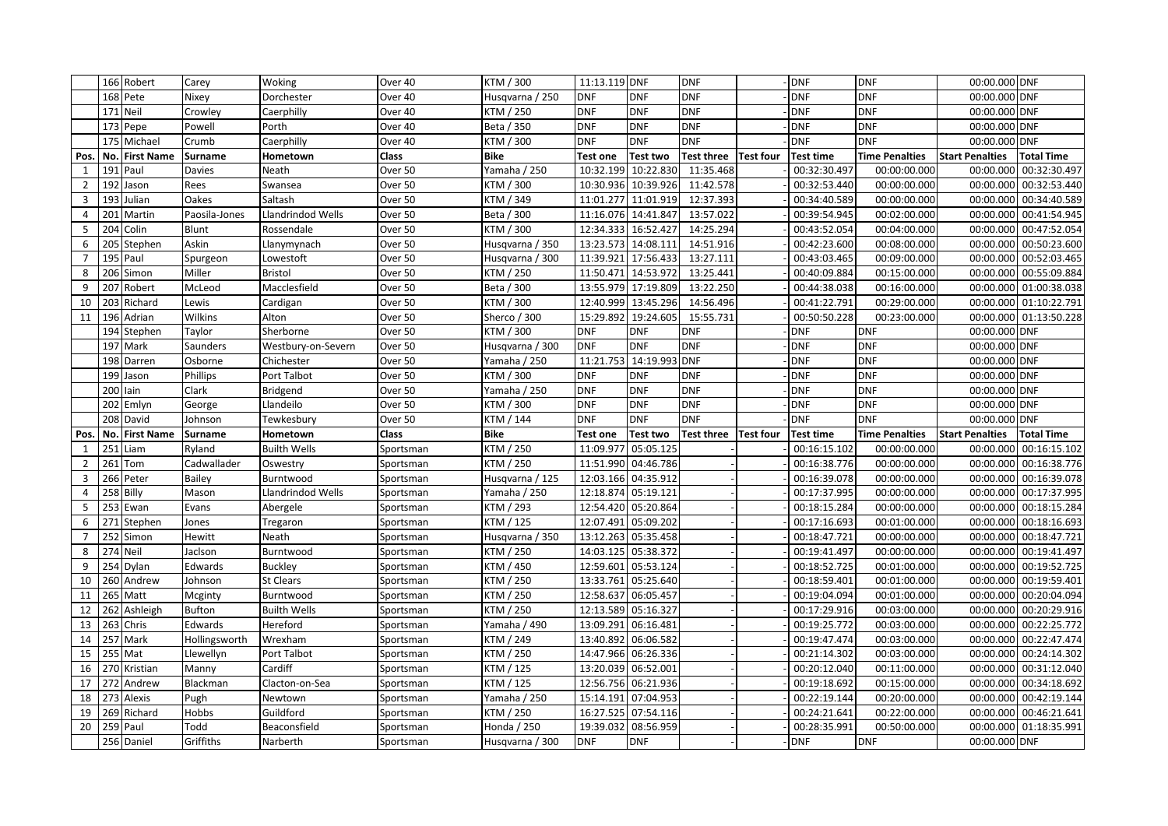|                |          | 166 Robert             | Carey             | Woking              | Over 40   | KTM / 300                      | 11:13.119 DNF           |                         | <b>DNF</b>           |                  | <b>DNF</b>                 | <b>DNF</b>                 | 00:00.000 DNF              |                        |
|----------------|----------|------------------------|-------------------|---------------------|-----------|--------------------------------|-------------------------|-------------------------|----------------------|------------------|----------------------------|----------------------------|----------------------------|------------------------|
|                |          | 168 Pete               | Nixey             | Dorchester          | Over 40   | Husqvarna / 250                | <b>DNF</b>              | <b>DNF</b>              | DNF                  |                  | <b>DNF</b>                 | <b>DNF</b>                 | 00:00.000 DNF              |                        |
|                |          | 171 Neil               | Crowley           | Caerphilly          | Over 40   | KTM / 250                      | <b>DNF</b>              | <b>DNF</b>              | <b>DNF</b>           |                  | <b>DNF</b>                 | <b>DNF</b>                 | 00:00.000 DNF              |                        |
|                |          | 173 Pepe               | Powell            | Porth               | Over 40   | Beta / 350                     | <b>DNF</b>              | <b>DNF</b>              | <b>DNF</b>           |                  | <b>DNF</b>                 | <b>DNF</b>                 | 00:00.000 DNF              |                        |
|                |          | 175 Michael            | Crumb             | Caerphilly          | Over 40   | KTM / 300                      | <b>DNF</b>              | <b>DNF</b>              | DNF                  |                  | <b>DNF</b>                 | <b>DNF</b>                 | 00:00.000 DNF              |                        |
| Pos.           |          | No. First Name         | <b>Surname</b>    | Hometown            | Class     | <b>Bike</b>                    | Test one                | <b>Test two</b>         | Test three Test four |                  | <b>Test time</b>           | <b>Time Penalties</b>      | <b>Start Penalties</b>     | <b>Total Time</b>      |
| 1              |          | 191 Paul               | Davies            | Neath               | Over 50   | Yamaha / 250                   | 10:32.199               | 10:22.830               | 11:35.468            |                  | 00:32:30.497               | 00:00:00.000               | 00:00.000                  | 00:32:30.497           |
| $\overline{2}$ |          | 192 Jason              | Rees              | Swansea             | Over 50   | KTM / 300                      | 10:30.936               | 10:39.926               | 11:42.578            |                  | 00:32:53.440               | 00:00:00.000               | 00:00.000                  | 00:32:53.440           |
| 3              |          | 193 Julian             | Oakes             | Saltash             | Over 50   | KTM / 349                      |                         | 11:01.277 11:01.919     | 12:37.393            |                  | 00:34:40.589               | 00:00:00.000               | 00:00.000                  | 00:34:40.589           |
| 4              | 201      | Martin                 | Paosila-Jones     | Llandrindod Wells   | Over 50   | Beta / 300                     |                         | 11:16.076 14:41.847     | 13:57.022            |                  | 00:39:54.945               | 00:02:00.000               | 00:00.000                  | 00:41:54.945           |
| 5              |          | 204 Colin              | Blunt             | Rossendale          | Over 50   | KTM / 300                      |                         | 12:34.333 16:52.427     | 14:25.294            |                  | 00:43:52.054               | 00:04:00.000               | 00:00.000                  | 00:47:52.054           |
| 6              |          | 205 Stephen            | Askin             | Llanymynach         | Over 50   | Husqvarna / 350                | 13:23.573               | 14:08.111               | 14:51.916            |                  | 00:42:23.600               | 00:08:00.000               | 00:00.000                  | 00:50:23.600           |
| $\overline{7}$ |          | 195 Paul               | Spurgeon          | Lowestoft           | Over 50   | Husqvarna / 300                |                         | 11:39.921 17:56.433     | 13:27.111            |                  | 00:43:03.465               | 00:09:00.000               | 00:00.000                  | 00:52:03.465           |
| 8              |          | 206 Simon              | Miller            | <b>Bristol</b>      | Over 50   | KTM / 250                      |                         | 11:50.471 14:53.972     | 13:25.441            |                  | 00:40:09.884               | 00:15:00.000               | 00:00.000                  | 00:55:09.884           |
| 9              | 207      | Robert                 | McLeod            | Macclesfield        | Over 50   | Beta / 300                     | 13:55.979               | 17:19.809               | 13:22.250            |                  | 00:44:38.038               | 00:16:00.000               |                            | 00:00.000 01:00:38.038 |
| 10             |          | 203 Richard            | Lewis             | Cardigan            | Over 50   | KTM / 300                      | 12:40.999               | 13:45.296               | 14:56.496            |                  | 00:41:22.791               | 00:29:00.000               | 00:00.000                  | 01:10:22.791           |
| 11             |          | 196 Adrian             | Wilkins           | Alton               | Over 50   | Sherco / 300                   |                         | 15:29.892 19:24.605     | 15:55.731            |                  | 00:50:50.228               | 00:23:00.000               |                            | 00:00.000 01:13:50.228 |
|                |          | 194 Stephen            | Taylor            | Sherborne           | Over 50   | KTM / 300                      | <b>DNF</b>              | <b>DNF</b>              | DNF                  |                  | DNF                        | <b>DNF</b>                 | 00:00.000 DNF              |                        |
|                |          | 197 Mark               | Saunders          | Westbury-on-Severn  | Over 50   | Husqvarna / 300                | <b>DNF</b>              | <b>DNF</b>              | <b>DNF</b>           |                  | dnf                        | <b>DNF</b>                 | 00:00.000 DNF              |                        |
|                |          | 198 Darren             | Osborne           | Chichester          | Over 50   | Yamaha / 250                   |                         | 11:21.753 14:19.993 DNF |                      |                  | <b>DNF</b>                 | <b>DNF</b>                 | 00:00.000 DNF              |                        |
|                |          | 199 Jason              | Phillips          | Port Talbot         | Over 50   | KTM / 300                      | <b>DNF</b>              | <b>DNF</b>              | <b>DNF</b>           |                  | <b>DNF</b>                 | <b>DNF</b>                 | 00:00.000 DNF              |                        |
|                | 200 lain |                        | Clark             | Bridgend            | Over 50   | Yamaha / 250                   | <b>DNF</b>              | <b>DNF</b>              | <b>DNF</b>           |                  | <b>DNF</b>                 | <b>DNF</b>                 | 00:00.000 DNF              |                        |
|                |          | 202 Emlyn              | George            | Llandeilo           | Over 50   | KTM / 300                      | <b>DNF</b>              | <b>DNF</b>              | <b>DNF</b>           |                  | DNF                        | <b>DNF</b>                 | 00:00.000 DNF              |                        |
|                |          |                        |                   |                     |           |                                |                         |                         |                      |                  |                            |                            |                            |                        |
|                |          | 208 David              | Johnson           | Tewkesbury          | Over 50   | KTM / 144                      | <b>DNF</b>              | <b>DNF</b>              | <b>DNF</b>           |                  | <b>DNF</b>                 | <b>DNF</b>                 | 00:00.000 DNF              |                        |
| Pos.           |          | No. First Name         | Surname           | Hometown            | Class     | <b>Bike</b>                    | <b>Test one</b>         | <b>Test two</b>         | <b>Test three</b>    | <b>Test four</b> | Test time                  | <b>Time Penalties</b>      | <b>Start Penalties</b>     | <b>Total Time</b>      |
| $\mathbf{1}$   | 251      | Liam                   | Ryland            | <b>Builth Wells</b> | Sportsman | KTM / 250                      | 11:09.977               | 05:05.125               |                      |                  | 00:16:15.102               | 00:00:00.000               | 00:00.000                  | 00:16:15.102           |
| $\overline{2}$ |          | 261 Tom                | Cadwallader       | Oswestry            | Sportsman | KTM / 250                      |                         | 11:51.990 04:46.786     |                      |                  | 00:16:38.776               | 00:00:00.000               | 00:00.000                  | 00:16:38.776           |
| 3              |          | 266 Peter              | Bailey            | Burntwood           | Sportsman | Husqvarna / 125                | 12:03.166               | 04:35.912               |                      |                  | 00:16:39.078               | 00:00:00.000               | 00:00.000                  | 00:16:39.078           |
| 4              |          | 258 Billy              | Mason             | Llandrindod Wells   | Sportsman | Yamaha / 250                   |                         | 12:18.874 05:19.121     |                      |                  | 00:17:37.995               | 00:00:00.000               | 00:00.000                  | 00:17:37.995           |
| 5              |          | 253 Ewan               | Evans             | Abergele            | Sportsman | KTM / 293                      |                         | 12:54.420 05:20.864     |                      |                  | 00:18:15.284               | 00:00:00.000               | 00:00.000                  | 00:18:15.284           |
| 6              |          | 271 Stephen            | Jones             | Tregaron            | Sportsman | KTM / 125                      | 12:07.491               | 05:09.202               |                      |                  | 00:17:16.693               | 00:01:00.000               | 00:00.000                  | 00:18:16.693           |
| $\overline{7}$ |          | 252 Simon              | Hewitt            | Neath               | Sportsman | Husqvarna / 350                |                         | 13:12.263 05:35.458     |                      |                  | 00:18:47.721               | 00:00:00.000               | 00:00.000                  | 00:18:47.721           |
| 8              | 274 Neil |                        | Jaclson           | Burntwood           | Sportsman | KTM / 250                      |                         | 14:03.125 05:38.372     |                      |                  | 00:19:41.497               | 00:00:00.000               | 00:00.000                  | 00:19:41.497           |
| 9              |          | 254 Dylan              | Edwards           | <b>Buckley</b>      | Sportsman | KTM / 450                      |                         | 12:59.601 05:53.124     |                      |                  | 00:18:52.725               | 00:01:00.000               | 00:00.000                  | 00:19:52.725           |
| 10             |          | 260 Andrew             | Johnson           | <b>St Clears</b>    | Sportsman | KTM / 250                      |                         | 13:33.761 05:25.640     |                      |                  | 00:18:59.401               | 00:01:00.000               | 00:00.000                  | 00:19:59.401           |
| 11             |          | 265 Matt               | Mcginty           | Burntwood           | Sportsman | KTM / 250                      | 12:58.637               | 06:05.457               |                      |                  | 00:19:04.094               | 00:01:00.000               | 00:00.000                  | 00:20:04.094           |
| 12             |          | 262 Ashleigh           | <b>Bufton</b>     | <b>Builth Wells</b> | Sportsman | KTM / 250                      |                         | 12:13.589 05:16.327     |                      |                  | 00:17:29.916               | 00:03:00.000               | 00:00.000                  | 00:20:29.916           |
| 13             |          | 263 Chris              | Edwards           | Hereford            | Sportsman | Yamaha / 490                   |                         | 13:09.291 06:16.481     |                      |                  | 00:19:25.772               | 00:03:00.000               | 00:00.000                  | 00:22:25.772           |
| 14             |          | 257 Mark               | Hollingsworth     | Wrexham             | Sportsman | KTM / 249                      | 13:40.892               | 06:06.582               |                      |                  | 00:19:47.474               | 00:03:00.000               | 00:00.000                  | 00:22:47.474           |
| 15             |          | 255 Mat                | Llewellyn         | Port Talbot         | Sportsman | KTM / 250                      |                         | 14:47.966 06:26.336     |                      |                  | 00:21:14.302               | 00:03:00.000               | 00:00.000                  | 00:24:14.302           |
| 16             |          | 270 Kristian           | Manny             | Cardiff             | Sportsman | KTM / 125                      |                         | 13:20.039 06:52.001     |                      |                  | 00:20:12.040               | 00:11:00.000               | 00:00.000                  | 00:31:12.040           |
| 17             |          | 272 Andrew             | Blackman          | Clacton-on-Sea      | Sportsman | KTM / 125                      |                         | 12:56.756 06:21.936     |                      |                  | 00:19:18.692               | 00:15:00.000               | 00:00.000                  | 00:34:18.692           |
| 18             |          | 273 Alexis             | Pugh              | Newtown             | Sportsman | Yamaha / 250                   | 15:14.191               | 07:04.953               |                      |                  | 00:22:19.144               | 00:20:00.000               | 00:00.000                  | 00:42:19.144           |
| 19             |          | 269 Richard            | Hobbs             | Guildford           | Sportsman | KTM / 250                      | 16:27.525               | 07:54.116               |                      |                  | 00:24:21.641               | 00:22:00.000               | 00:00.000                  | 00:46:21.641           |
| 20             |          | 259 Paul<br>256 Daniel | Todd<br>Griffiths | Beaconsfield        | Sportsman | Honda / 250<br>Husqvarna / 300 | 19:39.032<br><b>DNF</b> | 08:56.959<br><b>DNF</b> |                      |                  | 00:28:35.991<br><b>DNF</b> | 00:50:00.000<br><b>DNF</b> | 00:00.000<br>00:00.000 DNF | 01:18:35.991           |